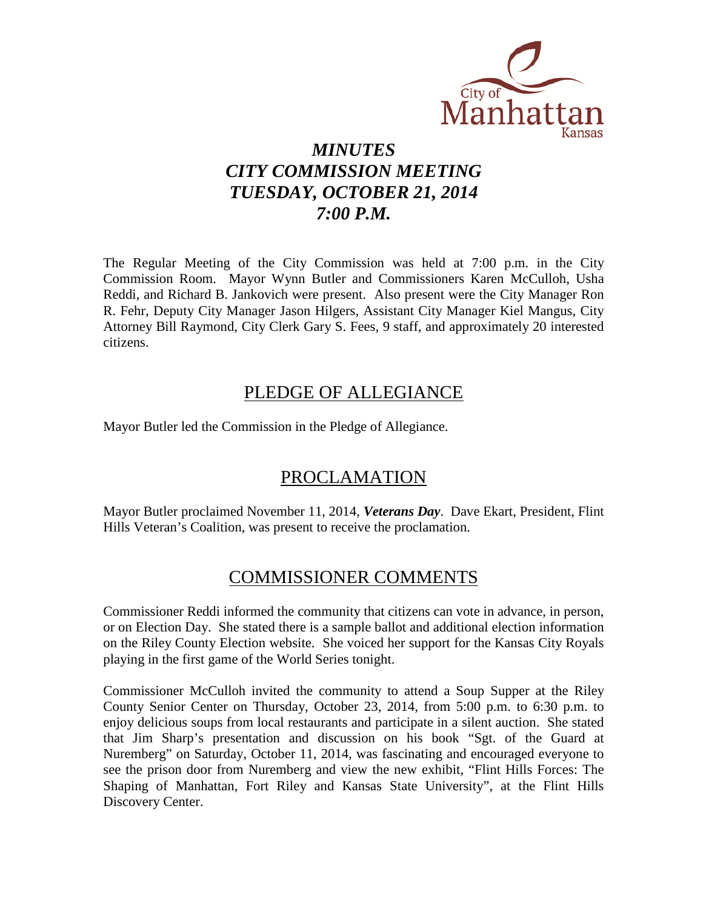

# *MINUTES CITY COMMISSION MEETING TUESDAY, OCTOBER 21, 2014 7:00 P.M.*

The Regular Meeting of the City Commission was held at 7:00 p.m. in the City Commission Room. Mayor Wynn Butler and Commissioners Karen McCulloh, Usha Reddi, and Richard B. Jankovich were present. Also present were the City Manager Ron R. Fehr, Deputy City Manager Jason Hilgers, Assistant City Manager Kiel Mangus, City Attorney Bill Raymond, City Clerk Gary S. Fees, 9 staff, and approximately 20 interested citizens.

# PLEDGE OF ALLEGIANCE

Mayor Butler led the Commission in the Pledge of Allegiance.

# PROCLAMATION

Mayor Butler proclaimed November 11, 2014, *Veterans Day*. Dave Ekart, President, Flint Hills Veteran's Coalition, was present to receive the proclamation.

# COMMISSIONER COMMENTS

Commissioner Reddi informed the community that citizens can vote in advance, in person, or on Election Day. She stated there is a sample ballot and additional election information on the Riley County Election website. She voiced her support for the Kansas City Royals playing in the first game of the World Series tonight.

Commissioner McCulloh invited the community to attend a Soup Supper at the Riley County Senior Center on Thursday, October 23, 2014, from 5:00 p.m. to 6:30 p.m. to enjoy delicious soups from local restaurants and participate in a silent auction. She stated that Jim Sharp's presentation and discussion on his book "Sgt. of the Guard at Nuremberg" on Saturday, October 11, 2014, was fascinating and encouraged everyone to see the prison door from Nuremberg and view the new exhibit, "Flint Hills Forces: The Shaping of Manhattan, Fort Riley and Kansas State University", at the Flint Hills Discovery Center.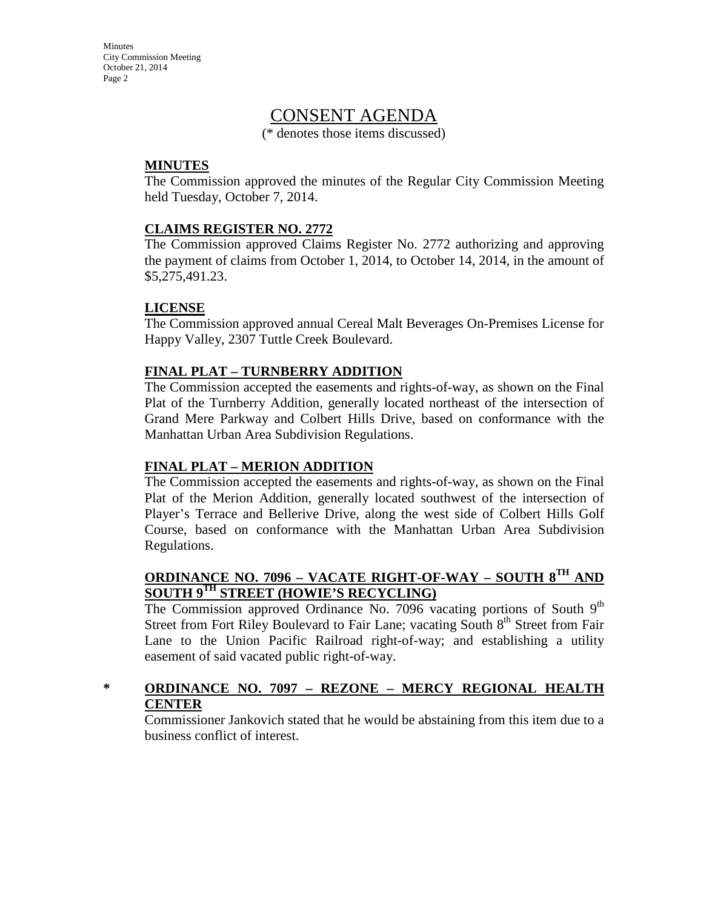**Minutes** City Commission Meeting October 21, 2014 Page 2

# CONSENT AGENDA

(\* denotes those items discussed)

### **MINUTES**

The Commission approved the minutes of the Regular City Commission Meeting held Tuesday, October 7, 2014.

### **CLAIMS REGISTER NO. 2772**

The Commission approved Claims Register No. 2772 authorizing and approving the payment of claims from October 1, 2014, to October 14, 2014, in the amount of \$5,275,491.23.

### **LICENSE**

The Commission approved annual Cereal Malt Beverages On-Premises License for Happy Valley, 2307 Tuttle Creek Boulevard.

# **FINAL PLAT – TURNBERRY ADDITION**

The Commission accepted the easements and rights-of-way, as shown on the Final Plat of the Turnberry Addition, generally located northeast of the intersection of Grand Mere Parkway and Colbert Hills Drive, based on conformance with the Manhattan Urban Area Subdivision Regulations.

# **FINAL PLAT – MERION ADDITION**

The Commission accepted the easements and rights-of-way, as shown on the Final Plat of the Merion Addition, generally located southwest of the intersection of Player's Terrace and Bellerive Drive, along the west side of Colbert Hills Golf Course, based on conformance with the Manhattan Urban Area Subdivision Regulations.

### **ORDINANCE NO. 7096 – VACATE RIGHT-OF-WAY – SOUTH 8TH AND SOUTH 9TH STREET (HOWIE'S RECYCLING)**

The Commission approved Ordinance No. 7096 vacating portions of South  $9<sup>th</sup>$ Street from Fort Riley Boulevard to Fair Lane; vacating South 8<sup>th</sup> Street from Fair Lane to the Union Pacific Railroad right-of-way; and establishing a utility easement of said vacated public right-of-way.

# **\* ORDINANCE NO. 7097 – REZONE – MERCY REGIONAL HEALTH CENTER**

Commissioner Jankovich stated that he would be abstaining from this item due to a business conflict of interest.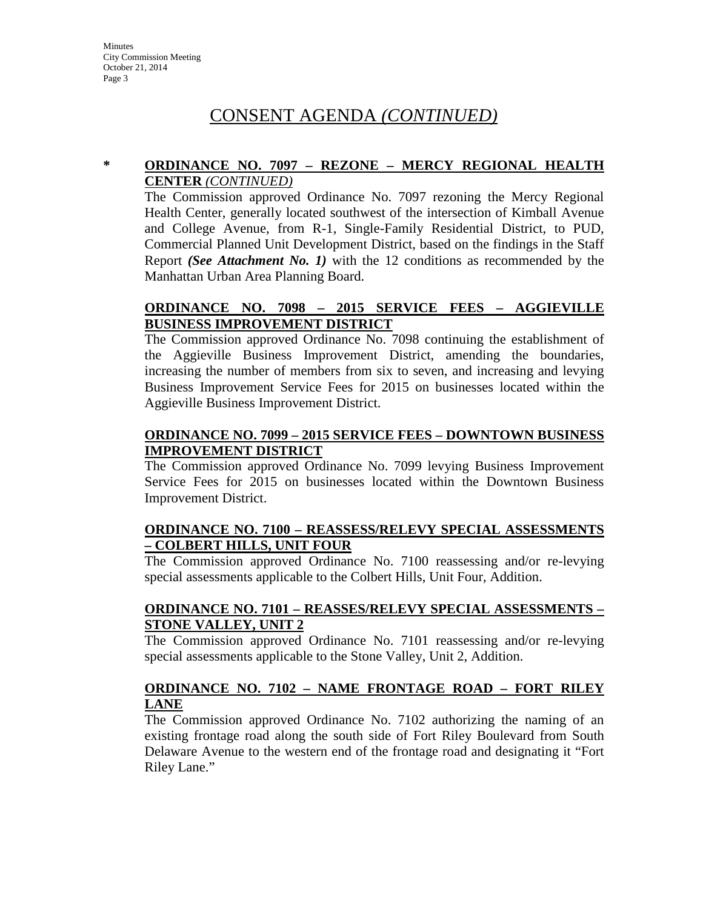# CONSENT AGENDA *(CONTINUED)*

### **\* ORDINANCE NO. 7097 – REZONE – MERCY REGIONAL HEALTH CENTER** *(CONTINUED)*

The Commission approved Ordinance No. 7097 rezoning the Mercy Regional Health Center, generally located southwest of the intersection of Kimball Avenue and College Avenue, from R-1, Single-Family Residential District, to PUD, Commercial Planned Unit Development District, based on the findings in the Staff Report *(See Attachment No. 1)* with the 12 conditions as recommended by the Manhattan Urban Area Planning Board.

### **ORDINANCE NO. 7098 – 2015 SERVICE FEES – AGGIEVILLE BUSINESS IMPROVEMENT DISTRICT**

The Commission approved Ordinance No. 7098 continuing the establishment of the Aggieville Business Improvement District, amending the boundaries, increasing the number of members from six to seven, and increasing and levying Business Improvement Service Fees for 2015 on businesses located within the Aggieville Business Improvement District.

# **ORDINANCE NO. 7099 – 2015 SERVICE FEES – DOWNTOWN BUSINESS IMPROVEMENT DISTRICT**

The Commission approved Ordinance No. 7099 levying Business Improvement Service Fees for 2015 on businesses located within the Downtown Business Improvement District.

### **ORDINANCE NO. 7100 – REASSESS/RELEVY SPECIAL ASSESSMENTS – COLBERT HILLS, UNIT FOUR**

The Commission approved Ordinance No. 7100 reassessing and/or re-levying special assessments applicable to the Colbert Hills, Unit Four, Addition.

# **ORDINANCE NO. 7101 – REASSES/RELEVY SPECIAL ASSESSMENTS – STONE VALLEY, UNIT 2**

The Commission approved Ordinance No. 7101 reassessing and/or re-levying special assessments applicable to the Stone Valley, Unit 2, Addition.

# **ORDINANCE NO. 7102 – NAME FRONTAGE ROAD – FORT RILEY LANE**

The Commission approved Ordinance No. 7102 authorizing the naming of an existing frontage road along the south side of Fort Riley Boulevard from South Delaware Avenue to the western end of the frontage road and designating it "Fort Riley Lane."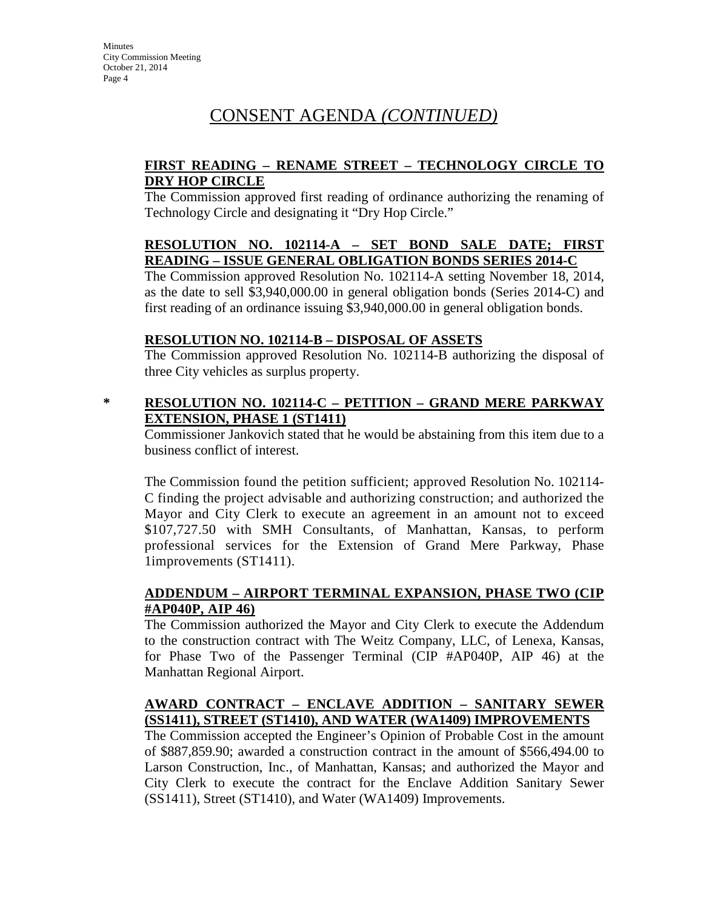# CONSENT AGENDA *(CONTINUED)*

# **FIRST READING – RENAME STREET – TECHNOLOGY CIRCLE TO DRY HOP CIRCLE**

The Commission approved first reading of ordinance authorizing the renaming of Technology Circle and designating it "Dry Hop Circle."

# **RESOLUTION NO. 102114-A – SET BOND SALE DATE; FIRST READING – ISSUE GENERAL OBLIGATION BONDS SERIES 2014-C**

The Commission approved Resolution No. 102114-A setting November 18, 2014, as the date to sell \$3,940,000.00 in general obligation bonds (Series 2014-C) and first reading of an ordinance issuing \$3,940,000.00 in general obligation bonds.

### **RESOLUTION NO. 102114-B – DISPOSAL OF ASSETS**

The Commission approved Resolution No. 102114-B authorizing the disposal of three City vehicles as surplus property.

### **\* RESOLUTION NO. 102114-C – PETITION – GRAND MERE PARKWAY EXTENSION, PHASE 1 (ST1411)**

Commissioner Jankovich stated that he would be abstaining from this item due to a business conflict of interest.

The Commission found the petition sufficient; approved Resolution No. 102114- C finding the project advisable and authorizing construction; and authorized the Mayor and City Clerk to execute an agreement in an amount not to exceed \$107,727.50 with SMH Consultants, of Manhattan, Kansas, to perform professional services for the Extension of Grand Mere Parkway, Phase 1improvements (ST1411).

# **ADDENDUM – AIRPORT TERMINAL EXPANSION, PHASE TWO (CIP #AP040P, AIP 46)**

The Commission authorized the Mayor and City Clerk to execute the Addendum to the construction contract with The Weitz Company, LLC, of Lenexa, Kansas, for Phase Two of the Passenger Terminal (CIP #AP040P, AIP 46) at the Manhattan Regional Airport.

# **AWARD CONTRACT – ENCLAVE ADDITION – SANITARY SEWER (SS1411), STREET (ST1410), AND WATER (WA1409) IMPROVEMENTS**

The Commission accepted the Engineer's Opinion of Probable Cost in the amount of \$887,859.90; awarded a construction contract in the amount of \$566,494.00 to Larson Construction, Inc., of Manhattan, Kansas; and authorized the Mayor and City Clerk to execute the contract for the Enclave Addition Sanitary Sewer (SS1411), Street (ST1410), and Water (WA1409) Improvements.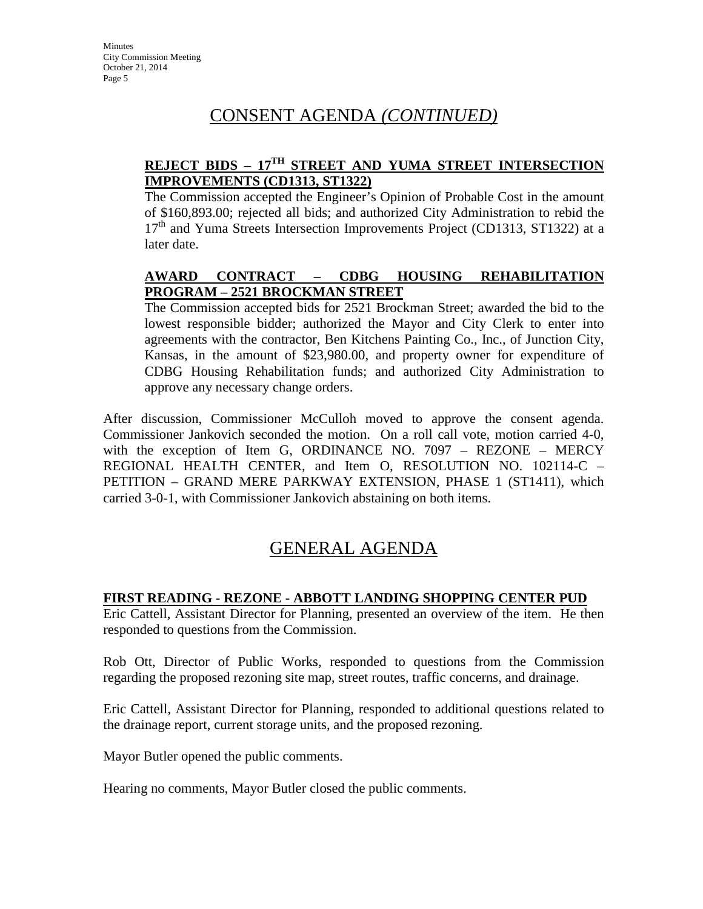# CONSENT AGENDA *(CONTINUED)*

# **REJECT BIDS – 17TH STREET AND YUMA STREET INTERSECTION IMPROVEMENTS (CD1313, ST1322)**

The Commission accepted the Engineer's Opinion of Probable Cost in the amount of \$160,893.00; rejected all bids; and authorized City Administration to rebid the 17<sup>th</sup> and Yuma Streets Intersection Improvements Project (CD1313, ST1322) at a later date.

# **AWARD CONTRACT – CDBG HOUSING REHABILITATION PROGRAM – 2521 BROCKMAN STREET**

The Commission accepted bids for 2521 Brockman Street; awarded the bid to the lowest responsible bidder; authorized the Mayor and City Clerk to enter into agreements with the contractor, Ben Kitchens Painting Co., Inc., of Junction City, Kansas, in the amount of \$23,980.00, and property owner for expenditure of CDBG Housing Rehabilitation funds; and authorized City Administration to approve any necessary change orders.

After discussion, Commissioner McCulloh moved to approve the consent agenda. Commissioner Jankovich seconded the motion. On a roll call vote, motion carried 4-0, with the exception of Item G, ORDINANCE NO. 7097 – REZONE – MERCY REGIONAL HEALTH CENTER, and Item O, RESOLUTION NO. 102114-C – PETITION – GRAND MERE PARKWAY EXTENSION, PHASE 1 (ST1411), which carried 3-0-1, with Commissioner Jankovich abstaining on both items.

# GENERAL AGENDA

# **FIRST READING - REZONE - ABBOTT LANDING SHOPPING CENTER PUD**

Eric Cattell, Assistant Director for Planning, presented an overview of the item. He then responded to questions from the Commission.

Rob Ott, Director of Public Works, responded to questions from the Commission regarding the proposed rezoning site map, street routes, traffic concerns, and drainage.

Eric Cattell, Assistant Director for Planning, responded to additional questions related to the drainage report, current storage units, and the proposed rezoning.

Mayor Butler opened the public comments.

Hearing no comments, Mayor Butler closed the public comments.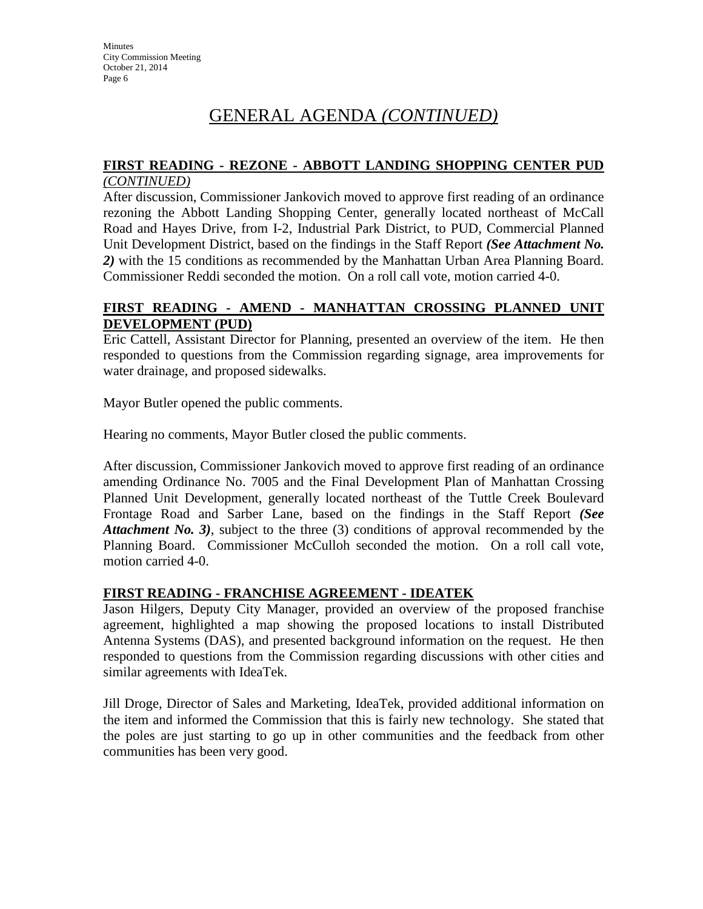# **FIRST READING - REZONE - ABBOTT LANDING SHOPPING CENTER PUD**

### *(CONTINUED)*

After discussion, Commissioner Jankovich moved to approve first reading of an ordinance rezoning the Abbott Landing Shopping Center, generally located northeast of McCall Road and Hayes Drive, from I-2, Industrial Park District, to PUD, Commercial Planned Unit Development District, based on the findings in the Staff Report *(See Attachment No. 2)* with the 15 conditions as recommended by the Manhattan Urban Area Planning Board. Commissioner Reddi seconded the motion. On a roll call vote, motion carried 4-0.

# **FIRST READING - AMEND - MANHATTAN CROSSING PLANNED UNIT DEVELOPMENT (PUD)**

Eric Cattell, Assistant Director for Planning, presented an overview of the item. He then responded to questions from the Commission regarding signage, area improvements for water drainage, and proposed sidewalks.

Mayor Butler opened the public comments.

Hearing no comments, Mayor Butler closed the public comments.

After discussion, Commissioner Jankovich moved to approve first reading of an ordinance amending Ordinance No. 7005 and the Final Development Plan of Manhattan Crossing Planned Unit Development, generally located northeast of the Tuttle Creek Boulevard Frontage Road and Sarber Lane, based on the findings in the Staff Report *(See Attachment No. 3*), subject to the three (3) conditions of approval recommended by the Planning Board. Commissioner McCulloh seconded the motion. On a roll call vote, motion carried 4-0.

# **FIRST READING - FRANCHISE AGREEMENT - IDEATEK**

Jason Hilgers, Deputy City Manager, provided an overview of the proposed franchise agreement, highlighted a map showing the proposed locations to install Distributed Antenna Systems (DAS), and presented background information on the request. He then responded to questions from the Commission regarding discussions with other cities and similar agreements with IdeaTek.

Jill Droge, Director of Sales and Marketing, IdeaTek, provided additional information on the item and informed the Commission that this is fairly new technology. She stated that the poles are just starting to go up in other communities and the feedback from other communities has been very good.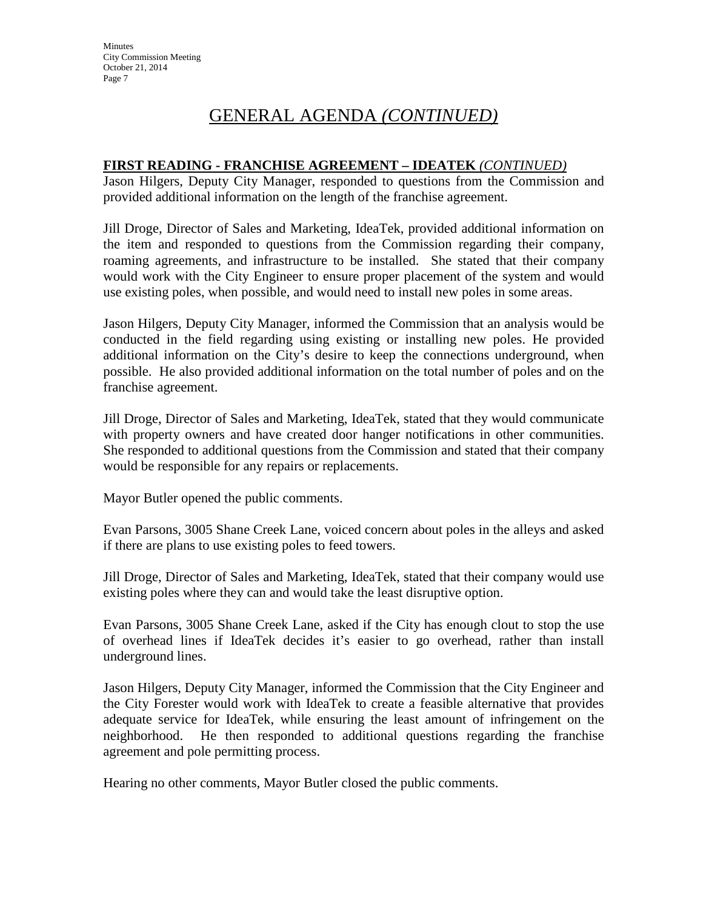# **FIRST READING - FRANCHISE AGREEMENT – IDEATEK** *(CONTINUED)*

Jason Hilgers, Deputy City Manager, responded to questions from the Commission and provided additional information on the length of the franchise agreement.

Jill Droge, Director of Sales and Marketing, IdeaTek, provided additional information on the item and responded to questions from the Commission regarding their company, roaming agreements, and infrastructure to be installed. She stated that their company would work with the City Engineer to ensure proper placement of the system and would use existing poles, when possible, and would need to install new poles in some areas.

Jason Hilgers, Deputy City Manager, informed the Commission that an analysis would be conducted in the field regarding using existing or installing new poles. He provided additional information on the City's desire to keep the connections underground, when possible. He also provided additional information on the total number of poles and on the franchise agreement.

Jill Droge, Director of Sales and Marketing, IdeaTek, stated that they would communicate with property owners and have created door hanger notifications in other communities. She responded to additional questions from the Commission and stated that their company would be responsible for any repairs or replacements.

Mayor Butler opened the public comments.

Evan Parsons, 3005 Shane Creek Lane, voiced concern about poles in the alleys and asked if there are plans to use existing poles to feed towers.

Jill Droge, Director of Sales and Marketing, IdeaTek, stated that their company would use existing poles where they can and would take the least disruptive option.

Evan Parsons, 3005 Shane Creek Lane, asked if the City has enough clout to stop the use of overhead lines if IdeaTek decides it's easier to go overhead, rather than install underground lines.

Jason Hilgers, Deputy City Manager, informed the Commission that the City Engineer and the City Forester would work with IdeaTek to create a feasible alternative that provides adequate service for IdeaTek, while ensuring the least amount of infringement on the neighborhood. He then responded to additional questions regarding the franchise agreement and pole permitting process.

Hearing no other comments, Mayor Butler closed the public comments.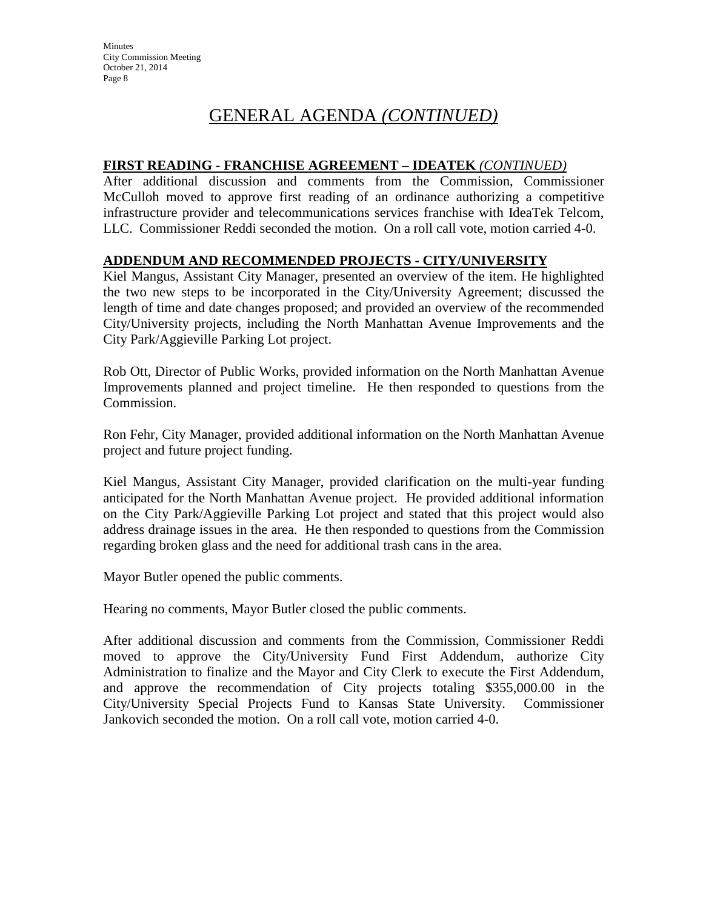# **FIRST READING - FRANCHISE AGREEMENT – IDEATEK** *(CONTINUED)*

After additional discussion and comments from the Commission, Commissioner McCulloh moved to approve first reading of an ordinance authorizing a competitive infrastructure provider and telecommunications services franchise with IdeaTek Telcom, LLC. Commissioner Reddi seconded the motion. On a roll call vote, motion carried 4-0.

# **ADDENDUM AND RECOMMENDED PROJECTS - CITY/UNIVERSITY**

Kiel Mangus, Assistant City Manager, presented an overview of the item. He highlighted the two new steps to be incorporated in the City/University Agreement; discussed the length of time and date changes proposed; and provided an overview of the recommended City/University projects, including the North Manhattan Avenue Improvements and the City Park/Aggieville Parking Lot project.

Rob Ott, Director of Public Works, provided information on the North Manhattan Avenue Improvements planned and project timeline. He then responded to questions from the Commission.

Ron Fehr, City Manager, provided additional information on the North Manhattan Avenue project and future project funding.

Kiel Mangus, Assistant City Manager, provided clarification on the multi-year funding anticipated for the North Manhattan Avenue project. He provided additional information on the City Park/Aggieville Parking Lot project and stated that this project would also address drainage issues in the area. He then responded to questions from the Commission regarding broken glass and the need for additional trash cans in the area.

Mayor Butler opened the public comments.

Hearing no comments, Mayor Butler closed the public comments.

After additional discussion and comments from the Commission, Commissioner Reddi moved to approve the City/University Fund First Addendum, authorize City Administration to finalize and the Mayor and City Clerk to execute the First Addendum, and approve the recommendation of City projects totaling \$355,000.00 in the City/University Special Projects Fund to Kansas State University. Commissioner Jankovich seconded the motion. On a roll call vote, motion carried 4-0.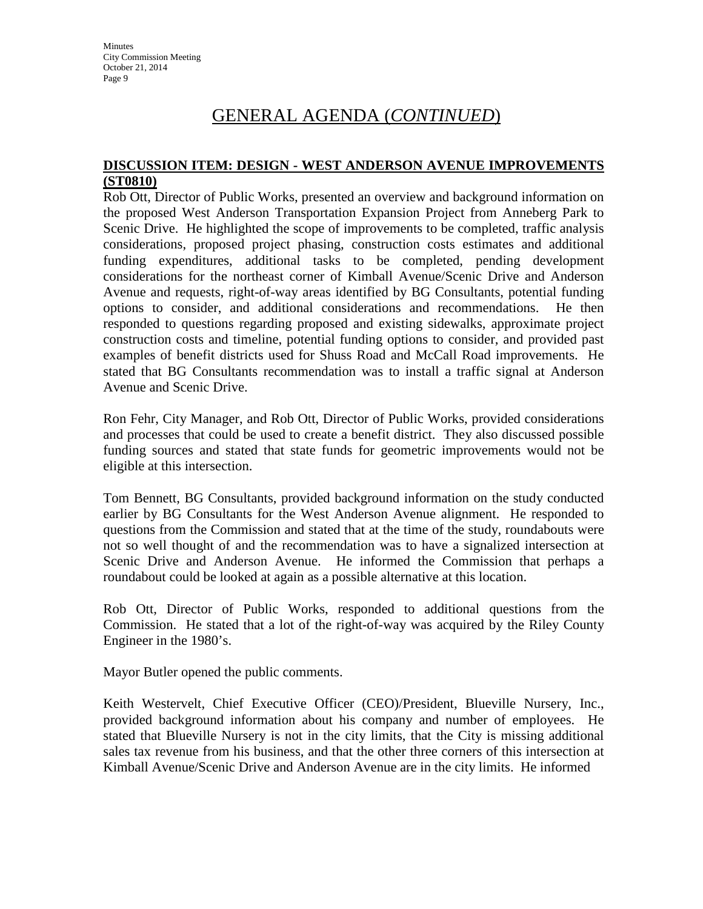### **DISCUSSION ITEM: DESIGN - WEST ANDERSON AVENUE IMPROVEMENTS (ST0810)**

Rob Ott, Director of Public Works, presented an overview and background information on the proposed West Anderson Transportation Expansion Project from Anneberg Park to Scenic Drive. He highlighted the scope of improvements to be completed, traffic analysis considerations, proposed project phasing, construction costs estimates and additional funding expenditures, additional tasks to be completed, pending development considerations for the northeast corner of Kimball Avenue/Scenic Drive and Anderson Avenue and requests, right-of-way areas identified by BG Consultants, potential funding options to consider, and additional considerations and recommendations. He then responded to questions regarding proposed and existing sidewalks, approximate project construction costs and timeline, potential funding options to consider, and provided past examples of benefit districts used for Shuss Road and McCall Road improvements. He stated that BG Consultants recommendation was to install a traffic signal at Anderson Avenue and Scenic Drive.

Ron Fehr, City Manager, and Rob Ott, Director of Public Works, provided considerations and processes that could be used to create a benefit district. They also discussed possible funding sources and stated that state funds for geometric improvements would not be eligible at this intersection.

Tom Bennett, BG Consultants, provided background information on the study conducted earlier by BG Consultants for the West Anderson Avenue alignment. He responded to questions from the Commission and stated that at the time of the study, roundabouts were not so well thought of and the recommendation was to have a signalized intersection at Scenic Drive and Anderson Avenue. He informed the Commission that perhaps a roundabout could be looked at again as a possible alternative at this location.

Rob Ott, Director of Public Works, responded to additional questions from the Commission. He stated that a lot of the right-of-way was acquired by the Riley County Engineer in the 1980's.

Mayor Butler opened the public comments.

Keith Westervelt, Chief Executive Officer (CEO)/President, Blueville Nursery, Inc., provided background information about his company and number of employees. He stated that Blueville Nursery is not in the city limits, that the City is missing additional sales tax revenue from his business, and that the other three corners of this intersection at Kimball Avenue/Scenic Drive and Anderson Avenue are in the city limits. He informed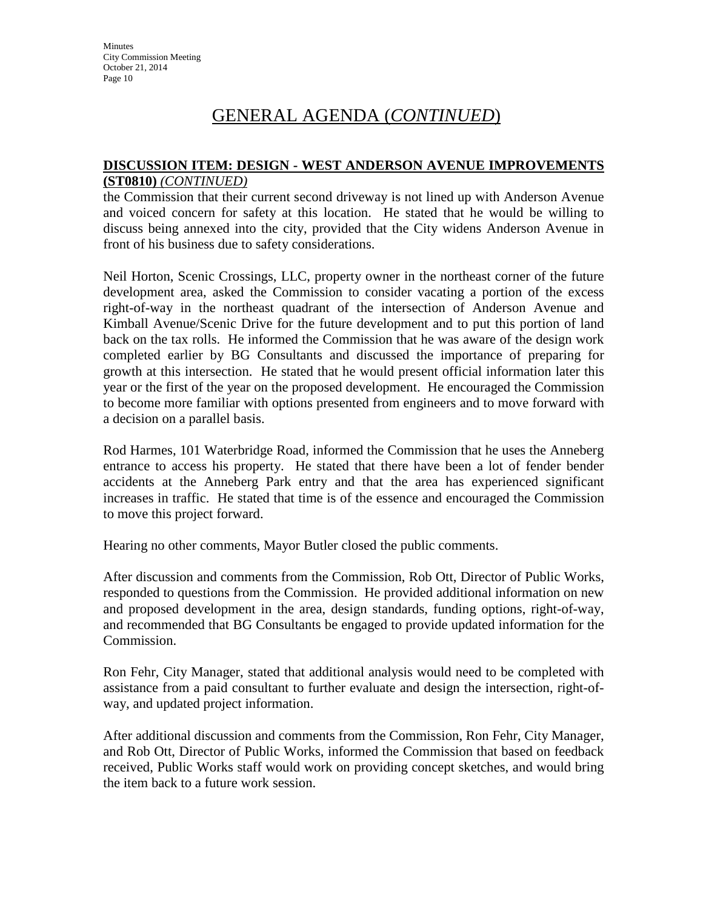### **DISCUSSION ITEM: DESIGN - WEST ANDERSON AVENUE IMPROVEMENTS (ST0810)** *(CONTINUED)*

the Commission that their current second driveway is not lined up with Anderson Avenue and voiced concern for safety at this location. He stated that he would be willing to discuss being annexed into the city, provided that the City widens Anderson Avenue in front of his business due to safety considerations.

Neil Horton, Scenic Crossings, LLC, property owner in the northeast corner of the future development area, asked the Commission to consider vacating a portion of the excess right-of-way in the northeast quadrant of the intersection of Anderson Avenue and Kimball Avenue/Scenic Drive for the future development and to put this portion of land back on the tax rolls. He informed the Commission that he was aware of the design work completed earlier by BG Consultants and discussed the importance of preparing for growth at this intersection. He stated that he would present official information later this year or the first of the year on the proposed development. He encouraged the Commission to become more familiar with options presented from engineers and to move forward with a decision on a parallel basis.

Rod Harmes, 101 Waterbridge Road, informed the Commission that he uses the Anneberg entrance to access his property. He stated that there have been a lot of fender bender accidents at the Anneberg Park entry and that the area has experienced significant increases in traffic. He stated that time is of the essence and encouraged the Commission to move this project forward.

Hearing no other comments, Mayor Butler closed the public comments.

After discussion and comments from the Commission, Rob Ott, Director of Public Works, responded to questions from the Commission. He provided additional information on new and proposed development in the area, design standards, funding options, right-of-way, and recommended that BG Consultants be engaged to provide updated information for the Commission.

Ron Fehr, City Manager, stated that additional analysis would need to be completed with assistance from a paid consultant to further evaluate and design the intersection, right-ofway, and updated project information.

After additional discussion and comments from the Commission, Ron Fehr, City Manager, and Rob Ott, Director of Public Works, informed the Commission that based on feedback received, Public Works staff would work on providing concept sketches, and would bring the item back to a future work session.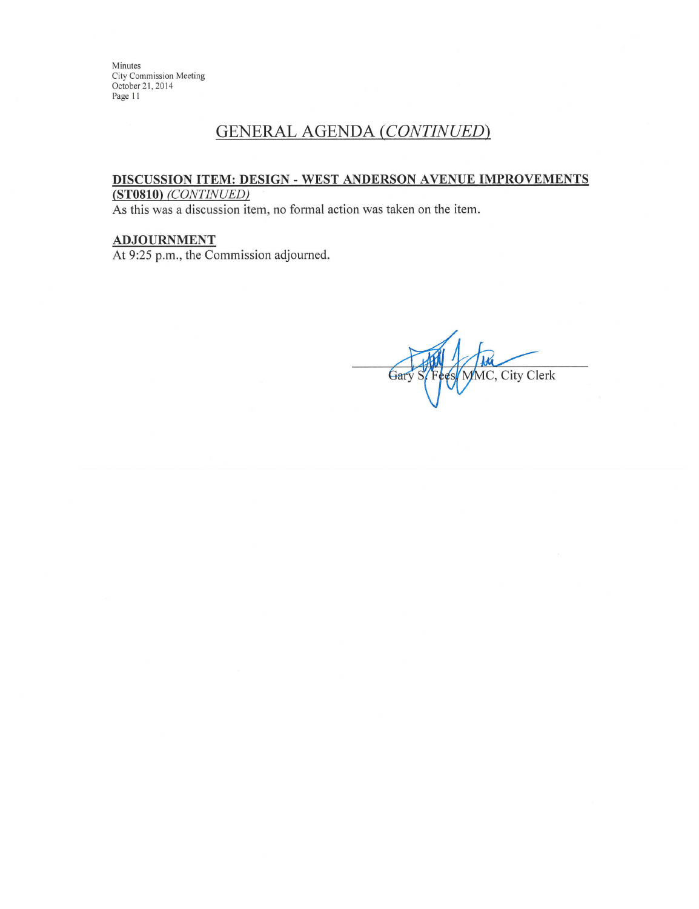$\rm Minutes$ City Commission Meeting October 21, 2014 Page 11

# **GENERAL AGENDA (CONTINUED)**

### DISCUSSION ITEM: DESIGN - WEST ANDERSON AVENUE IMPROVEMENTS (ST0810) (CONTINUED)

As this was a discussion item, no formal action was taken on the item.

# **ADJOURNMENT**

At 9:25 p.m., the Commission adjourned.

MC, City Clerk Gar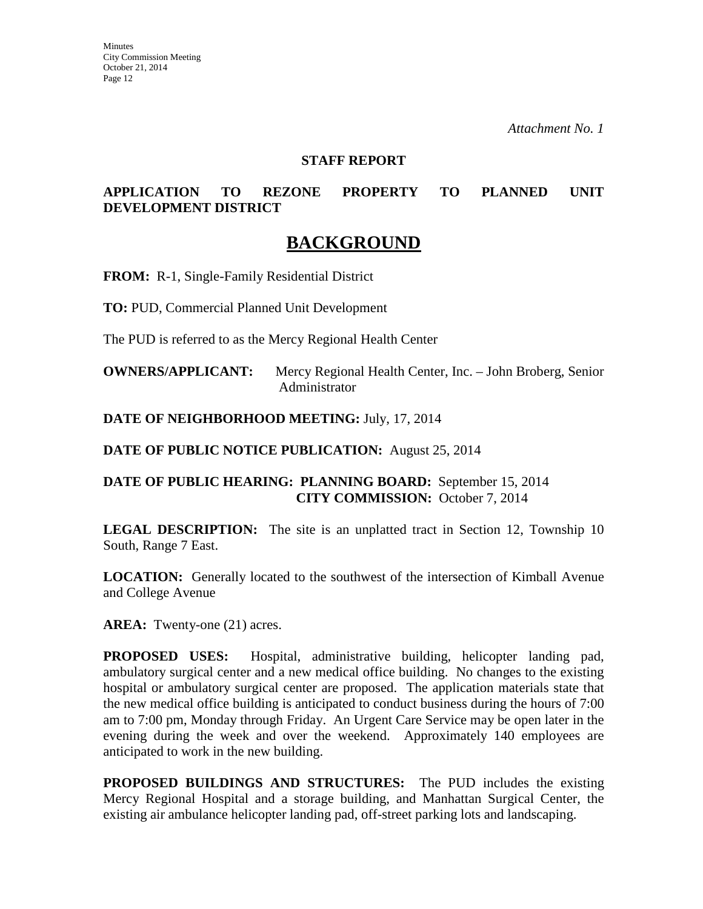#### **STAFF REPORT**

# **APPLICATION TO REZONE PROPERTY TO PLANNED UNIT DEVELOPMENT DISTRICT**

# **BACKGROUND**

**FROM:** R-1, Single-Family Residential District

**TO:** PUD, Commercial Planned Unit Development

The PUD is referred to as the Mercy Regional Health Center

**OWNERS/APPLICANT:** Mercy Regional Health Center, Inc. – John Broberg, Senior Administrator

**DATE OF NEIGHBORHOOD MEETING:** July, 17, 2014

**DATE OF PUBLIC NOTICE PUBLICATION:** August 25, 2014

# **DATE OF PUBLIC HEARING: PLANNING BOARD:** September 15, 2014 **CITY COMMISSION:** October 7, 2014

**LEGAL DESCRIPTION:** The site is an unplatted tract in Section 12, Township 10 South, Range 7 East.

**LOCATION:** Generally located to the southwest of the intersection of Kimball Avenue and College Avenue

AREA: Twenty-one (21) acres.

**PROPOSED USES:** Hospital, administrative building, helicopter landing pad, ambulatory surgical center and a new medical office building. No changes to the existing hospital or ambulatory surgical center are proposed. The application materials state that the new medical office building is anticipated to conduct business during the hours of 7:00 am to 7:00 pm, Monday through Friday. An Urgent Care Service may be open later in the evening during the week and over the weekend. Approximately 140 employees are anticipated to work in the new building.

**PROPOSED BUILDINGS AND STRUCTURES:** The PUD includes the existing Mercy Regional Hospital and a storage building, and Manhattan Surgical Center, the existing air ambulance helicopter landing pad, off-street parking lots and landscaping.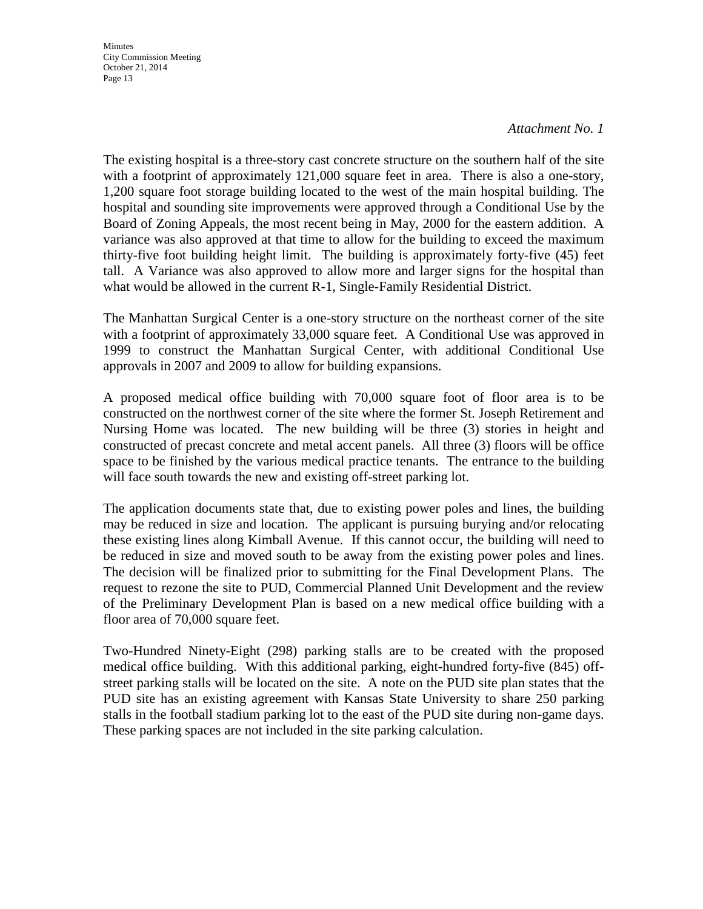**Minutes** City Commission Meeting October 21, 2014 Page 13

#### *Attachment No. 1*

The existing hospital is a three-story cast concrete structure on the southern half of the site with a footprint of approximately 121,000 square feet in area. There is also a one-story, 1,200 square foot storage building located to the west of the main hospital building. The hospital and sounding site improvements were approved through a Conditional Use by the Board of Zoning Appeals, the most recent being in May, 2000 for the eastern addition. A variance was also approved at that time to allow for the building to exceed the maximum thirty-five foot building height limit. The building is approximately forty-five (45) feet tall. A Variance was also approved to allow more and larger signs for the hospital than what would be allowed in the current R-1, Single-Family Residential District.

The Manhattan Surgical Center is a one-story structure on the northeast corner of the site with a footprint of approximately 33,000 square feet. A Conditional Use was approved in 1999 to construct the Manhattan Surgical Center, with additional Conditional Use approvals in 2007 and 2009 to allow for building expansions.

A proposed medical office building with 70,000 square foot of floor area is to be constructed on the northwest corner of the site where the former St. Joseph Retirement and Nursing Home was located. The new building will be three (3) stories in height and constructed of precast concrete and metal accent panels. All three (3) floors will be office space to be finished by the various medical practice tenants. The entrance to the building will face south towards the new and existing off-street parking lot.

The application documents state that, due to existing power poles and lines, the building may be reduced in size and location. The applicant is pursuing burying and/or relocating these existing lines along Kimball Avenue. If this cannot occur, the building will need to be reduced in size and moved south to be away from the existing power poles and lines. The decision will be finalized prior to submitting for the Final Development Plans. The request to rezone the site to PUD, Commercial Planned Unit Development and the review of the Preliminary Development Plan is based on a new medical office building with a floor area of 70,000 square feet.

Two-Hundred Ninety-Eight (298) parking stalls are to be created with the proposed medical office building. With this additional parking, eight-hundred forty-five (845) offstreet parking stalls will be located on the site. A note on the PUD site plan states that the PUD site has an existing agreement with Kansas State University to share 250 parking stalls in the football stadium parking lot to the east of the PUD site during non-game days. These parking spaces are not included in the site parking calculation.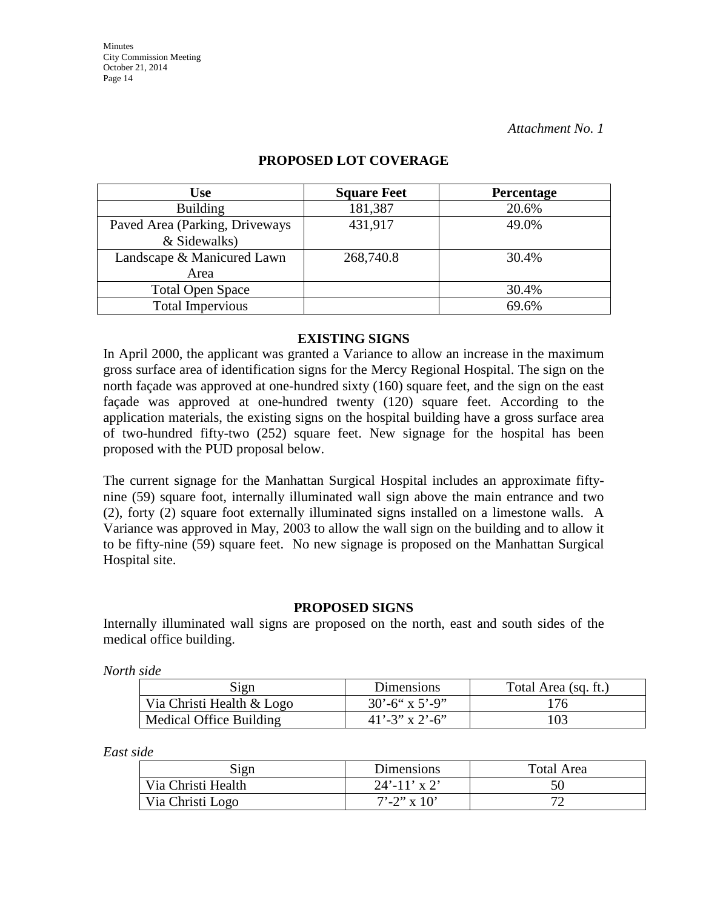| <b>Use</b>                     | <b>Square Feet</b> | <b>Percentage</b> |
|--------------------------------|--------------------|-------------------|
| <b>Building</b>                | 181,387            | 20.6%             |
| Paved Area (Parking, Driveways | 431,917            | 49.0%             |
| & Sidewalks)                   |                    |                   |
| Landscape & Manicured Lawn     | 268,740.8          | 30.4%             |
| Area                           |                    |                   |
| <b>Total Open Space</b>        |                    | 30.4%             |
| <b>Total Impervious</b>        |                    | 69.6%             |

# **PROPOSED LOT COVERAGE**

#### **EXISTING SIGNS**

In April 2000, the applicant was granted a Variance to allow an increase in the maximum gross surface area of identification signs for the Mercy Regional Hospital. The sign on the north façade was approved at one-hundred sixty (160) square feet, and the sign on the east façade was approved at one-hundred twenty (120) square feet. According to the application materials, the existing signs on the hospital building have a gross surface area of two-hundred fifty-two (252) square feet. New signage for the hospital has been proposed with the PUD proposal below.

The current signage for the Manhattan Surgical Hospital includes an approximate fiftynine (59) square foot, internally illuminated wall sign above the main entrance and two (2), forty (2) square foot externally illuminated signs installed on a limestone walls. A Variance was approved in May, 2003 to allow the wall sign on the building and to allow it to be fifty-nine (59) square feet. No new signage is proposed on the Manhattan Surgical Hospital site.

#### **PROPOSED SIGNS**

Internally illuminated wall signs are proposed on the north, east and south sides of the medical office building.

*North side* 

| Sign                      | <b>Dimensions</b>          | Total Area (sq. ft.) |
|---------------------------|----------------------------|----------------------|
| Via Christi Health & Logo | $30^{\circ} - 6$ " x 5'-9" | 176                  |
| Medical Office Building   | $41'$ -3" x 2'-6"          | 103                  |

*East side* 

| Sign               | <b>Dimensions</b> | Total Area |
|--------------------|-------------------|------------|
| Via Christi Health | $24'$ -11' x 2'   | 50         |
| Via Christi Logo   | $7' - 2''$ x 10'  |            |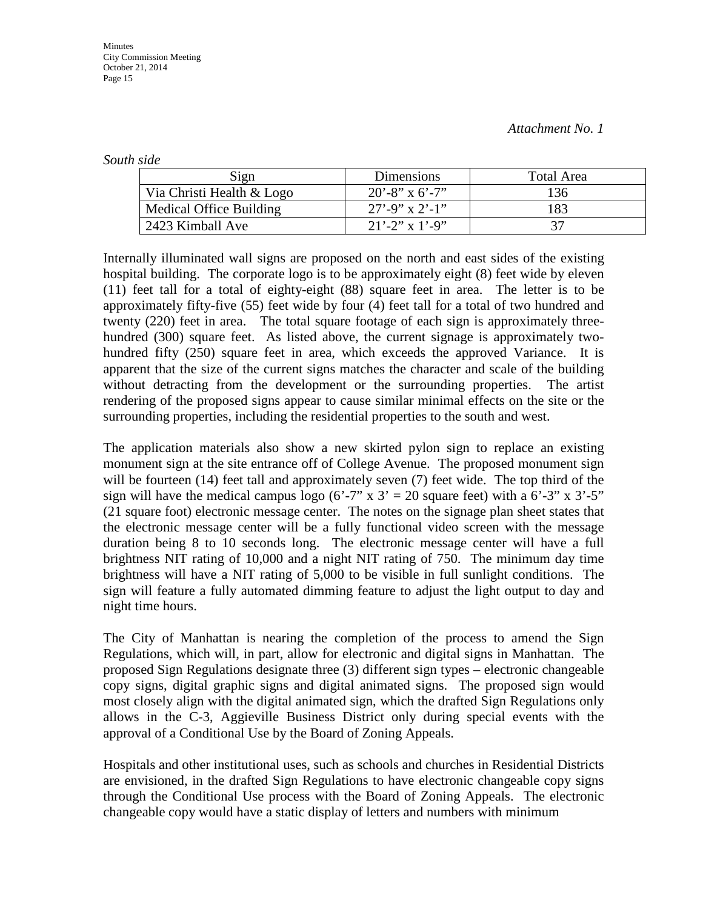*South side* 

| Sign                      | Dimensions          | Total Area |
|---------------------------|---------------------|------------|
| Via Christi Health & Logo | $20' - 8''$ x 6'-7" | 136        |
| Medical Office Building   | $27' - 9''$ x 2'-1" | 183        |
| 2423 Kimball Ave          | $21'$ -2" x 1'-9"   |            |

Internally illuminated wall signs are proposed on the north and east sides of the existing hospital building. The corporate logo is to be approximately eight (8) feet wide by eleven (11) feet tall for a total of eighty-eight (88) square feet in area. The letter is to be approximately fifty-five (55) feet wide by four (4) feet tall for a total of two hundred and twenty (220) feet in area. The total square footage of each sign is approximately threehundred (300) square feet. As listed above, the current signage is approximately twohundred fifty (250) square feet in area, which exceeds the approved Variance. It is apparent that the size of the current signs matches the character and scale of the building without detracting from the development or the surrounding properties. The artist rendering of the proposed signs appear to cause similar minimal effects on the site or the surrounding properties, including the residential properties to the south and west.

The application materials also show a new skirted pylon sign to replace an existing monument sign at the site entrance off of College Avenue. The proposed monument sign will be fourteen (14) feet tall and approximately seven (7) feet wide. The top third of the sign will have the medical campus logo (6'-7" x  $3' = 20$  square feet) with a 6'-3" x 3'-5" (21 square foot) electronic message center. The notes on the signage plan sheet states that the electronic message center will be a fully functional video screen with the message duration being 8 to 10 seconds long. The electronic message center will have a full brightness NIT rating of 10,000 and a night NIT rating of 750. The minimum day time brightness will have a NIT rating of 5,000 to be visible in full sunlight conditions. The sign will feature a fully automated dimming feature to adjust the light output to day and night time hours.

The City of Manhattan is nearing the completion of the process to amend the Sign Regulations, which will, in part, allow for electronic and digital signs in Manhattan. The proposed Sign Regulations designate three (3) different sign types – electronic changeable copy signs, digital graphic signs and digital animated signs. The proposed sign would most closely align with the digital animated sign, which the drafted Sign Regulations only allows in the C-3, Aggieville Business District only during special events with the approval of a Conditional Use by the Board of Zoning Appeals.

Hospitals and other institutional uses, such as schools and churches in Residential Districts are envisioned, in the drafted Sign Regulations to have electronic changeable copy signs through the Conditional Use process with the Board of Zoning Appeals. The electronic changeable copy would have a static display of letters and numbers with minimum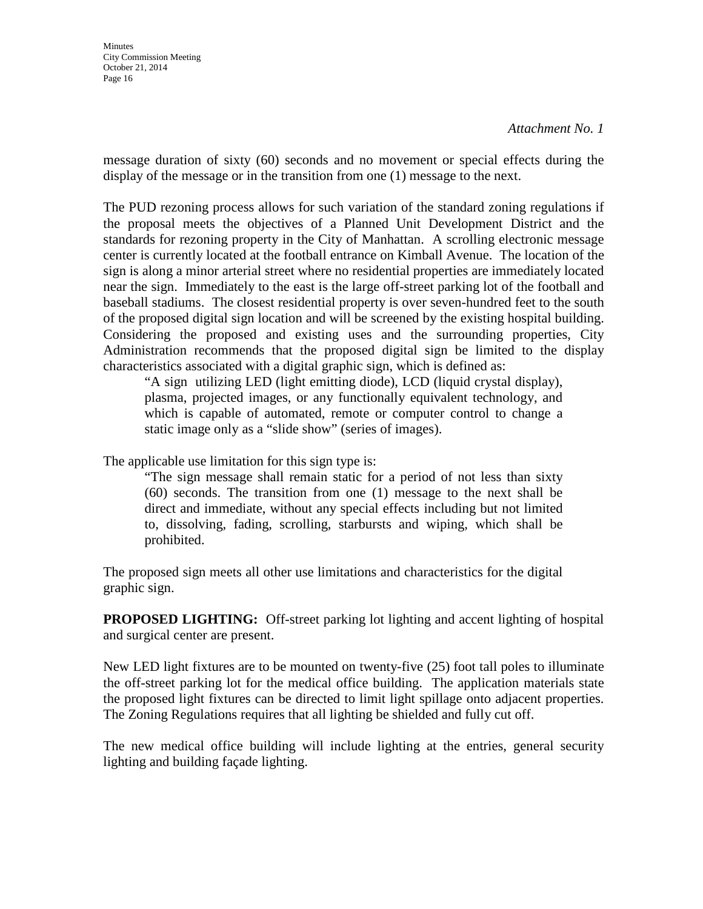message duration of sixty (60) seconds and no movement or special effects during the display of the message or in the transition from one (1) message to the next.

The PUD rezoning process allows for such variation of the standard zoning regulations if the proposal meets the objectives of a Planned Unit Development District and the standards for rezoning property in the City of Manhattan. A scrolling electronic message center is currently located at the football entrance on Kimball Avenue. The location of the sign is along a minor arterial street where no residential properties are immediately located near the sign. Immediately to the east is the large off-street parking lot of the football and baseball stadiums. The closest residential property is over seven-hundred feet to the south of the proposed digital sign location and will be screened by the existing hospital building. Considering the proposed and existing uses and the surrounding properties, City Administration recommends that the proposed digital sign be limited to the display characteristics associated with a digital graphic sign, which is defined as:

"A sign utilizing LED (light emitting diode), LCD (liquid crystal display), plasma, projected images, or any functionally equivalent technology, and which is capable of automated, remote or computer control to change a static image only as a "slide show" (series of images).

The applicable use limitation for this sign type is:

"The sign message shall remain static for a period of not less than sixty (60) seconds. The transition from one (1) message to the next shall be direct and immediate, without any special effects including but not limited to, dissolving, fading, scrolling, starbursts and wiping, which shall be prohibited.

The proposed sign meets all other use limitations and characteristics for the digital graphic sign.

**PROPOSED LIGHTING:** Off-street parking lot lighting and accent lighting of hospital and surgical center are present.

New LED light fixtures are to be mounted on twenty-five (25) foot tall poles to illuminate the off-street parking lot for the medical office building. The application materials state the proposed light fixtures can be directed to limit light spillage onto adjacent properties. The Zoning Regulations requires that all lighting be shielded and fully cut off.

The new medical office building will include lighting at the entries, general security lighting and building façade lighting.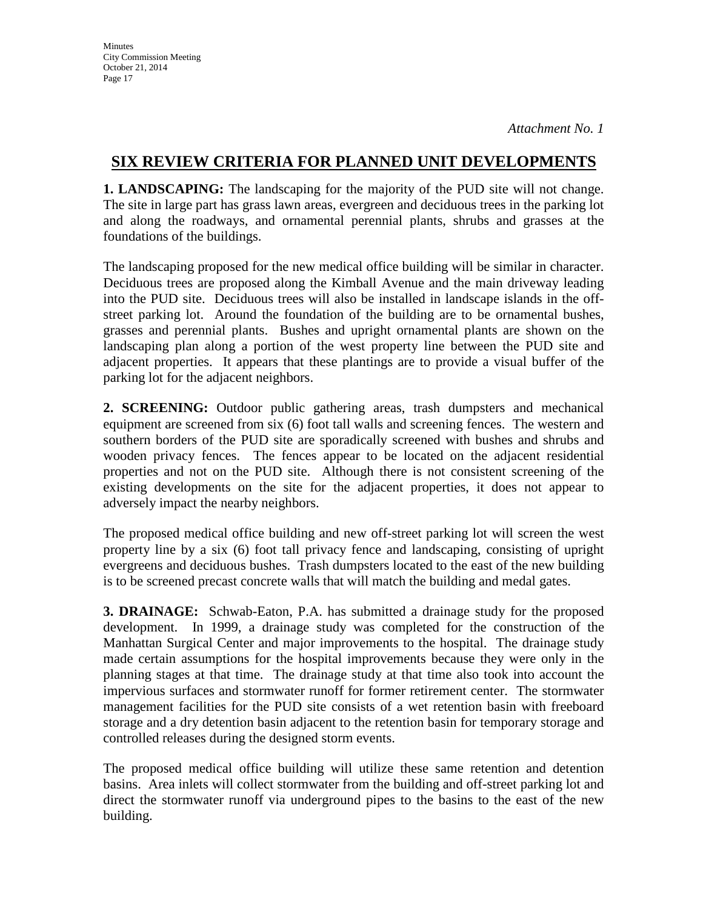**1. LANDSCAPING:** The landscaping for the majority of the PUD site will not change. The site in large part has grass lawn areas, evergreen and deciduous trees in the parking lot and along the roadways, and ornamental perennial plants, shrubs and grasses at the foundations of the buildings.

The landscaping proposed for the new medical office building will be similar in character. Deciduous trees are proposed along the Kimball Avenue and the main driveway leading into the PUD site. Deciduous trees will also be installed in landscape islands in the offstreet parking lot. Around the foundation of the building are to be ornamental bushes, grasses and perennial plants. Bushes and upright ornamental plants are shown on the landscaping plan along a portion of the west property line between the PUD site and adjacent properties. It appears that these plantings are to provide a visual buffer of the parking lot for the adjacent neighbors.

**2. SCREENING:** Outdoor public gathering areas, trash dumpsters and mechanical equipment are screened from six (6) foot tall walls and screening fences. The western and southern borders of the PUD site are sporadically screened with bushes and shrubs and wooden privacy fences. The fences appear to be located on the adjacent residential properties and not on the PUD site. Although there is not consistent screening of the existing developments on the site for the adjacent properties, it does not appear to adversely impact the nearby neighbors.

The proposed medical office building and new off-street parking lot will screen the west property line by a six (6) foot tall privacy fence and landscaping, consisting of upright evergreens and deciduous bushes. Trash dumpsters located to the east of the new building is to be screened precast concrete walls that will match the building and medal gates.

**3. DRAINAGE:** Schwab-Eaton, P.A. has submitted a drainage study for the proposed development. In 1999, a drainage study was completed for the construction of the Manhattan Surgical Center and major improvements to the hospital. The drainage study made certain assumptions for the hospital improvements because they were only in the planning stages at that time. The drainage study at that time also took into account the impervious surfaces and stormwater runoff for former retirement center. The stormwater management facilities for the PUD site consists of a wet retention basin with freeboard storage and a dry detention basin adjacent to the retention basin for temporary storage and controlled releases during the designed storm events.

The proposed medical office building will utilize these same retention and detention basins. Area inlets will collect stormwater from the building and off-street parking lot and direct the stormwater runoff via underground pipes to the basins to the east of the new building.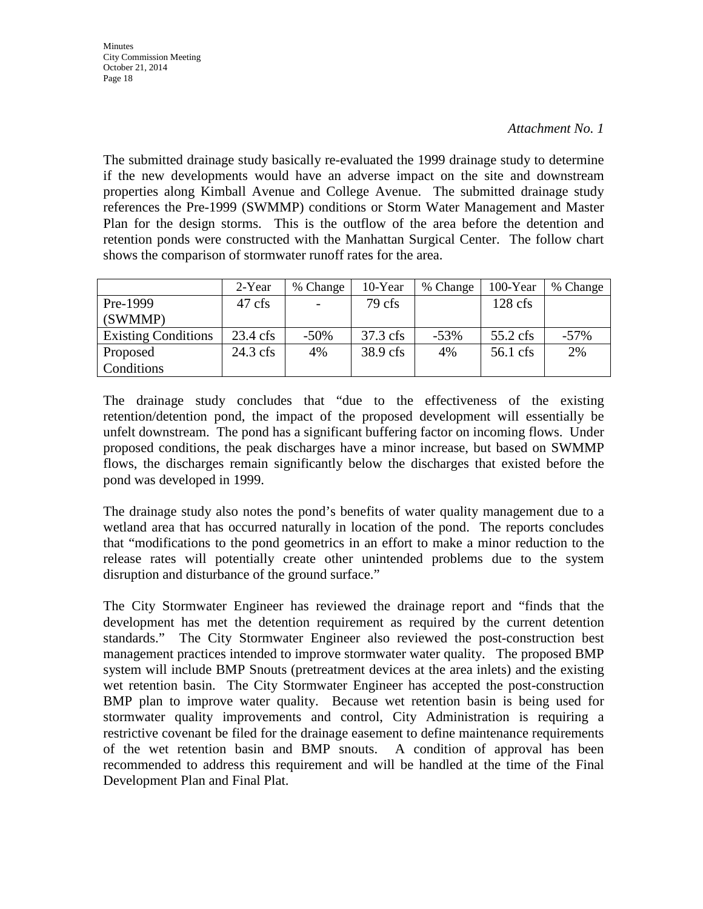The submitted drainage study basically re-evaluated the 1999 drainage study to determine if the new developments would have an adverse impact on the site and downstream properties along Kimball Avenue and College Avenue. The submitted drainage study references the Pre-1999 (SWMMP) conditions or Storm Water Management and Master Plan for the design storms. This is the outflow of the area before the detention and retention ponds were constructed with the Manhattan Surgical Center. The follow chart shows the comparison of stormwater runoff rates for the area.

|                            | 2-Year             | % Change | 10-Year  | % Change | 100-Year   | % Change |
|----------------------------|--------------------|----------|----------|----------|------------|----------|
| Pre-1999                   | 47 cfs             |          | 79 cfs   |          | $128$ cfs  |          |
| (SWMMP)                    |                    |          |          |          |            |          |
| <b>Existing Conditions</b> | $23.4 \text{ cfs}$ | $-50\%$  | 37.3 cfs | $-53%$   | $55.2$ cfs | $-57\%$  |
| Proposed                   | $24.3 \text{ cfs}$ | 4%       | 38.9 cfs | 4%       | 56.1 cfs   | 2%       |
| Conditions                 |                    |          |          |          |            |          |

The drainage study concludes that "due to the effectiveness of the existing retention/detention pond, the impact of the proposed development will essentially be unfelt downstream. The pond has a significant buffering factor on incoming flows. Under proposed conditions, the peak discharges have a minor increase, but based on SWMMP flows, the discharges remain significantly below the discharges that existed before the pond was developed in 1999.

The drainage study also notes the pond's benefits of water quality management due to a wetland area that has occurred naturally in location of the pond. The reports concludes that "modifications to the pond geometrics in an effort to make a minor reduction to the release rates will potentially create other unintended problems due to the system disruption and disturbance of the ground surface."

The City Stormwater Engineer has reviewed the drainage report and "finds that the development has met the detention requirement as required by the current detention standards." The City Stormwater Engineer also reviewed the post-construction best management practices intended to improve stormwater water quality. The proposed BMP system will include BMP Snouts (pretreatment devices at the area inlets) and the existing wet retention basin. The City Stormwater Engineer has accepted the post-construction BMP plan to improve water quality. Because wet retention basin is being used for stormwater quality improvements and control, City Administration is requiring a restrictive covenant be filed for the drainage easement to define maintenance requirements of the wet retention basin and BMP snouts. A condition of approval has been recommended to address this requirement and will be handled at the time of the Final Development Plan and Final Plat.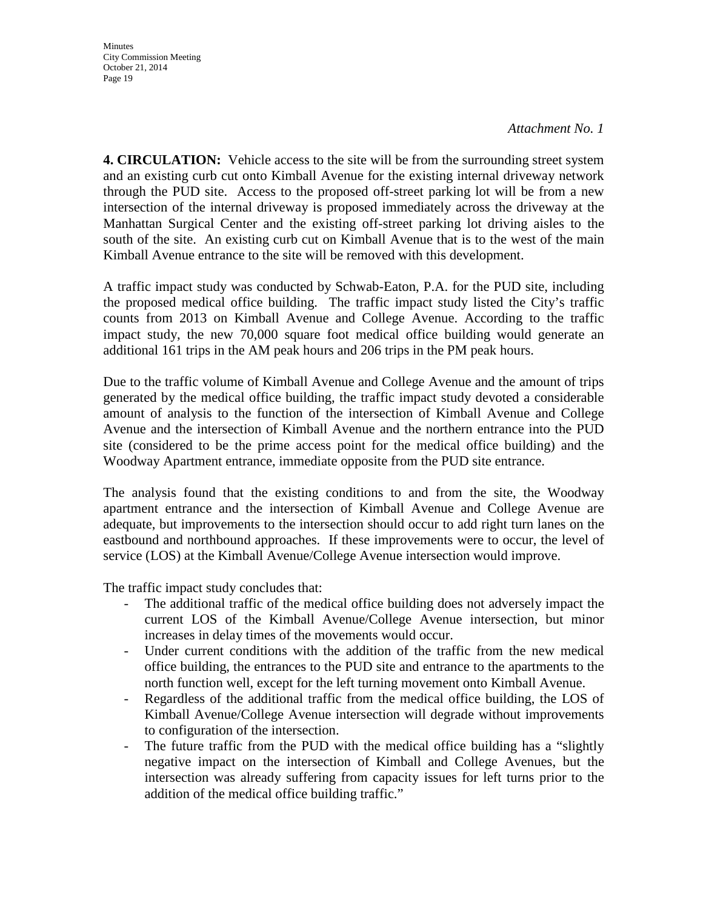**Minutes** City Commission Meeting October 21, 2014 Page 19

*Attachment No. 1* 

**4. CIRCULATION:** Vehicle access to the site will be from the surrounding street system and an existing curb cut onto Kimball Avenue for the existing internal driveway network through the PUD site. Access to the proposed off-street parking lot will be from a new intersection of the internal driveway is proposed immediately across the driveway at the Manhattan Surgical Center and the existing off-street parking lot driving aisles to the south of the site. An existing curb cut on Kimball Avenue that is to the west of the main Kimball Avenue entrance to the site will be removed with this development.

A traffic impact study was conducted by Schwab-Eaton, P.A. for the PUD site, including the proposed medical office building. The traffic impact study listed the City's traffic counts from 2013 on Kimball Avenue and College Avenue. According to the traffic impact study, the new 70,000 square foot medical office building would generate an additional 161 trips in the AM peak hours and 206 trips in the PM peak hours.

Due to the traffic volume of Kimball Avenue and College Avenue and the amount of trips generated by the medical office building, the traffic impact study devoted a considerable amount of analysis to the function of the intersection of Kimball Avenue and College Avenue and the intersection of Kimball Avenue and the northern entrance into the PUD site (considered to be the prime access point for the medical office building) and the Woodway Apartment entrance, immediate opposite from the PUD site entrance.

The analysis found that the existing conditions to and from the site, the Woodway apartment entrance and the intersection of Kimball Avenue and College Avenue are adequate, but improvements to the intersection should occur to add right turn lanes on the eastbound and northbound approaches. If these improvements were to occur, the level of service (LOS) at the Kimball Avenue/College Avenue intersection would improve.

The traffic impact study concludes that:

- The additional traffic of the medical office building does not adversely impact the current LOS of the Kimball Avenue/College Avenue intersection, but minor increases in delay times of the movements would occur.
- Under current conditions with the addition of the traffic from the new medical office building, the entrances to the PUD site and entrance to the apartments to the north function well, except for the left turning movement onto Kimball Avenue.
- Regardless of the additional traffic from the medical office building, the LOS of Kimball Avenue/College Avenue intersection will degrade without improvements to configuration of the intersection.
- The future traffic from the PUD with the medical office building has a "slightly negative impact on the intersection of Kimball and College Avenues, but the intersection was already suffering from capacity issues for left turns prior to the addition of the medical office building traffic."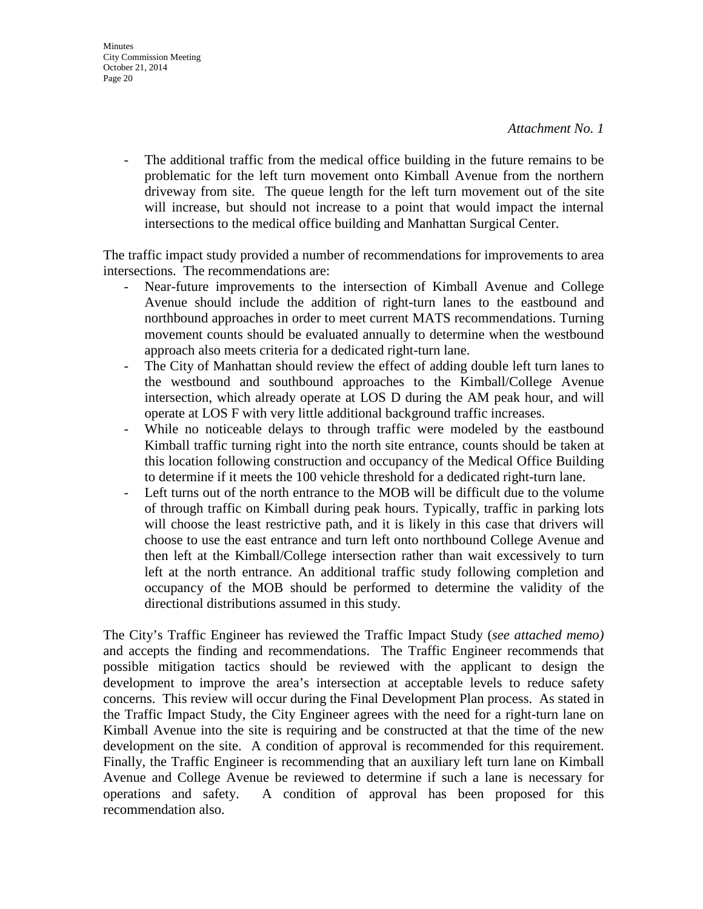- The additional traffic from the medical office building in the future remains to be problematic for the left turn movement onto Kimball Avenue from the northern driveway from site. The queue length for the left turn movement out of the site will increase, but should not increase to a point that would impact the internal intersections to the medical office building and Manhattan Surgical Center.

The traffic impact study provided a number of recommendations for improvements to area intersections. The recommendations are:

- Near-future improvements to the intersection of Kimball Avenue and College Avenue should include the addition of right-turn lanes to the eastbound and northbound approaches in order to meet current MATS recommendations. Turning movement counts should be evaluated annually to determine when the westbound approach also meets criteria for a dedicated right-turn lane.
- The City of Manhattan should review the effect of adding double left turn lanes to the westbound and southbound approaches to the Kimball/College Avenue intersection, which already operate at LOS D during the AM peak hour, and will operate at LOS F with very little additional background traffic increases.
- While no noticeable delays to through traffic were modeled by the eastbound Kimball traffic turning right into the north site entrance, counts should be taken at this location following construction and occupancy of the Medical Office Building to determine if it meets the 100 vehicle threshold for a dedicated right-turn lane.
- Left turns out of the north entrance to the MOB will be difficult due to the volume of through traffic on Kimball during peak hours. Typically, traffic in parking lots will choose the least restrictive path, and it is likely in this case that drivers will choose to use the east entrance and turn left onto northbound College Avenue and then left at the Kimball/College intersection rather than wait excessively to turn left at the north entrance. An additional traffic study following completion and occupancy of the MOB should be performed to determine the validity of the directional distributions assumed in this study.

The City's Traffic Engineer has reviewed the Traffic Impact Study (*see attached memo)*  and accepts the finding and recommendations. The Traffic Engineer recommends that possible mitigation tactics should be reviewed with the applicant to design the development to improve the area's intersection at acceptable levels to reduce safety concerns. This review will occur during the Final Development Plan process. As stated in the Traffic Impact Study, the City Engineer agrees with the need for a right-turn lane on Kimball Avenue into the site is requiring and be constructed at that the time of the new development on the site. A condition of approval is recommended for this requirement. Finally, the Traffic Engineer is recommending that an auxiliary left turn lane on Kimball Avenue and College Avenue be reviewed to determine if such a lane is necessary for operations and safety. A condition of approval has been proposed for this recommendation also.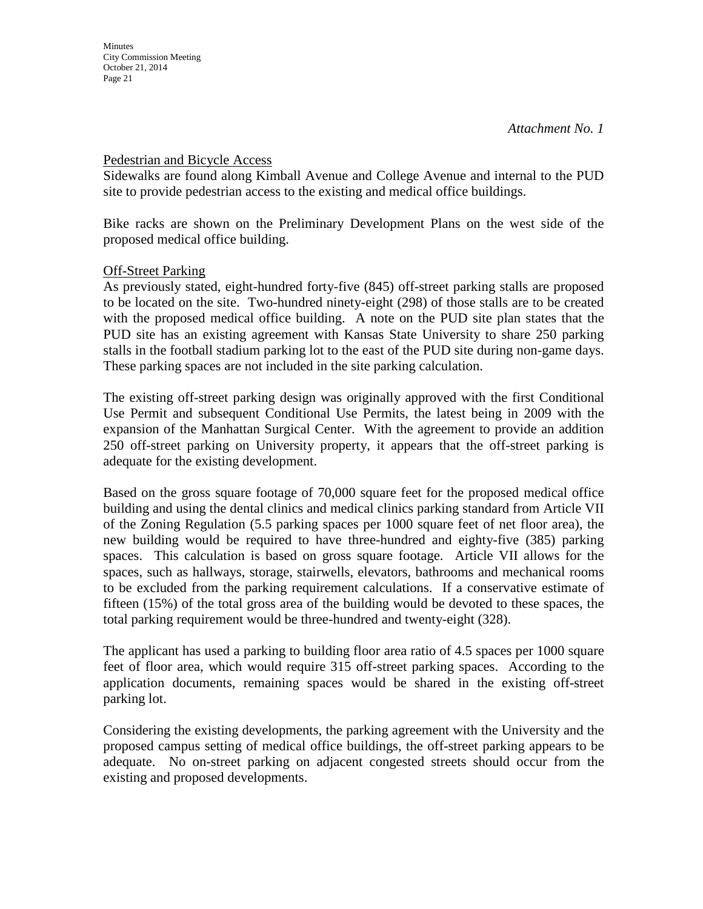### Pedestrian and Bicycle Access

Sidewalks are found along Kimball Avenue and College Avenue and internal to the PUD site to provide pedestrian access to the existing and medical office buildings.

Bike racks are shown on the Preliminary Development Plans on the west side of the proposed medical office building.

### **Off-Street Parking**

As previously stated, eight-hundred forty-five (845) off-street parking stalls are proposed to be located on the site. Two-hundred ninety-eight (298) of those stalls are to be created with the proposed medical office building. A note on the PUD site plan states that the PUD site has an existing agreement with Kansas State University to share 250 parking stalls in the football stadium parking lot to the east of the PUD site during non-game days. These parking spaces are not included in the site parking calculation.

The existing off-street parking design was originally approved with the first Conditional Use Permit and subsequent Conditional Use Permits, the latest being in 2009 with the expansion of the Manhattan Surgical Center. With the agreement to provide an addition 250 off-street parking on University property, it appears that the off-street parking is adequate for the existing development.

Based on the gross square footage of 70,000 square feet for the proposed medical office building and using the dental clinics and medical clinics parking standard from Article VII of the Zoning Regulation (5.5 parking spaces per 1000 square feet of net floor area), the new building would be required to have three-hundred and eighty-five (385) parking spaces. This calculation is based on gross square footage. Article VII allows for the spaces, such as hallways, storage, stairwells, elevators, bathrooms and mechanical rooms to be excluded from the parking requirement calculations. If a conservative estimate of fifteen (15%) of the total gross area of the building would be devoted to these spaces, the total parking requirement would be three-hundred and twenty-eight (328).

The applicant has used a parking to building floor area ratio of 4.5 spaces per 1000 square feet of floor area, which would require 315 off-street parking spaces. According to the application documents, remaining spaces would be shared in the existing off-street parking lot.

Considering the existing developments, the parking agreement with the University and the proposed campus setting of medical office buildings, the off-street parking appears to be adequate. No on-street parking on adjacent congested streets should occur from the existing and proposed developments.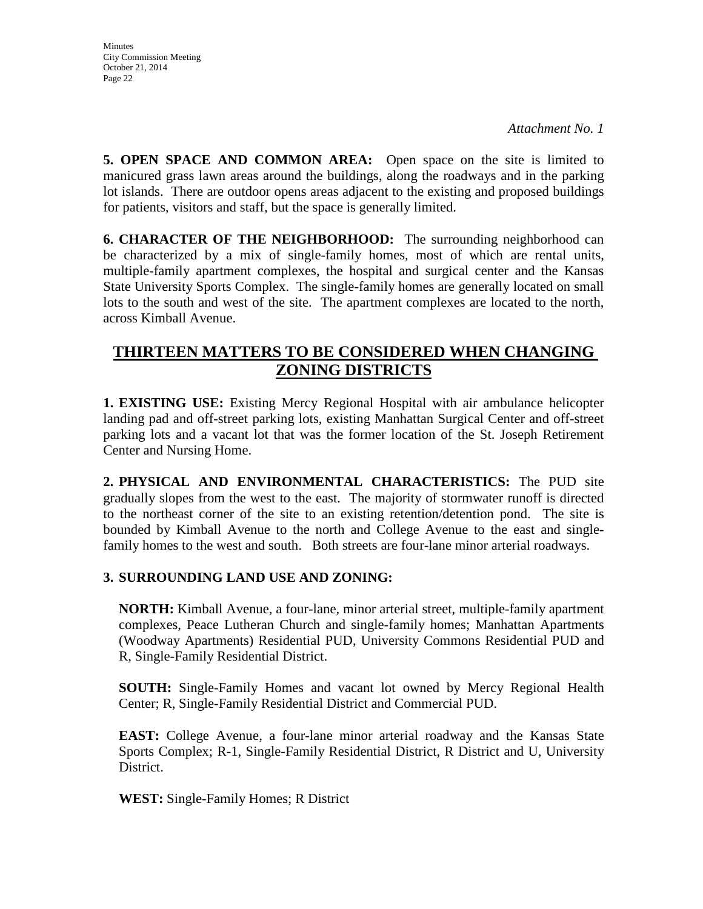**5. OPEN SPACE AND COMMON AREA:** Open space on the site is limited to manicured grass lawn areas around the buildings, along the roadways and in the parking lot islands. There are outdoor opens areas adjacent to the existing and proposed buildings for patients, visitors and staff, but the space is generally limited.

**6. CHARACTER OF THE NEIGHBORHOOD:** The surrounding neighborhood can be characterized by a mix of single-family homes, most of which are rental units, multiple-family apartment complexes, the hospital and surgical center and the Kansas State University Sports Complex. The single-family homes are generally located on small lots to the south and west of the site. The apartment complexes are located to the north, across Kimball Avenue.

# **THIRTEEN MATTERS TO BE CONSIDERED WHEN CHANGING ZONING DISTRICTS**

**1. EXISTING USE:** Existing Mercy Regional Hospital with air ambulance helicopter landing pad and off-street parking lots, existing Manhattan Surgical Center and off-street parking lots and a vacant lot that was the former location of the St. Joseph Retirement Center and Nursing Home.

**2. PHYSICAL AND ENVIRONMENTAL CHARACTERISTICS:** The PUD site gradually slopes from the west to the east. The majority of stormwater runoff is directed to the northeast corner of the site to an existing retention/detention pond. The site is bounded by Kimball Avenue to the north and College Avenue to the east and singlefamily homes to the west and south. Both streets are four-lane minor arterial roadways.

# **3. SURROUNDING LAND USE AND ZONING:**

**NORTH:** Kimball Avenue, a four-lane, minor arterial street, multiple-family apartment complexes, Peace Lutheran Church and single-family homes; Manhattan Apartments (Woodway Apartments) Residential PUD, University Commons Residential PUD and R, Single-Family Residential District.

**SOUTH:** Single-Family Homes and vacant lot owned by Mercy Regional Health Center; R, Single-Family Residential District and Commercial PUD.

**EAST:** College Avenue, a four-lane minor arterial roadway and the Kansas State Sports Complex; R-1, Single-Family Residential District, R District and U, University District.

**WEST:** Single-Family Homes; R District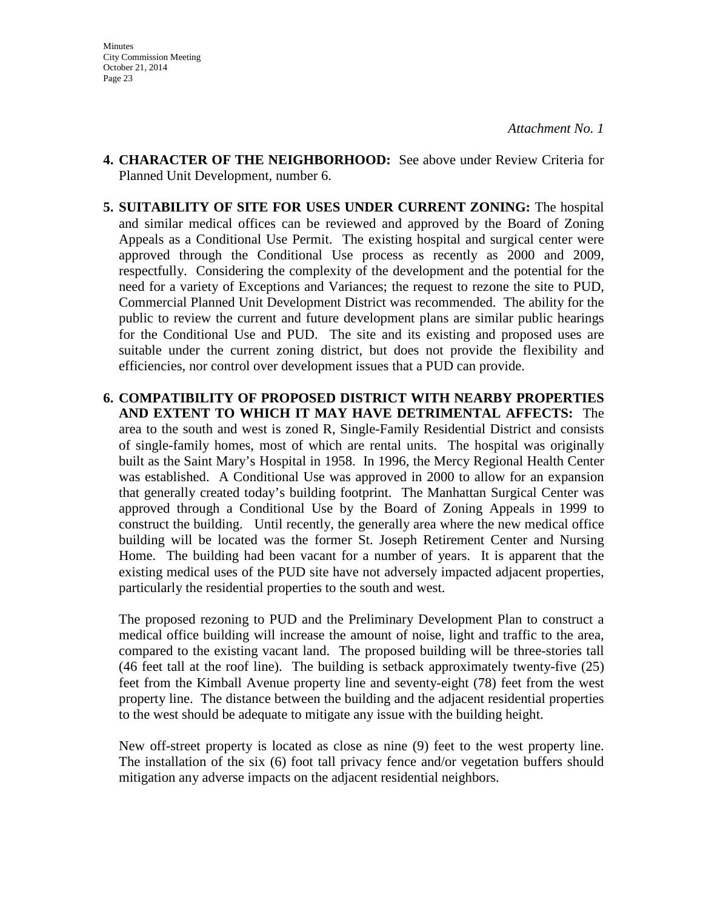- **4. CHARACTER OF THE NEIGHBORHOOD:** See above under Review Criteria for Planned Unit Development, number 6.
- **5. SUITABILITY OF SITE FOR USES UNDER CURRENT ZONING:** The hospital and similar medical offices can be reviewed and approved by the Board of Zoning Appeals as a Conditional Use Permit. The existing hospital and surgical center were approved through the Conditional Use process as recently as 2000 and 2009, respectfully. Considering the complexity of the development and the potential for the need for a variety of Exceptions and Variances; the request to rezone the site to PUD, Commercial Planned Unit Development District was recommended. The ability for the public to review the current and future development plans are similar public hearings for the Conditional Use and PUD. The site and its existing and proposed uses are suitable under the current zoning district, but does not provide the flexibility and efficiencies, nor control over development issues that a PUD can provide.
- **6. COMPATIBILITY OF PROPOSED DISTRICT WITH NEARBY PROPERTIES AND EXTENT TO WHICH IT MAY HAVE DETRIMENTAL AFFECTS:** The area to the south and west is zoned R, Single-Family Residential District and consists of single-family homes, most of which are rental units. The hospital was originally built as the Saint Mary's Hospital in 1958. In 1996, the Mercy Regional Health Center was established. A Conditional Use was approved in 2000 to allow for an expansion that generally created today's building footprint. The Manhattan Surgical Center was approved through a Conditional Use by the Board of Zoning Appeals in 1999 to construct the building. Until recently, the generally area where the new medical office building will be located was the former St. Joseph Retirement Center and Nursing Home. The building had been vacant for a number of years. It is apparent that the existing medical uses of the PUD site have not adversely impacted adjacent properties, particularly the residential properties to the south and west.

The proposed rezoning to PUD and the Preliminary Development Plan to construct a medical office building will increase the amount of noise, light and traffic to the area, compared to the existing vacant land. The proposed building will be three-stories tall (46 feet tall at the roof line). The building is setback approximately twenty-five (25) feet from the Kimball Avenue property line and seventy-eight (78) feet from the west property line. The distance between the building and the adjacent residential properties to the west should be adequate to mitigate any issue with the building height.

New off-street property is located as close as nine (9) feet to the west property line. The installation of the six (6) foot tall privacy fence and/or vegetation buffers should mitigation any adverse impacts on the adjacent residential neighbors.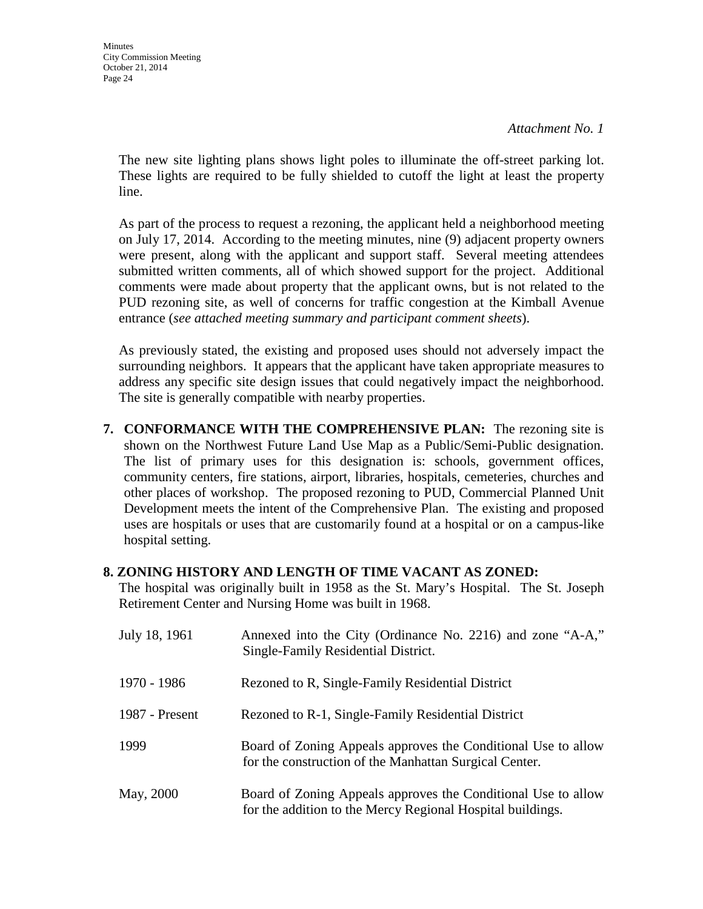**Minutes** City Commission Meeting October 21, 2014 Page 24

*Attachment No. 1* 

The new site lighting plans shows light poles to illuminate the off-street parking lot. These lights are required to be fully shielded to cutoff the light at least the property line.

As part of the process to request a rezoning, the applicant held a neighborhood meeting on July 17, 2014. According to the meeting minutes, nine (9) adjacent property owners were present, along with the applicant and support staff. Several meeting attendees submitted written comments, all of which showed support for the project. Additional comments were made about property that the applicant owns, but is not related to the PUD rezoning site, as well of concerns for traffic congestion at the Kimball Avenue entrance (*see attached meeting summary and participant comment sheets*).

As previously stated, the existing and proposed uses should not adversely impact the surrounding neighbors. It appears that the applicant have taken appropriate measures to address any specific site design issues that could negatively impact the neighborhood. The site is generally compatible with nearby properties.

**7. CONFORMANCE WITH THE COMPREHENSIVE PLAN:** The rezoning site is shown on the Northwest Future Land Use Map as a Public/Semi-Public designation. The list of primary uses for this designation is: schools, government offices, community centers, fire stations, airport, libraries, hospitals, cemeteries, churches and other places of workshop. The proposed rezoning to PUD, Commercial Planned Unit Development meets the intent of the Comprehensive Plan. The existing and proposed uses are hospitals or uses that are customarily found at a hospital or on a campus-like hospital setting.

### **8. ZONING HISTORY AND LENGTH OF TIME VACANT AS ZONED:**

The hospital was originally built in 1958 as the St. Mary's Hospital. The St. Joseph Retirement Center and Nursing Home was built in 1968.

| July 18, 1961  | Annexed into the City (Ordinance No. 2216) and zone "A-A,"<br>Single-Family Residential District.                           |
|----------------|-----------------------------------------------------------------------------------------------------------------------------|
| 1970 - 1986    | Rezoned to R, Single-Family Residential District                                                                            |
| 1987 - Present | Rezoned to R-1, Single-Family Residential District                                                                          |
| 1999           | Board of Zoning Appeals approves the Conditional Use to allow<br>for the construction of the Manhattan Surgical Center.     |
| May, 2000      | Board of Zoning Appeals approves the Conditional Use to allow<br>for the addition to the Mercy Regional Hospital buildings. |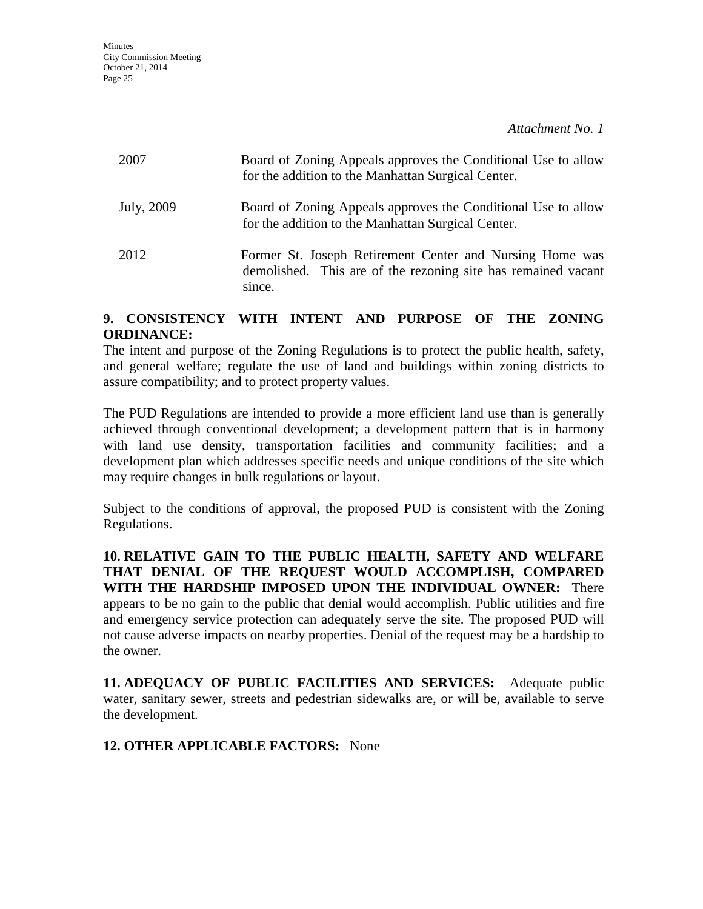| 2007       | Board of Zoning Appeals approves the Conditional Use to allow<br>for the addition to the Manhattan Surgical Center.                 |
|------------|-------------------------------------------------------------------------------------------------------------------------------------|
| July, 2009 | Board of Zoning Appeals approves the Conditional Use to allow<br>for the addition to the Manhattan Surgical Center.                 |
| 2012       | Former St. Joseph Retirement Center and Nursing Home was<br>demolished. This are of the rezoning site has remained vacant<br>since. |

### **9. CONSISTENCY WITH INTENT AND PURPOSE OF THE ZONING ORDINANCE:**

The intent and purpose of the Zoning Regulations is to protect the public health, safety, and general welfare; regulate the use of land and buildings within zoning districts to assure compatibility; and to protect property values.

The PUD Regulations are intended to provide a more efficient land use than is generally achieved through conventional development; a development pattern that is in harmony with land use density, transportation facilities and community facilities; and a development plan which addresses specific needs and unique conditions of the site which may require changes in bulk regulations or layout.

Subject to the conditions of approval, the proposed PUD is consistent with the Zoning Regulations.

**10. RELATIVE GAIN TO THE PUBLIC HEALTH, SAFETY AND WELFARE THAT DENIAL OF THE REQUEST WOULD ACCOMPLISH, COMPARED WITH THE HARDSHIP IMPOSED UPON THE INDIVIDUAL OWNER:** There appears to be no gain to the public that denial would accomplish. Public utilities and fire and emergency service protection can adequately serve the site. The proposed PUD will not cause adverse impacts on nearby properties. Denial of the request may be a hardship to the owner.

**11. ADEQUACY OF PUBLIC FACILITIES AND SERVICES:** Adequate public water, sanitary sewer, streets and pedestrian sidewalks are, or will be, available to serve the development.

# **12. OTHER APPLICABLE FACTORS:** None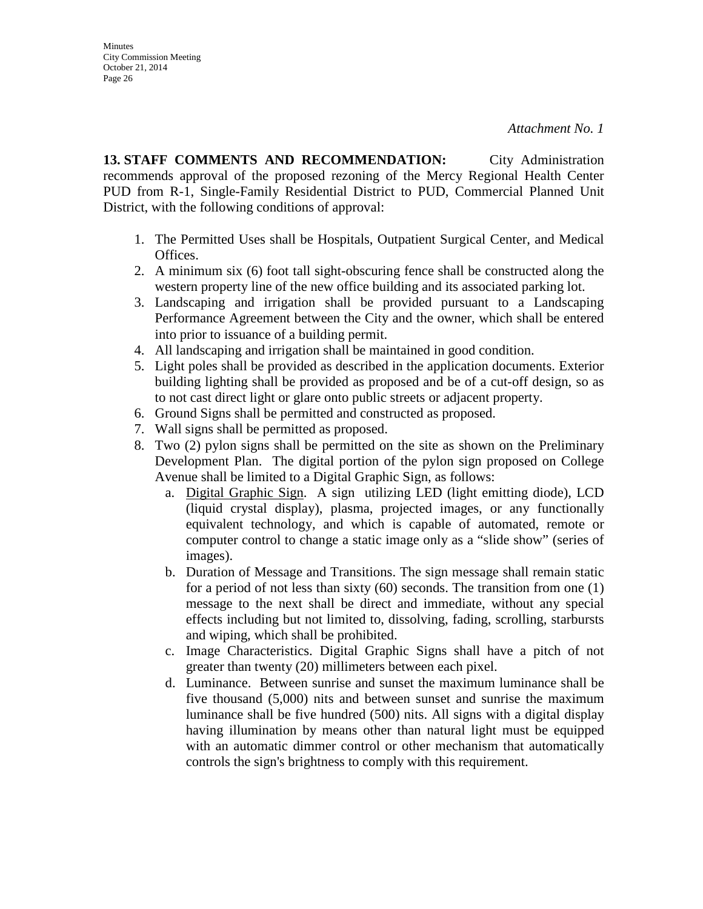**Minutes** City Commission Meeting October 21, 2014 Page 26

**13. STAFF COMMENTS AND RECOMMENDATION:** City Administration recommends approval of the proposed rezoning of the Mercy Regional Health Center PUD from R-1, Single-Family Residential District to PUD, Commercial Planned Unit District, with the following conditions of approval:

- 1. The Permitted Uses shall be Hospitals, Outpatient Surgical Center, and Medical Offices.
- 2. A minimum six (6) foot tall sight-obscuring fence shall be constructed along the western property line of the new office building and its associated parking lot.
- 3. Landscaping and irrigation shall be provided pursuant to a Landscaping Performance Agreement between the City and the owner, which shall be entered into prior to issuance of a building permit.
- 4. All landscaping and irrigation shall be maintained in good condition.
- 5. Light poles shall be provided as described in the application documents. Exterior building lighting shall be provided as proposed and be of a cut-off design, so as to not cast direct light or glare onto public streets or adjacent property.
- 6. Ground Signs shall be permitted and constructed as proposed.
- 7. Wall signs shall be permitted as proposed.
- 8. Two (2) pylon signs shall be permitted on the site as shown on the Preliminary Development Plan. The digital portion of the pylon sign proposed on College Avenue shall be limited to a Digital Graphic Sign, as follows:
	- a. Digital Graphic Sign. A sign utilizing LED (light emitting diode), LCD (liquid crystal display), plasma, projected images, or any functionally equivalent technology, and which is capable of automated, remote or computer control to change a static image only as a "slide show" (series of images).
	- b. Duration of Message and Transitions. The sign message shall remain static for a period of not less than sixty (60) seconds. The transition from one (1) message to the next shall be direct and immediate, without any special effects including but not limited to, dissolving, fading, scrolling, starbursts and wiping, which shall be prohibited.
	- c. Image Characteristics. Digital Graphic Signs shall have a pitch of not greater than twenty (20) millimeters between each pixel.
	- d. Luminance. Between sunrise and sunset the maximum luminance shall be five thousand (5,000) nits and between sunset and sunrise the maximum luminance shall be five hundred (500) nits. All signs with a digital display having illumination by means other than natural light must be equipped with an automatic dimmer control or other mechanism that automatically controls the sign's brightness to comply with this requirement.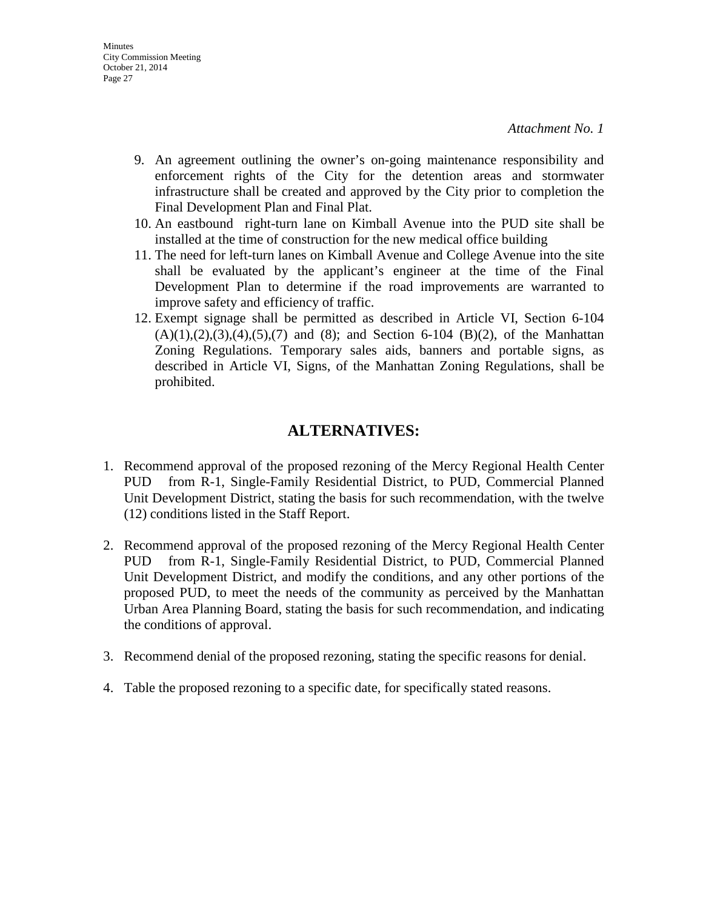- 9. An agreement outlining the owner's on-going maintenance responsibility and enforcement rights of the City for the detention areas and stormwater infrastructure shall be created and approved by the City prior to completion the Final Development Plan and Final Plat.
- 10. An eastbound right-turn lane on Kimball Avenue into the PUD site shall be installed at the time of construction for the new medical office building
- 11. The need for left-turn lanes on Kimball Avenue and College Avenue into the site shall be evaluated by the applicant's engineer at the time of the Final Development Plan to determine if the road improvements are warranted to improve safety and efficiency of traffic.
- 12. Exempt signage shall be permitted as described in Article VI, Section 6-104  $(A)(1), (2), (3), (4), (5), (7)$  and  $(8)$ ; and Section 6-104  $(B)(2)$ , of the Manhattan Zoning Regulations. Temporary sales aids, banners and portable signs, as described in Article VI, Signs, of the Manhattan Zoning Regulations, shall be prohibited.

# **ALTERNATIVES:**

- 1. Recommend approval of the proposed rezoning of the Mercy Regional Health Center PUD from R-1, Single-Family Residential District, to PUD, Commercial Planned Unit Development District, stating the basis for such recommendation, with the twelve (12) conditions listed in the Staff Report.
- 2. Recommend approval of the proposed rezoning of the Mercy Regional Health Center PUD from R-1, Single-Family Residential District, to PUD, Commercial Planned Unit Development District, and modify the conditions, and any other portions of the proposed PUD, to meet the needs of the community as perceived by the Manhattan Urban Area Planning Board, stating the basis for such recommendation, and indicating the conditions of approval.
- 3. Recommend denial of the proposed rezoning, stating the specific reasons for denial.
- 4. Table the proposed rezoning to a specific date, for specifically stated reasons.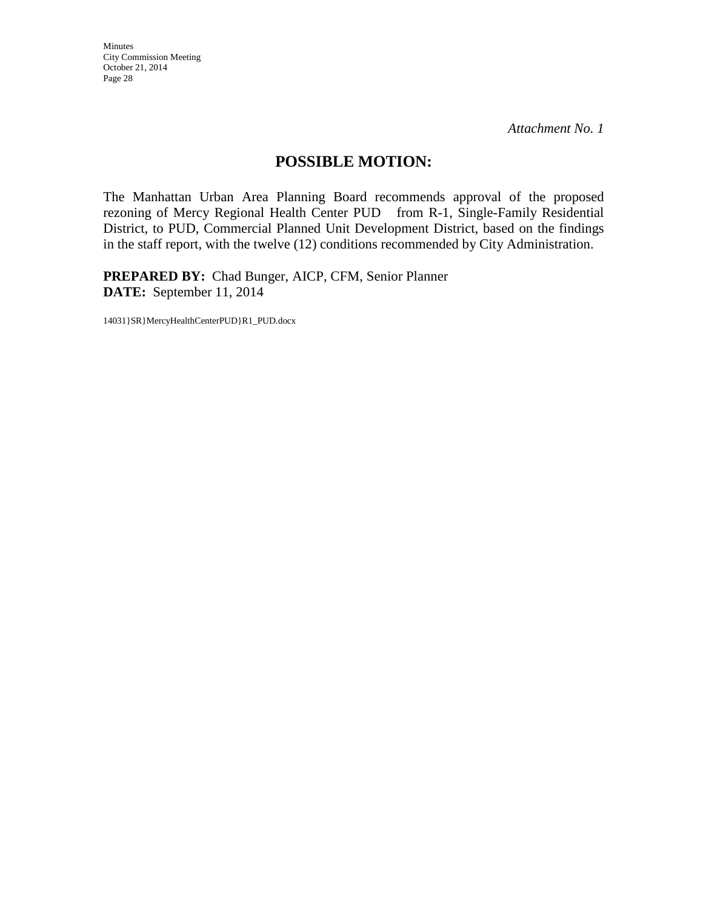Minutes City Commission Meeting October 21, 2014 Page 28

*Attachment No. 1* 

# **POSSIBLE MOTION:**

The Manhattan Urban Area Planning Board recommends approval of the proposed rezoning of Mercy Regional Health Center PUD from R-1, Single-Family Residential District, to PUD, Commercial Planned Unit Development District, based on the findings in the staff report, with the twelve (12) conditions recommended by City Administration.

**PREPARED BY:** Chad Bunger, AICP, CFM, Senior Planner **DATE:** September 11, 2014

14031}SR}MercyHealthCenterPUD}R1\_PUD.docx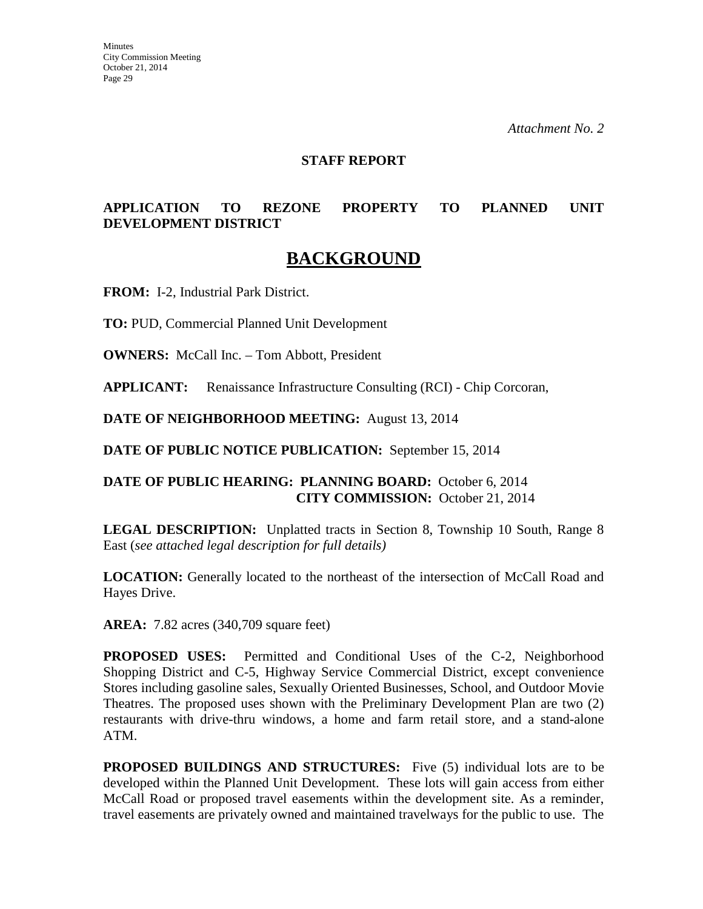**Minutes** City Commission Meeting October 21, 2014 Page 29

*Attachment No. 2* 

#### **STAFF REPORT**

# **APPLICATION TO REZONE PROPERTY TO PLANNED UNIT DEVELOPMENT DISTRICT**

# **BACKGROUND**

**FROM:** I-2, Industrial Park District.

**TO:** PUD, Commercial Planned Unit Development

**OWNERS:** McCall Inc. – Tom Abbott, President

**APPLICANT:** Renaissance Infrastructure Consulting (RCI) - Chip Corcoran,

**DATE OF NEIGHBORHOOD MEETING:** August 13, 2014

**DATE OF PUBLIC NOTICE PUBLICATION:** September 15, 2014

# **DATE OF PUBLIC HEARING: PLANNING BOARD:** October 6, 2014 **CITY COMMISSION:** October 21, 2014

**LEGAL DESCRIPTION:** Unplatted tracts in Section 8, Township 10 South, Range 8 East (*see attached legal description for full details)* 

**LOCATION:** Generally located to the northeast of the intersection of McCall Road and Hayes Drive.

**AREA:** 7.82 acres (340,709 square feet)

**PROPOSED USES:** Permitted and Conditional Uses of the C-2, Neighborhood Shopping District and C-5, Highway Service Commercial District, except convenience Stores including gasoline sales, Sexually Oriented Businesses, School, and Outdoor Movie Theatres. The proposed uses shown with the Preliminary Development Plan are two (2) restaurants with drive-thru windows, a home and farm retail store, and a stand-alone ATM.

**PROPOSED BUILDINGS AND STRUCTURES:** Five (5) individual lots are to be developed within the Planned Unit Development. These lots will gain access from either McCall Road or proposed travel easements within the development site. As a reminder, travel easements are privately owned and maintained travelways for the public to use. The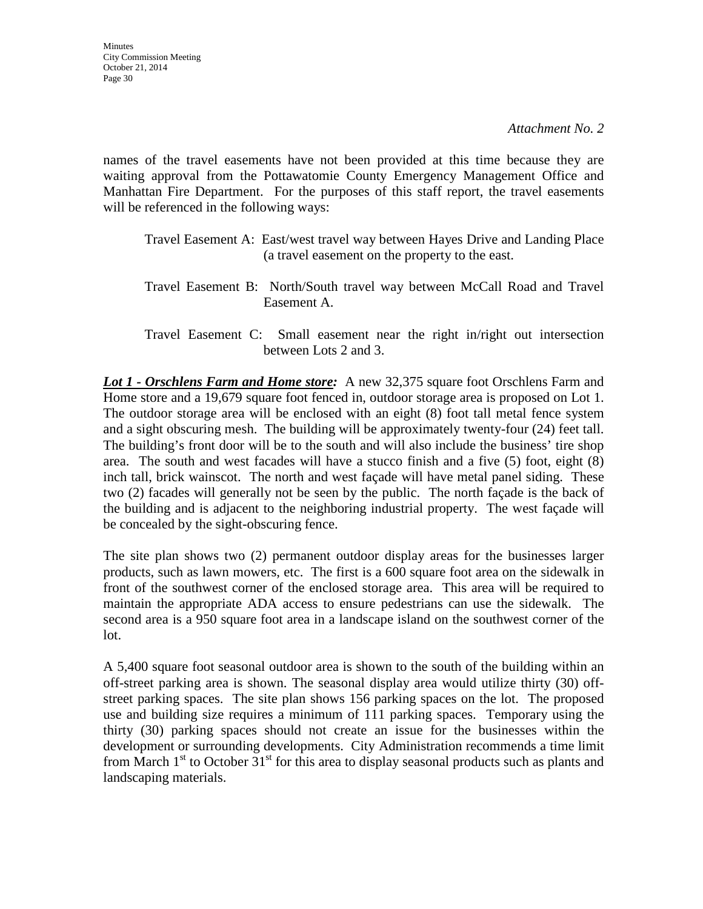names of the travel easements have not been provided at this time because they are waiting approval from the Pottawatomie County Emergency Management Office and Manhattan Fire Department. For the purposes of this staff report, the travel easements will be referenced in the following ways:

- Travel Easement A: East/west travel way between Hayes Drive and Landing Place (a travel easement on the property to the east.
- Travel Easement B: North/South travel way between McCall Road and Travel Easement A.
- Travel Easement C: Small easement near the right in/right out intersection between Lots 2 and 3.

*Lot 1 - Orschlens Farm and Home store:* A new 32,375 square foot Orschlens Farm and Home store and a 19,679 square foot fenced in, outdoor storage area is proposed on Lot 1. The outdoor storage area will be enclosed with an eight (8) foot tall metal fence system and a sight obscuring mesh. The building will be approximately twenty-four (24) feet tall. The building's front door will be to the south and will also include the business' tire shop area. The south and west facades will have a stucco finish and a five (5) foot, eight (8) inch tall, brick wainscot. The north and west façade will have metal panel siding. These two (2) facades will generally not be seen by the public. The north façade is the back of the building and is adjacent to the neighboring industrial property. The west façade will be concealed by the sight-obscuring fence.

The site plan shows two (2) permanent outdoor display areas for the businesses larger products, such as lawn mowers, etc. The first is a 600 square foot area on the sidewalk in front of the southwest corner of the enclosed storage area. This area will be required to maintain the appropriate ADA access to ensure pedestrians can use the sidewalk. The second area is a 950 square foot area in a landscape island on the southwest corner of the lot.

A 5,400 square foot seasonal outdoor area is shown to the south of the building within an off-street parking area is shown. The seasonal display area would utilize thirty (30) offstreet parking spaces. The site plan shows 156 parking spaces on the lot. The proposed use and building size requires a minimum of 111 parking spaces. Temporary using the thirty (30) parking spaces should not create an issue for the businesses within the development or surrounding developments. City Administration recommends a time limit from March  $1<sup>st</sup>$  to October 31<sup>st</sup> for this area to display seasonal products such as plants and landscaping materials.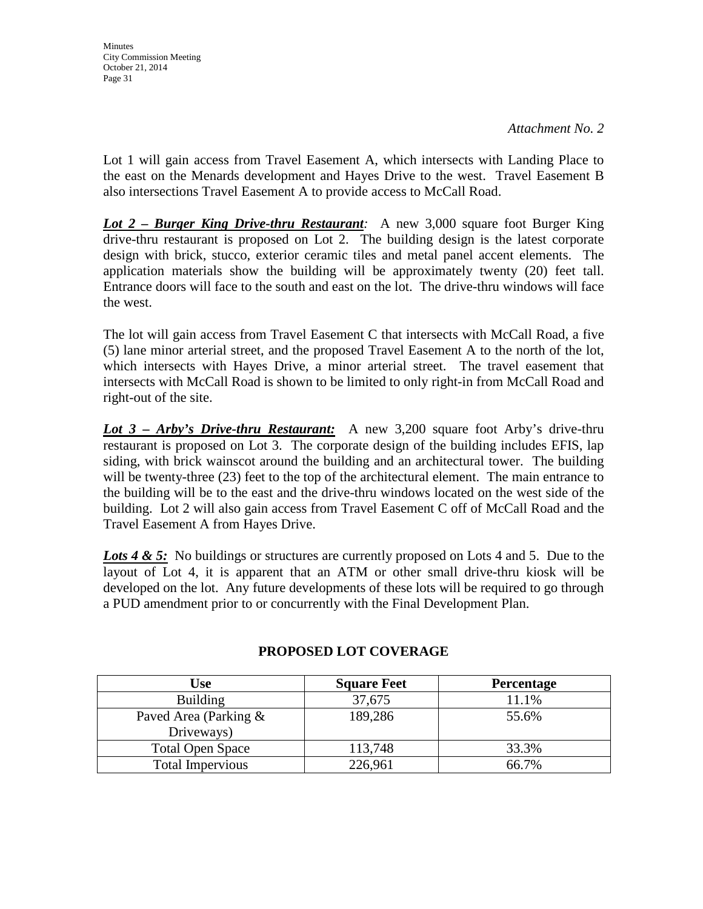Lot 1 will gain access from Travel Easement A, which intersects with Landing Place to the east on the Menards development and Hayes Drive to the west. Travel Easement B also intersections Travel Easement A to provide access to McCall Road.

*Lot 2 – Burger King Drive-thru Restaurant:* A new 3,000 square foot Burger King drive-thru restaurant is proposed on Lot 2. The building design is the latest corporate design with brick, stucco, exterior ceramic tiles and metal panel accent elements. The application materials show the building will be approximately twenty (20) feet tall. Entrance doors will face to the south and east on the lot. The drive-thru windows will face the west.

The lot will gain access from Travel Easement C that intersects with McCall Road, a five (5) lane minor arterial street, and the proposed Travel Easement A to the north of the lot, which intersects with Hayes Drive, a minor arterial street. The travel easement that intersects with McCall Road is shown to be limited to only right-in from McCall Road and right-out of the site.

*Lot 3 – Arby's Drive-thru Restaurant:* A new 3,200 square foot Arby's drive-thru restaurant is proposed on Lot 3. The corporate design of the building includes EFIS, lap siding, with brick wainscot around the building and an architectural tower. The building will be twenty-three (23) feet to the top of the architectural element. The main entrance to the building will be to the east and the drive-thru windows located on the west side of the building. Lot 2 will also gain access from Travel Easement C off of McCall Road and the Travel Easement A from Hayes Drive.

Lots 4 & 5: No buildings or structures are currently proposed on Lots 4 and 5. Due to the layout of Lot 4, it is apparent that an ATM or other small drive-thru kiosk will be developed on the lot. Any future developments of these lots will be required to go through a PUD amendment prior to or concurrently with the Final Development Plan.

| Use                     | <b>Square Feet</b> | <b>Percentage</b> |
|-------------------------|--------------------|-------------------|
| <b>Building</b>         | 37,675             | 11.1%             |
| Paved Area (Parking &   | 189,286            | 55.6%             |
| Driveways)              |                    |                   |
| <b>Total Open Space</b> | 113,748            | 33.3%             |
| <b>Total Impervious</b> | 226,961            | 66.7%             |

# **PROPOSED LOT COVERAGE**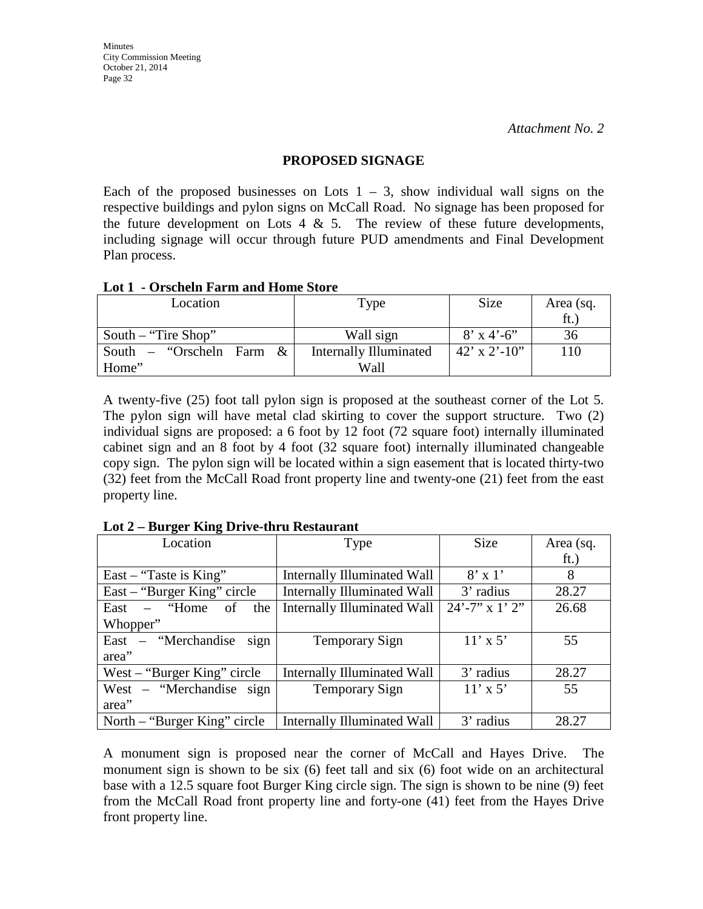#### **PROPOSED SIGNAGE**

Each of the proposed businesses on Lots  $1 - 3$ , show individual wall signs on the respective buildings and pylon signs on McCall Road. No signage has been proposed for the future development on Lots 4  $\&$  5. The review of these future developments, including signage will occur through future PUD amendments and Final Development Plan process.

#### **Lot 1 - Orscheln Farm and Home Store**

| Location                      | Type                          | Size                 | Area (sq. |
|-------------------------------|-------------------------------|----------------------|-----------|
|                               |                               |                      | ft.       |
| South – "Tire Shop"           | Wall sign                     | $8'$ x 4'-6"         | 36        |
| "Orscheln Farm &<br>South $-$ | <b>Internally Illuminated</b> | $42' \times 2'$ -10" | 110       |
| Home"                         | Wall                          |                      |           |

A twenty-five (25) foot tall pylon sign is proposed at the southeast corner of the Lot 5. The pylon sign will have metal clad skirting to cover the support structure. Two (2) individual signs are proposed: a 6 foot by 12 foot (72 square foot) internally illuminated cabinet sign and an 8 foot by 4 foot (32 square foot) internally illuminated changeable copy sign. The pylon sign will be located within a sign easement that is located thirty-two (32) feet from the McCall Road front property line and twenty-one (21) feet from the east property line.

| Location                       | Type                               | Size                | Area (sq. |
|--------------------------------|------------------------------------|---------------------|-----------|
|                                |                                    |                     | ft.)      |
| East – "Taste is King"         | <b>Internally Illuminated Wall</b> | $8' \times 1'$      | 8         |
| East – "Burger King" circle    | <b>Internally Illuminated Wall</b> | 3' radius           | 28.27     |
| East $-$ "Home"<br>- of<br>the | Internally Illuminated Wall        | $24' - 7''$ x 1' 2" | 26.68     |
| Whopper"                       |                                    |                     |           |
| East – "Merchandise<br>sign    | Temporary Sign                     | $11' \times 5'$     | 55        |
| area"                          |                                    |                     |           |
| West $-$ "Burger King" circle  | <b>Internally Illuminated Wall</b> | 3' radius           | 28.27     |
| West – "Merchandise sign       | Temporary Sign                     | $11' \times 5'$     | 55        |
| area"                          |                                    |                     |           |
| North – "Burger King" circle   | <b>Internally Illuminated Wall</b> | 3' radius           | 28.27     |

**Lot 2 – Burger King Drive-thru Restaurant** 

A monument sign is proposed near the corner of McCall and Hayes Drive. The monument sign is shown to be six (6) feet tall and six (6) foot wide on an architectural base with a 12.5 square foot Burger King circle sign. The sign is shown to be nine (9) feet from the McCall Road front property line and forty-one (41) feet from the Hayes Drive front property line.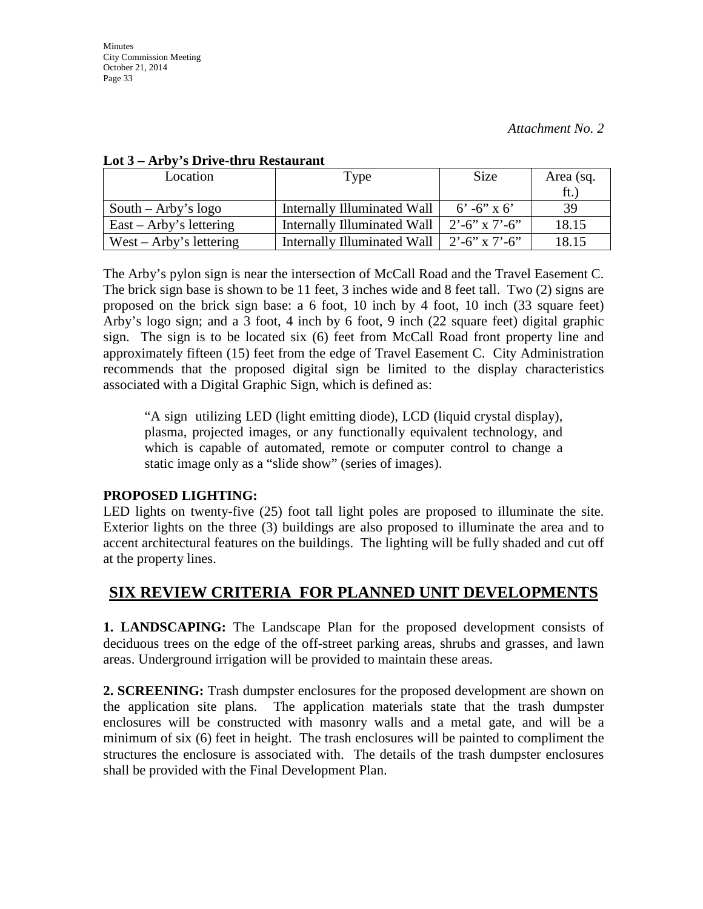| ---                       |                             |                         |           |
|---------------------------|-----------------------------|-------------------------|-----------|
| Location                  | Type                        | Size                    | Area (sq. |
|                           |                             |                         | ft.       |
| South – Arby's $logo$     | Internally Illuminated Wall | $6' - 6''$ x 6'         | 39        |
| $East - Arby's lettering$ | Internally Illuminated Wall | $2^{\circ}$ -6" x 7'-6" | 18.15     |
| West – Arby's lettering   | Internally Illuminated Wall | $2^{\circ}$ -6" x 7'-6" | 18.15     |

### **Lot 3 – Arby's Drive-thru Restaurant**

The Arby's pylon sign is near the intersection of McCall Road and the Travel Easement C. The brick sign base is shown to be 11 feet, 3 inches wide and 8 feet tall. Two (2) signs are proposed on the brick sign base: a 6 foot, 10 inch by 4 foot, 10 inch (33 square feet) Arby's logo sign; and a 3 foot, 4 inch by 6 foot, 9 inch (22 square feet) digital graphic sign. The sign is to be located six (6) feet from McCall Road front property line and approximately fifteen (15) feet from the edge of Travel Easement C. City Administration recommends that the proposed digital sign be limited to the display characteristics associated with a Digital Graphic Sign, which is defined as:

"A sign utilizing LED (light emitting diode), LCD (liquid crystal display), plasma, projected images, or any functionally equivalent technology, and which is capable of automated, remote or computer control to change a static image only as a "slide show" (series of images).

# **PROPOSED LIGHTING:**

LED lights on twenty-five (25) foot tall light poles are proposed to illuminate the site. Exterior lights on the three (3) buildings are also proposed to illuminate the area and to accent architectural features on the buildings. The lighting will be fully shaded and cut off at the property lines.

# **SIX REVIEW CRITERIA FOR PLANNED UNIT DEVELOPMENTS**

**1. LANDSCAPING:** The Landscape Plan for the proposed development consists of deciduous trees on the edge of the off-street parking areas, shrubs and grasses, and lawn areas. Underground irrigation will be provided to maintain these areas.

**2. SCREENING:** Trash dumpster enclosures for the proposed development are shown on the application site plans. The application materials state that the trash dumpster enclosures will be constructed with masonry walls and a metal gate, and will be a minimum of six (6) feet in height. The trash enclosures will be painted to compliment the structures the enclosure is associated with. The details of the trash dumpster enclosures shall be provided with the Final Development Plan.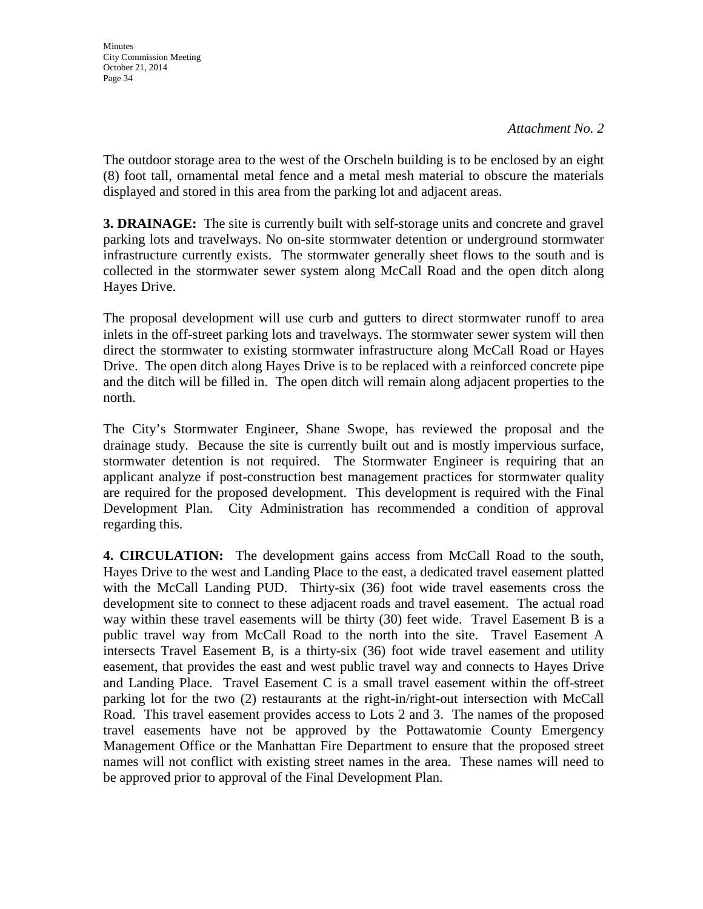The outdoor storage area to the west of the Orscheln building is to be enclosed by an eight (8) foot tall, ornamental metal fence and a metal mesh material to obscure the materials displayed and stored in this area from the parking lot and adjacent areas.

**3. DRAINAGE:** The site is currently built with self-storage units and concrete and gravel parking lots and travelways. No on-site stormwater detention or underground stormwater infrastructure currently exists. The stormwater generally sheet flows to the south and is collected in the stormwater sewer system along McCall Road and the open ditch along Hayes Drive.

The proposal development will use curb and gutters to direct stormwater runoff to area inlets in the off-street parking lots and travelways. The stormwater sewer system will then direct the stormwater to existing stormwater infrastructure along McCall Road or Hayes Drive. The open ditch along Hayes Drive is to be replaced with a reinforced concrete pipe and the ditch will be filled in. The open ditch will remain along adjacent properties to the north.

The City's Stormwater Engineer, Shane Swope, has reviewed the proposal and the drainage study. Because the site is currently built out and is mostly impervious surface, stormwater detention is not required. The Stormwater Engineer is requiring that an applicant analyze if post-construction best management practices for stormwater quality are required for the proposed development. This development is required with the Final Development Plan. City Administration has recommended a condition of approval regarding this.

**4. CIRCULATION:** The development gains access from McCall Road to the south, Hayes Drive to the west and Landing Place to the east, a dedicated travel easement platted with the McCall Landing PUD. Thirty-six (36) foot wide travel easements cross the development site to connect to these adjacent roads and travel easement. The actual road way within these travel easements will be thirty (30) feet wide. Travel Easement B is a public travel way from McCall Road to the north into the site. Travel Easement A intersects Travel Easement B, is a thirty-six (36) foot wide travel easement and utility easement, that provides the east and west public travel way and connects to Hayes Drive and Landing Place. Travel Easement C is a small travel easement within the off-street parking lot for the two (2) restaurants at the right-in/right-out intersection with McCall Road. This travel easement provides access to Lots 2 and 3. The names of the proposed travel easements have not be approved by the Pottawatomie County Emergency Management Office or the Manhattan Fire Department to ensure that the proposed street names will not conflict with existing street names in the area. These names will need to be approved prior to approval of the Final Development Plan.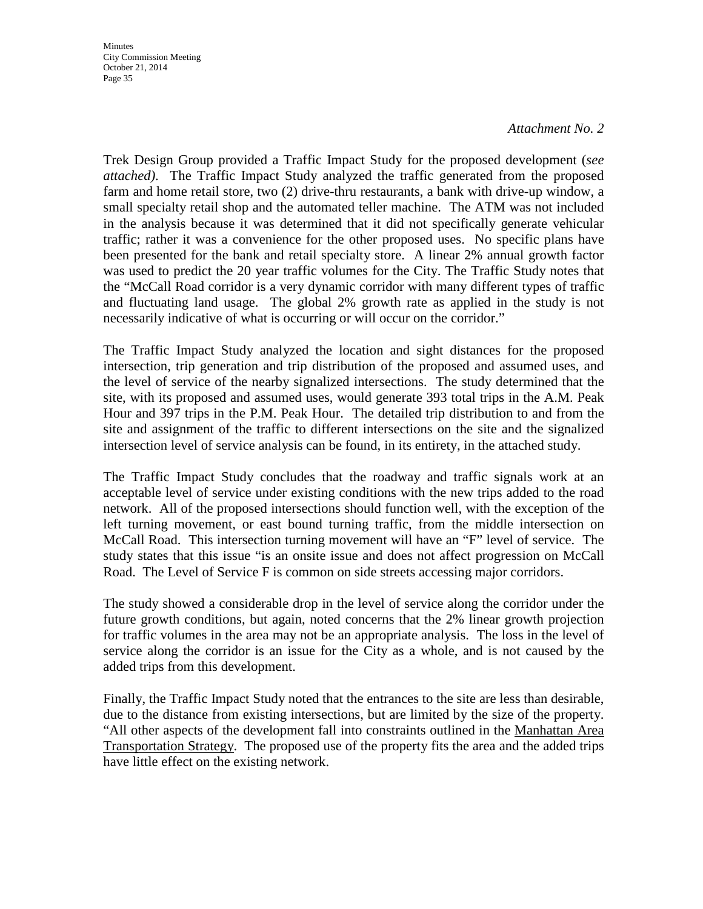**Minutes** City Commission Meeting October 21, 2014 Page 35

#### *Attachment No. 2*

Trek Design Group provided a Traffic Impact Study for the proposed development (*see attached)*. The Traffic Impact Study analyzed the traffic generated from the proposed farm and home retail store, two (2) drive-thru restaurants, a bank with drive-up window, a small specialty retail shop and the automated teller machine. The ATM was not included in the analysis because it was determined that it did not specifically generate vehicular traffic; rather it was a convenience for the other proposed uses. No specific plans have been presented for the bank and retail specialty store. A linear 2% annual growth factor was used to predict the 20 year traffic volumes for the City. The Traffic Study notes that the "McCall Road corridor is a very dynamic corridor with many different types of traffic and fluctuating land usage. The global 2% growth rate as applied in the study is not necessarily indicative of what is occurring or will occur on the corridor."

The Traffic Impact Study analyzed the location and sight distances for the proposed intersection, trip generation and trip distribution of the proposed and assumed uses, and the level of service of the nearby signalized intersections. The study determined that the site, with its proposed and assumed uses, would generate 393 total trips in the A.M. Peak Hour and 397 trips in the P.M. Peak Hour. The detailed trip distribution to and from the site and assignment of the traffic to different intersections on the site and the signalized intersection level of service analysis can be found, in its entirety, in the attached study.

The Traffic Impact Study concludes that the roadway and traffic signals work at an acceptable level of service under existing conditions with the new trips added to the road network. All of the proposed intersections should function well, with the exception of the left turning movement, or east bound turning traffic, from the middle intersection on McCall Road. This intersection turning movement will have an "F" level of service. The study states that this issue "is an onsite issue and does not affect progression on McCall Road. The Level of Service F is common on side streets accessing major corridors.

The study showed a considerable drop in the level of service along the corridor under the future growth conditions, but again, noted concerns that the 2% linear growth projection for traffic volumes in the area may not be an appropriate analysis. The loss in the level of service along the corridor is an issue for the City as a whole, and is not caused by the added trips from this development.

Finally, the Traffic Impact Study noted that the entrances to the site are less than desirable, due to the distance from existing intersections, but are limited by the size of the property. "All other aspects of the development fall into constraints outlined in the Manhattan Area Transportation Strategy. The proposed use of the property fits the area and the added trips have little effect on the existing network.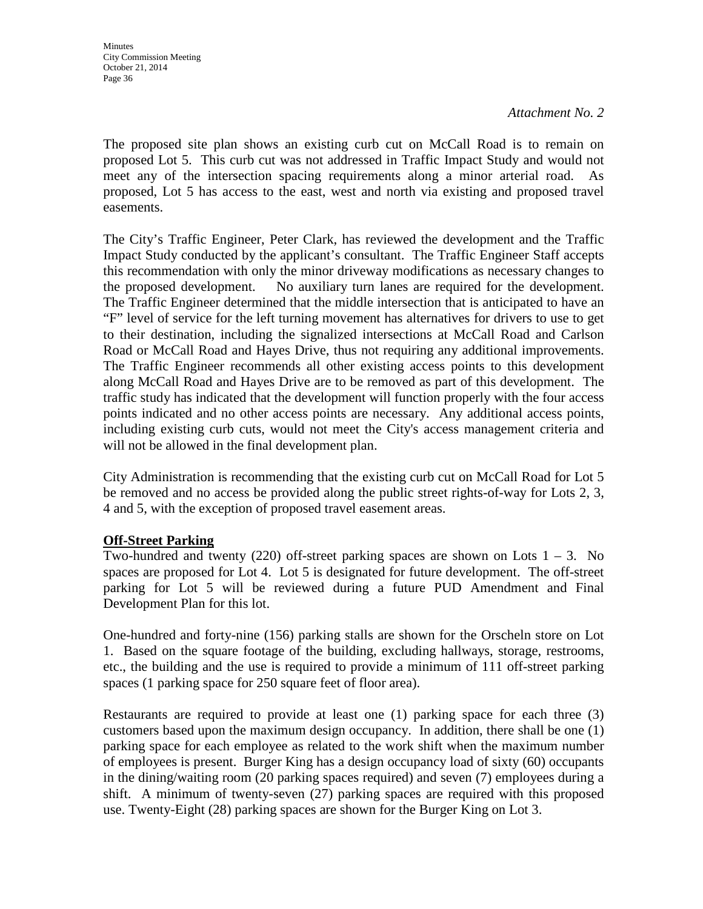The proposed site plan shows an existing curb cut on McCall Road is to remain on proposed Lot 5. This curb cut was not addressed in Traffic Impact Study and would not meet any of the intersection spacing requirements along a minor arterial road. As proposed, Lot 5 has access to the east, west and north via existing and proposed travel easements.

The City's Traffic Engineer, Peter Clark, has reviewed the development and the Traffic Impact Study conducted by the applicant's consultant. The Traffic Engineer Staff accepts this recommendation with only the minor driveway modifications as necessary changes to the proposed development. No auxiliary turn lanes are required for the development. The Traffic Engineer determined that the middle intersection that is anticipated to have an "F" level of service for the left turning movement has alternatives for drivers to use to get to their destination, including the signalized intersections at McCall Road and Carlson Road or McCall Road and Hayes Drive, thus not requiring any additional improvements. The Traffic Engineer recommends all other existing access points to this development along McCall Road and Hayes Drive are to be removed as part of this development. The traffic study has indicated that the development will function properly with the four access points indicated and no other access points are necessary. Any additional access points, including existing curb cuts, would not meet the City's access management criteria and will not be allowed in the final development plan.

City Administration is recommending that the existing curb cut on McCall Road for Lot 5 be removed and no access be provided along the public street rights-of-way for Lots 2, 3, 4 and 5, with the exception of proposed travel easement areas.

# **Off-Street Parking**

Two-hundred and twenty (220) off-street parking spaces are shown on Lots  $1 - 3$ . No spaces are proposed for Lot 4. Lot 5 is designated for future development. The off-street parking for Lot 5 will be reviewed during a future PUD Amendment and Final Development Plan for this lot.

One-hundred and forty-nine (156) parking stalls are shown for the Orscheln store on Lot 1. Based on the square footage of the building, excluding hallways, storage, restrooms, etc., the building and the use is required to provide a minimum of 111 off-street parking spaces (1 parking space for 250 square feet of floor area).

Restaurants are required to provide at least one (1) parking space for each three (3) customers based upon the maximum design occupancy. In addition, there shall be one (1) parking space for each employee as related to the work shift when the maximum number of employees is present. Burger King has a design occupancy load of sixty (60) occupants in the dining/waiting room (20 parking spaces required) and seven (7) employees during a shift. A minimum of twenty-seven (27) parking spaces are required with this proposed use. Twenty-Eight (28) parking spaces are shown for the Burger King on Lot 3.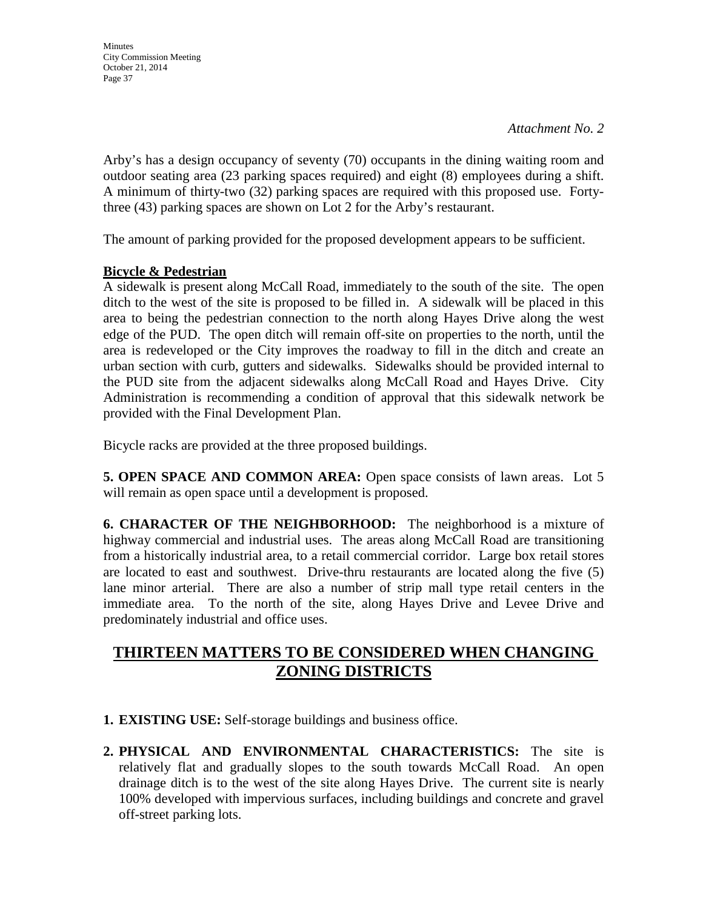**Minutes** City Commission Meeting October 21, 2014 Page 37

Arby's has a design occupancy of seventy (70) occupants in the dining waiting room and outdoor seating area (23 parking spaces required) and eight (8) employees during a shift. A minimum of thirty-two (32) parking spaces are required with this proposed use. Fortythree (43) parking spaces are shown on Lot 2 for the Arby's restaurant.

The amount of parking provided for the proposed development appears to be sufficient.

### **Bicycle & Pedestrian**

A sidewalk is present along McCall Road, immediately to the south of the site. The open ditch to the west of the site is proposed to be filled in. A sidewalk will be placed in this area to being the pedestrian connection to the north along Hayes Drive along the west edge of the PUD. The open ditch will remain off-site on properties to the north, until the area is redeveloped or the City improves the roadway to fill in the ditch and create an urban section with curb, gutters and sidewalks. Sidewalks should be provided internal to the PUD site from the adjacent sidewalks along McCall Road and Hayes Drive. City Administration is recommending a condition of approval that this sidewalk network be provided with the Final Development Plan.

Bicycle racks are provided at the three proposed buildings.

**5. OPEN SPACE AND COMMON AREA:** Open space consists of lawn areas. Lot 5 will remain as open space until a development is proposed.

**6. CHARACTER OF THE NEIGHBORHOOD:** The neighborhood is a mixture of highway commercial and industrial uses. The areas along McCall Road are transitioning from a historically industrial area, to a retail commercial corridor. Large box retail stores are located to east and southwest. Drive-thru restaurants are located along the five (5) lane minor arterial. There are also a number of strip mall type retail centers in the immediate area. To the north of the site, along Hayes Drive and Levee Drive and predominately industrial and office uses.

# **THIRTEEN MATTERS TO BE CONSIDERED WHEN CHANGING ZONING DISTRICTS**

- **1. EXISTING USE:** Self-storage buildings and business office.
- **2. PHYSICAL AND ENVIRONMENTAL CHARACTERISTICS:** The site is relatively flat and gradually slopes to the south towards McCall Road. An open drainage ditch is to the west of the site along Hayes Drive. The current site is nearly 100% developed with impervious surfaces, including buildings and concrete and gravel off-street parking lots.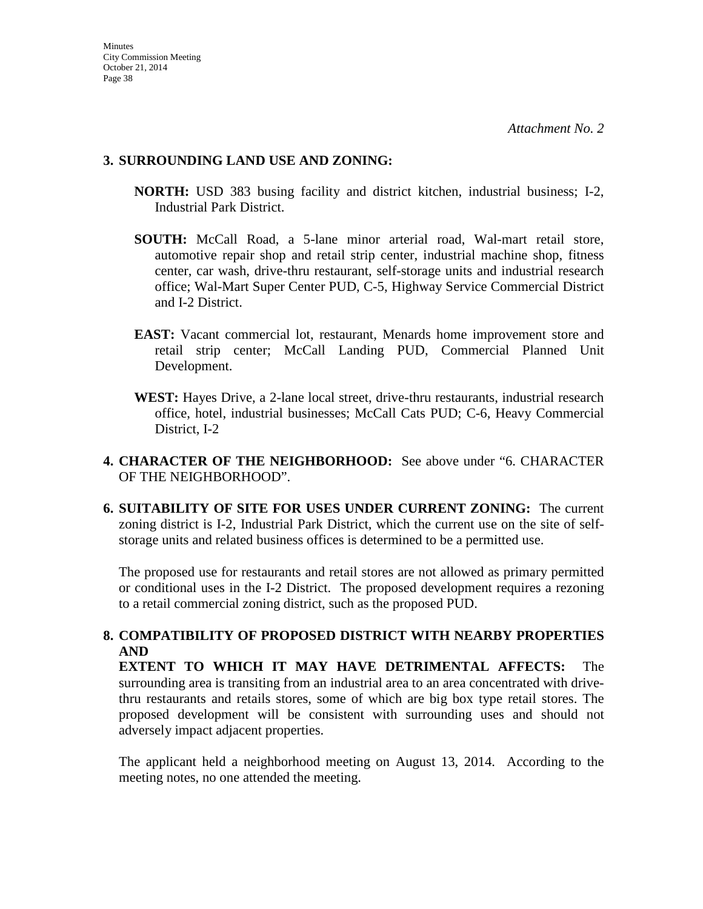### **3. SURROUNDING LAND USE AND ZONING:**

- **NORTH:** USD 383 busing facility and district kitchen, industrial business; I-2, Industrial Park District.
- **SOUTH:** McCall Road, a 5-lane minor arterial road, Wal-mart retail store, automotive repair shop and retail strip center, industrial machine shop, fitness center, car wash, drive-thru restaurant, self-storage units and industrial research office; Wal-Mart Super Center PUD, C-5, Highway Service Commercial District and I-2 District.
- **EAST:** Vacant commercial lot, restaurant, Menards home improvement store and retail strip center; McCall Landing PUD, Commercial Planned Unit Development.
- **WEST:** Hayes Drive, a 2-lane local street, drive-thru restaurants, industrial research office, hotel, industrial businesses; McCall Cats PUD; C-6, Heavy Commercial District, I-2
- **4. CHARACTER OF THE NEIGHBORHOOD:** See above under "6. CHARACTER OF THE NEIGHBORHOOD".
- **6. SUITABILITY OF SITE FOR USES UNDER CURRENT ZONING:** The current zoning district is I-2, Industrial Park District, which the current use on the site of selfstorage units and related business offices is determined to be a permitted use.

The proposed use for restaurants and retail stores are not allowed as primary permitted or conditional uses in the I-2 District. The proposed development requires a rezoning to a retail commercial zoning district, such as the proposed PUD.

# **8. COMPATIBILITY OF PROPOSED DISTRICT WITH NEARBY PROPERTIES AND**

**EXTENT TO WHICH IT MAY HAVE DETRIMENTAL AFFECTS:** The surrounding area is transiting from an industrial area to an area concentrated with drivethru restaurants and retails stores, some of which are big box type retail stores. The proposed development will be consistent with surrounding uses and should not adversely impact adjacent properties.

The applicant held a neighborhood meeting on August 13, 2014. According to the meeting notes, no one attended the meeting.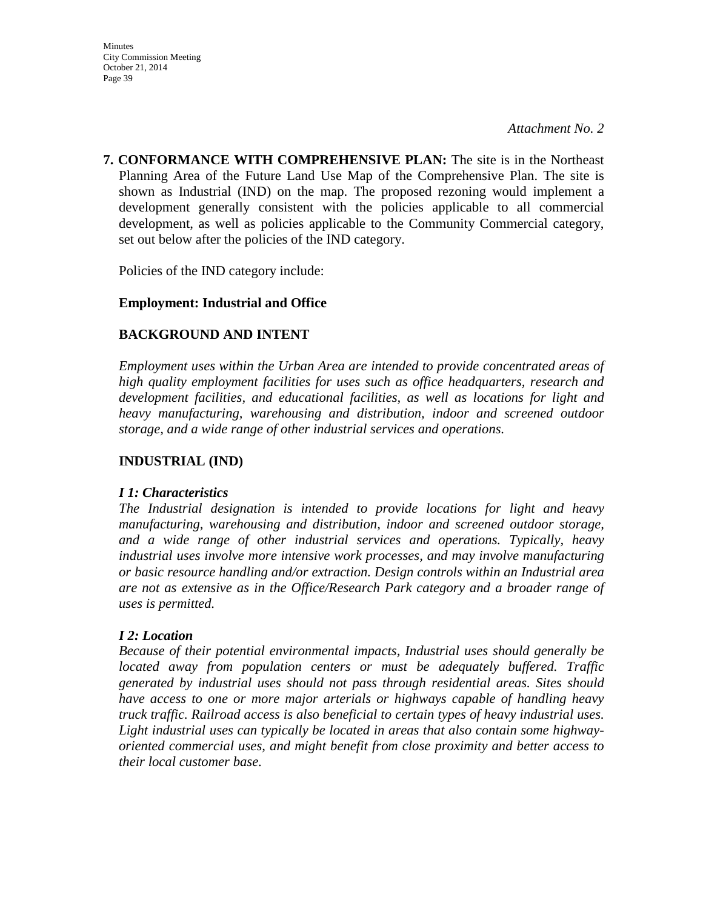**7. CONFORMANCE WITH COMPREHENSIVE PLAN:** The site is in the Northeast Planning Area of the Future Land Use Map of the Comprehensive Plan. The site is shown as Industrial (IND) on the map. The proposed rezoning would implement a development generally consistent with the policies applicable to all commercial development, as well as policies applicable to the Community Commercial category, set out below after the policies of the IND category.

Policies of the IND category include:

# **Employment: Industrial and Office**

# **BACKGROUND AND INTENT**

*Employment uses within the Urban Area are intended to provide concentrated areas of high quality employment facilities for uses such as office headquarters, research and development facilities, and educational facilities, as well as locations for light and heavy manufacturing, warehousing and distribution, indoor and screened outdoor storage, and a wide range of other industrial services and operations.* 

# **INDUSTRIAL (IND)**

### *I 1: Characteristics*

*The Industrial designation is intended to provide locations for light and heavy manufacturing, warehousing and distribution, indoor and screened outdoor storage, and a wide range of other industrial services and operations. Typically, heavy industrial uses involve more intensive work processes, and may involve manufacturing or basic resource handling and/or extraction. Design controls within an Industrial area are not as extensive as in the Office/Research Park category and a broader range of uses is permitted.* 

### *I 2: Location*

*Because of their potential environmental impacts, Industrial uses should generally be located away from population centers or must be adequately buffered. Traffic generated by industrial uses should not pass through residential areas. Sites should have access to one or more major arterials or highways capable of handling heavy truck traffic. Railroad access is also beneficial to certain types of heavy industrial uses. Light industrial uses can typically be located in areas that also contain some highwayoriented commercial uses, and might benefit from close proximity and better access to their local customer base.*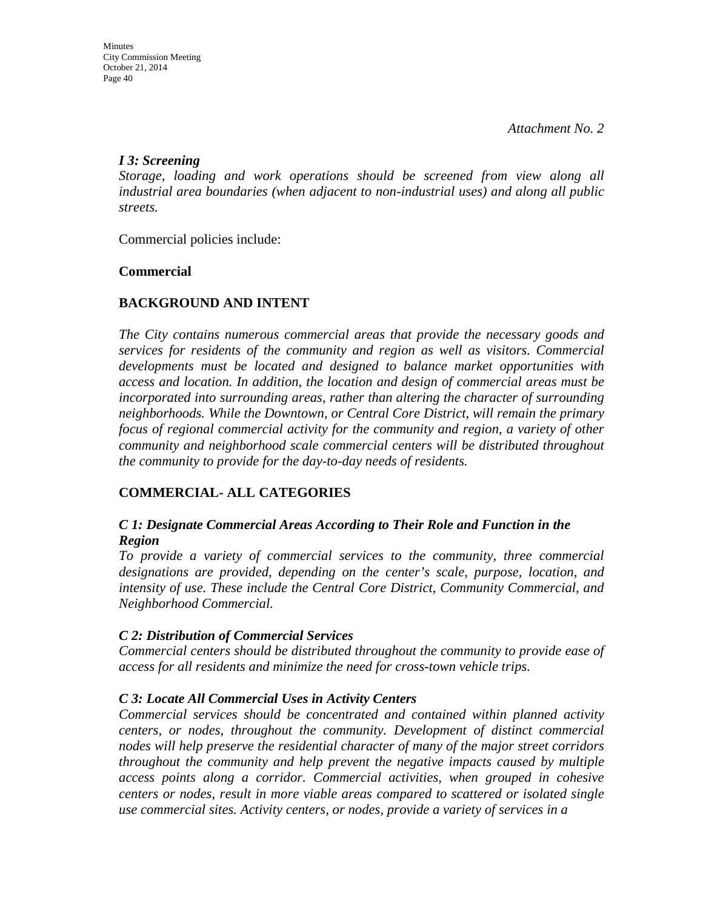# *I 3: Screening*

*Storage, loading and work operations should be screened from view along all industrial area boundaries (when adjacent to non-industrial uses) and along all public streets.*

Commercial policies include:

# **Commercial**

# **BACKGROUND AND INTENT**

*The City contains numerous commercial areas that provide the necessary goods and services for residents of the community and region as well as visitors. Commercial developments must be located and designed to balance market opportunities with access and location. In addition, the location and design of commercial areas must be incorporated into surrounding areas, rather than altering the character of surrounding neighborhoods. While the Downtown, or Central Core District, will remain the primary focus of regional commercial activity for the community and region, a variety of other community and neighborhood scale commercial centers will be distributed throughout the community to provide for the day-to-day needs of residents.* 

# **COMMERCIAL- ALL CATEGORIES**

# *C 1: Designate Commercial Areas According to Their Role and Function in the Region*

*To provide a variety of commercial services to the community, three commercial designations are provided, depending on the center's scale, purpose, location, and intensity of use. These include the Central Core District, Community Commercial, and Neighborhood Commercial.* 

### *C 2: Distribution of Commercial Services*

*Commercial centers should be distributed throughout the community to provide ease of access for all residents and minimize the need for cross-town vehicle trips.* 

# *C 3: Locate All Commercial Uses in Activity Centers*

*Commercial services should be concentrated and contained within planned activity centers, or nodes, throughout the community. Development of distinct commercial nodes will help preserve the residential character of many of the major street corridors throughout the community and help prevent the negative impacts caused by multiple access points along a corridor. Commercial activities, when grouped in cohesive centers or nodes, result in more viable areas compared to scattered or isolated single use commercial sites. Activity centers, or nodes, provide a variety of services in a*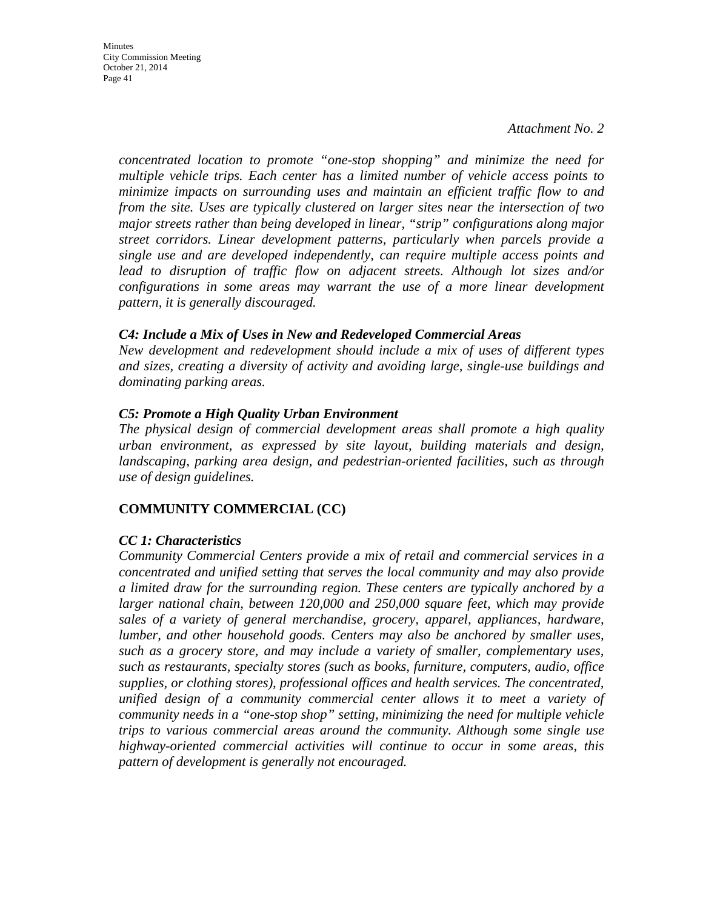**Minutes** City Commission Meeting October 21, 2014 Page 41

> *concentrated location to promote "one-stop shopping" and minimize the need for multiple vehicle trips. Each center has a limited number of vehicle access points to minimize impacts on surrounding uses and maintain an efficient traffic flow to and from the site. Uses are typically clustered on larger sites near the intersection of two major streets rather than being developed in linear, "strip" configurations along major street corridors. Linear development patterns, particularly when parcels provide a single use and are developed independently, can require multiple access points and lead to disruption of traffic flow on adjacent streets. Although lot sizes and/or configurations in some areas may warrant the use of a more linear development pattern, it is generally discouraged.*

### *C4: Include a Mix of Uses in New and Redeveloped Commercial Areas*

*New development and redevelopment should include a mix of uses of different types and sizes, creating a diversity of activity and avoiding large, single-use buildings and dominating parking areas.* 

### *C5: Promote a High Quality Urban Environment*

*The physical design of commercial development areas shall promote a high quality urban environment, as expressed by site layout, building materials and design, landscaping, parking area design, and pedestrian-oriented facilities, such as through use of design guidelines.* 

# **COMMUNITY COMMERCIAL (CC)**

### *CC 1: Characteristics*

*Community Commercial Centers provide a mix of retail and commercial services in a concentrated and unified setting that serves the local community and may also provide a limited draw for the surrounding region. These centers are typically anchored by a larger national chain, between 120,000 and 250,000 square feet, which may provide sales of a variety of general merchandise, grocery, apparel, appliances, hardware, lumber, and other household goods. Centers may also be anchored by smaller uses, such as a grocery store, and may include a variety of smaller, complementary uses, such as restaurants, specialty stores (such as books, furniture, computers, audio, office supplies, or clothing stores), professional offices and health services. The concentrated, unified design of a community commercial center allows it to meet a variety of community needs in a "one-stop shop" setting, minimizing the need for multiple vehicle trips to various commercial areas around the community. Although some single use highway-oriented commercial activities will continue to occur in some areas, this pattern of development is generally not encouraged.*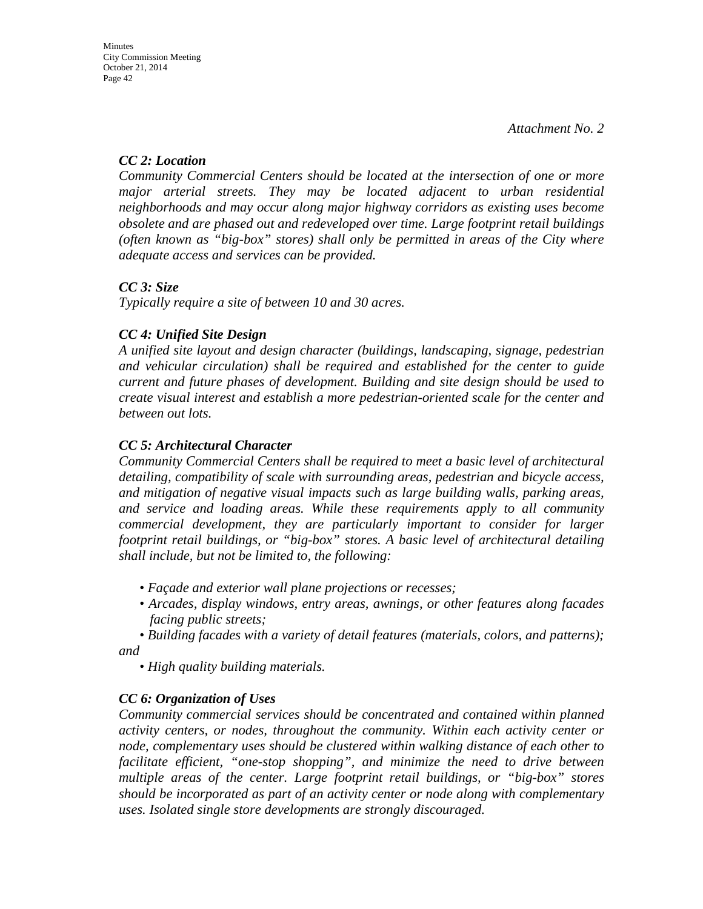# *CC 2: Location*

*Community Commercial Centers should be located at the intersection of one or more major arterial streets. They may be located adjacent to urban residential neighborhoods and may occur along major highway corridors as existing uses become obsolete and are phased out and redeveloped over time. Large footprint retail buildings (often known as "big-box" stores) shall only be permitted in areas of the City where adequate access and services can be provided.* 

# *CC 3: Size*

*Typically require a site of between 10 and 30 acres.* 

# *CC 4: Unified Site Design*

*A unified site layout and design character (buildings, landscaping, signage, pedestrian and vehicular circulation) shall be required and established for the center to guide current and future phases of development. Building and site design should be used to create visual interest and establish a more pedestrian-oriented scale for the center and between out lots.* 

# *CC 5: Architectural Character*

*Community Commercial Centers shall be required to meet a basic level of architectural detailing, compatibility of scale with surrounding areas, pedestrian and bicycle access, and mitigation of negative visual impacts such as large building walls, parking areas, and service and loading areas. While these requirements apply to all community commercial development, they are particularly important to consider for larger footprint retail buildings, or "big-box" stores. A basic level of architectural detailing shall include, but not be limited to, the following:* 

- *Façade and exterior wall plane projections or recesses;*
- *Arcades, display windows, entry areas, awnings, or other features along facades facing public streets;*

*• Building facades with a variety of detail features (materials, colors, and patterns); and* 

*• High quality building materials.* 

# *CC 6: Organization of Uses*

*Community commercial services should be concentrated and contained within planned activity centers, or nodes, throughout the community. Within each activity center or node, complementary uses should be clustered within walking distance of each other to facilitate efficient, "one-stop shopping", and minimize the need to drive between multiple areas of the center. Large footprint retail buildings, or "big-box" stores should be incorporated as part of an activity center or node along with complementary uses. Isolated single store developments are strongly discouraged.*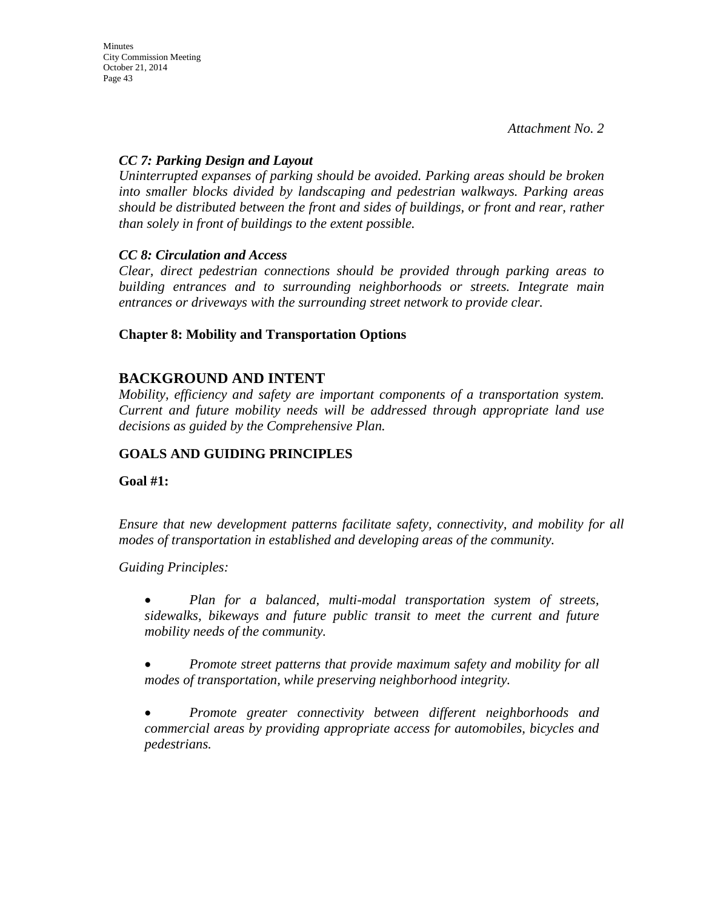City Commission Meeting October 21, 2014 Page 43

**Minutes** 

*Attachment No. 2* 

### *CC 7: Parking Design and Layout*

*Uninterrupted expanses of parking should be avoided. Parking areas should be broken into smaller blocks divided by landscaping and pedestrian walkways. Parking areas should be distributed between the front and sides of buildings, or front and rear, rather than solely in front of buildings to the extent possible.* 

### *CC 8: Circulation and Access*

*Clear, direct pedestrian connections should be provided through parking areas to building entrances and to surrounding neighborhoods or streets. Integrate main entrances or driveways with the surrounding street network to provide clear.* 

# **Chapter 8: Mobility and Transportation Options**

# **BACKGROUND AND INTENT**

*Mobility, efficiency and safety are important components of a transportation system. Current and future mobility needs will be addressed through appropriate land use decisions as guided by the Comprehensive Plan.* 

# **GOALS AND GUIDING PRINCIPLES**

**Goal #1:** 

*Ensure that new development patterns facilitate safety, connectivity, and mobility for all modes of transportation in established and developing areas of the community.* 

*Guiding Principles:* 

• *Plan for a balanced, multi-modal transportation system of streets, sidewalks, bikeways and future public transit to meet the current and future mobility needs of the community.* 

• *Promote street patterns that provide maximum safety and mobility for all modes of transportation, while preserving neighborhood integrity.* 

• *Promote greater connectivity between different neighborhoods and commercial areas by providing appropriate access for automobiles, bicycles and pedestrians.*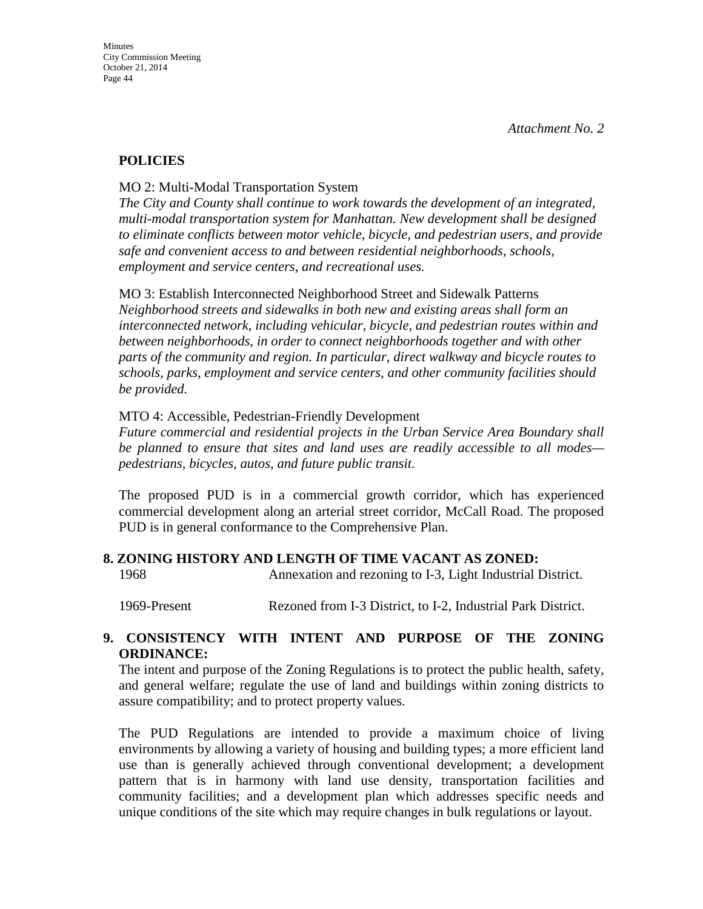# **POLICIES**

MO 2: Multi-Modal Transportation System

*The City and County shall continue to work towards the development of an integrated, multi-modal transportation system for Manhattan. New development shall be designed to eliminate conflicts between motor vehicle, bicycle, and pedestrian users, and provide safe and convenient access to and between residential neighborhoods, schools, employment and service centers, and recreational uses.* 

MO 3: Establish Interconnected Neighborhood Street and Sidewalk Patterns *Neighborhood streets and sidewalks in both new and existing areas shall form an interconnected network, including vehicular, bicycle, and pedestrian routes within and between neighborhoods, in order to connect neighborhoods together and with other parts of the community and region. In particular, direct walkway and bicycle routes to schools, parks, employment and service centers, and other community facilities should be provided.* 

### MTO 4: Accessible, Pedestrian-Friendly Development

*Future commercial and residential projects in the Urban Service Area Boundary shall be planned to ensure that sites and land uses are readily accessible to all modes pedestrians, bicycles, autos, and future public transit.* 

The proposed PUD is in a commercial growth corridor, which has experienced commercial development along an arterial street corridor, McCall Road. The proposed PUD is in general conformance to the Comprehensive Plan.

### **8. ZONING HISTORY AND LENGTH OF TIME VACANT AS ZONED:**

1968 Annexation and rezoning to I-3, Light Industrial District.

1969-Present Rezoned from I-3 District, to I-2, Industrial Park District.

### **9. CONSISTENCY WITH INTENT AND PURPOSE OF THE ZONING ORDINANCE:**

The intent and purpose of the Zoning Regulations is to protect the public health, safety, and general welfare; regulate the use of land and buildings within zoning districts to assure compatibility; and to protect property values.

The PUD Regulations are intended to provide a maximum choice of living environments by allowing a variety of housing and building types; a more efficient land use than is generally achieved through conventional development; a development pattern that is in harmony with land use density, transportation facilities and community facilities; and a development plan which addresses specific needs and unique conditions of the site which may require changes in bulk regulations or layout.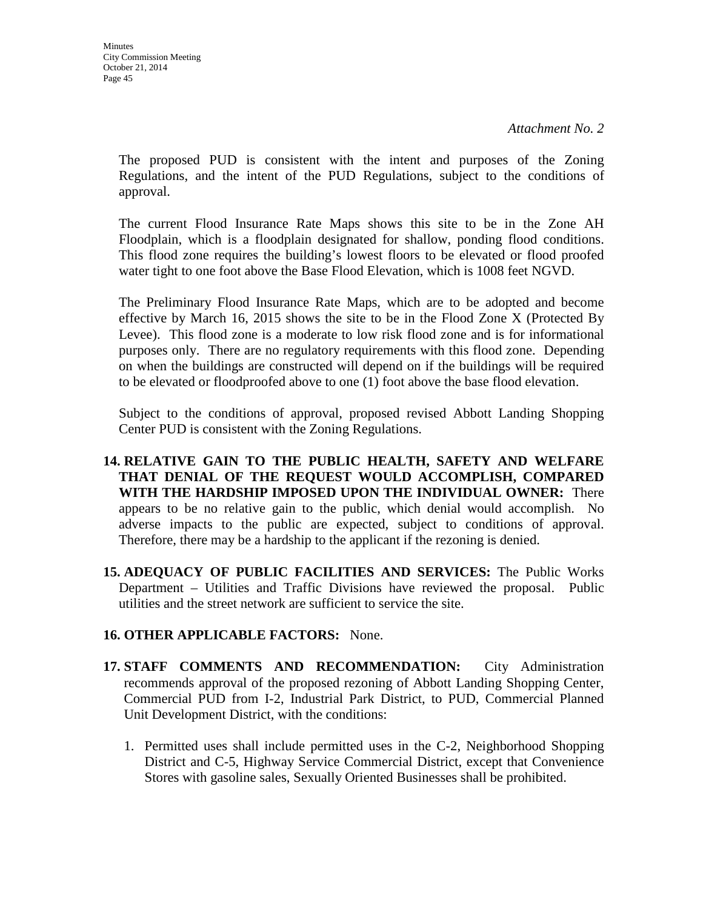The proposed PUD is consistent with the intent and purposes of the Zoning Regulations, and the intent of the PUD Regulations, subject to the conditions of approval.

The current Flood Insurance Rate Maps shows this site to be in the Zone AH Floodplain, which is a floodplain designated for shallow, ponding flood conditions. This flood zone requires the building's lowest floors to be elevated or flood proofed water tight to one foot above the Base Flood Elevation, which is 1008 feet NGVD.

The Preliminary Flood Insurance Rate Maps, which are to be adopted and become effective by March 16, 2015 shows the site to be in the Flood Zone X (Protected By Levee). This flood zone is a moderate to low risk flood zone and is for informational purposes only. There are no regulatory requirements with this flood zone. Depending on when the buildings are constructed will depend on if the buildings will be required to be elevated or floodproofed above to one (1) foot above the base flood elevation.

Subject to the conditions of approval, proposed revised Abbott Landing Shopping Center PUD is consistent with the Zoning Regulations.

- **14. RELATIVE GAIN TO THE PUBLIC HEALTH, SAFETY AND WELFARE THAT DENIAL OF THE REQUEST WOULD ACCOMPLISH, COMPARED WITH THE HARDSHIP IMPOSED UPON THE INDIVIDUAL OWNER:** There appears to be no relative gain to the public, which denial would accomplish. No adverse impacts to the public are expected, subject to conditions of approval. Therefore, there may be a hardship to the applicant if the rezoning is denied.
- **15. ADEQUACY OF PUBLIC FACILITIES AND SERVICES:** The Public Works Department – Utilities and Traffic Divisions have reviewed the proposal. Public utilities and the street network are sufficient to service the site.

# **16. OTHER APPLICABLE FACTORS:** None.

- **17. STAFF COMMENTS AND RECOMMENDATION:** City Administration recommends approval of the proposed rezoning of Abbott Landing Shopping Center, Commercial PUD from I-2, Industrial Park District, to PUD, Commercial Planned Unit Development District, with the conditions:
	- 1. Permitted uses shall include permitted uses in the C-2, Neighborhood Shopping District and C-5, Highway Service Commercial District, except that Convenience Stores with gasoline sales, Sexually Oriented Businesses shall be prohibited.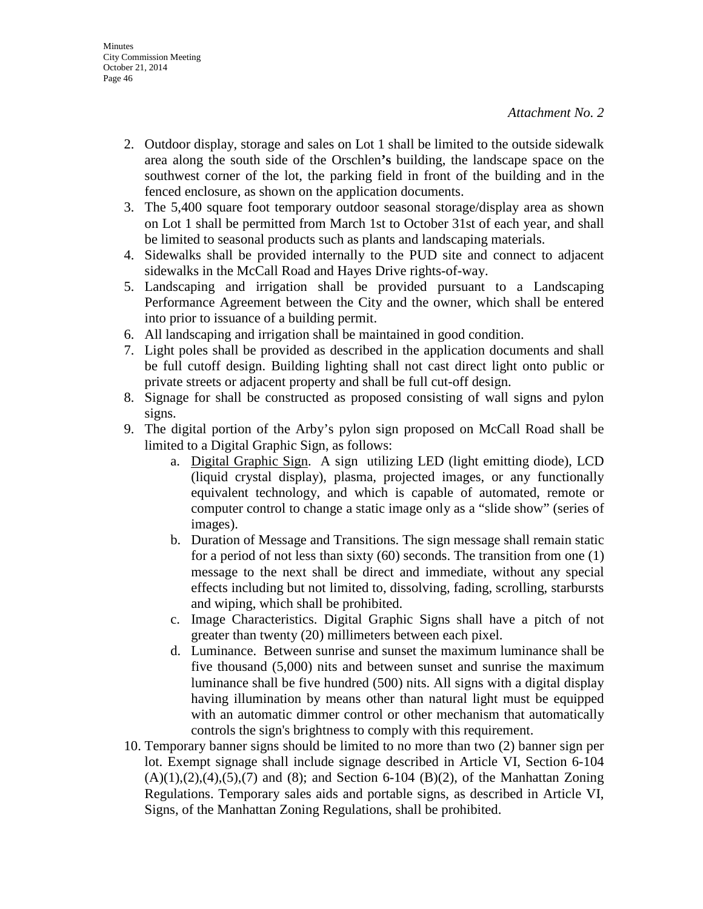- 2. Outdoor display, storage and sales on Lot 1 shall be limited to the outside sidewalk area along the south side of the Orschlen**'s** building, the landscape space on the southwest corner of the lot, the parking field in front of the building and in the fenced enclosure, as shown on the application documents.
- 3. The 5,400 square foot temporary outdoor seasonal storage/display area as shown on Lot 1 shall be permitted from March 1st to October 31st of each year, and shall be limited to seasonal products such as plants and landscaping materials.
- 4. Sidewalks shall be provided internally to the PUD site and connect to adjacent sidewalks in the McCall Road and Hayes Drive rights-of-way.
- 5. Landscaping and irrigation shall be provided pursuant to a Landscaping Performance Agreement between the City and the owner, which shall be entered into prior to issuance of a building permit.
- 6. All landscaping and irrigation shall be maintained in good condition.
- 7. Light poles shall be provided as described in the application documents and shall be full cutoff design. Building lighting shall not cast direct light onto public or private streets or adjacent property and shall be full cut-off design.
- 8. Signage for shall be constructed as proposed consisting of wall signs and pylon signs.
- 9. The digital portion of the Arby's pylon sign proposed on McCall Road shall be limited to a Digital Graphic Sign, as follows:
	- a. Digital Graphic Sign. A sign utilizing LED (light emitting diode), LCD (liquid crystal display), plasma, projected images, or any functionally equivalent technology, and which is capable of automated, remote or computer control to change a static image only as a "slide show" (series of images).
	- b. Duration of Message and Transitions. The sign message shall remain static for a period of not less than sixty (60) seconds. The transition from one (1) message to the next shall be direct and immediate, without any special effects including but not limited to, dissolving, fading, scrolling, starbursts and wiping, which shall be prohibited.
	- c. Image Characteristics. Digital Graphic Signs shall have a pitch of not greater than twenty (20) millimeters between each pixel.
	- d. Luminance. Between sunrise and sunset the maximum luminance shall be five thousand (5,000) nits and between sunset and sunrise the maximum luminance shall be five hundred (500) nits. All signs with a digital display having illumination by means other than natural light must be equipped with an automatic dimmer control or other mechanism that automatically controls the sign's brightness to comply with this requirement.
- 10. Temporary banner signs should be limited to no more than two (2) banner sign per lot. Exempt signage shall include signage described in Article VI, Section 6-104  $(A)(1),(2),(4),(5),(7)$  and  $(8)$ ; and Section 6-104  $(B)(2)$ , of the Manhattan Zoning Regulations. Temporary sales aids and portable signs, as described in Article VI, Signs, of the Manhattan Zoning Regulations, shall be prohibited.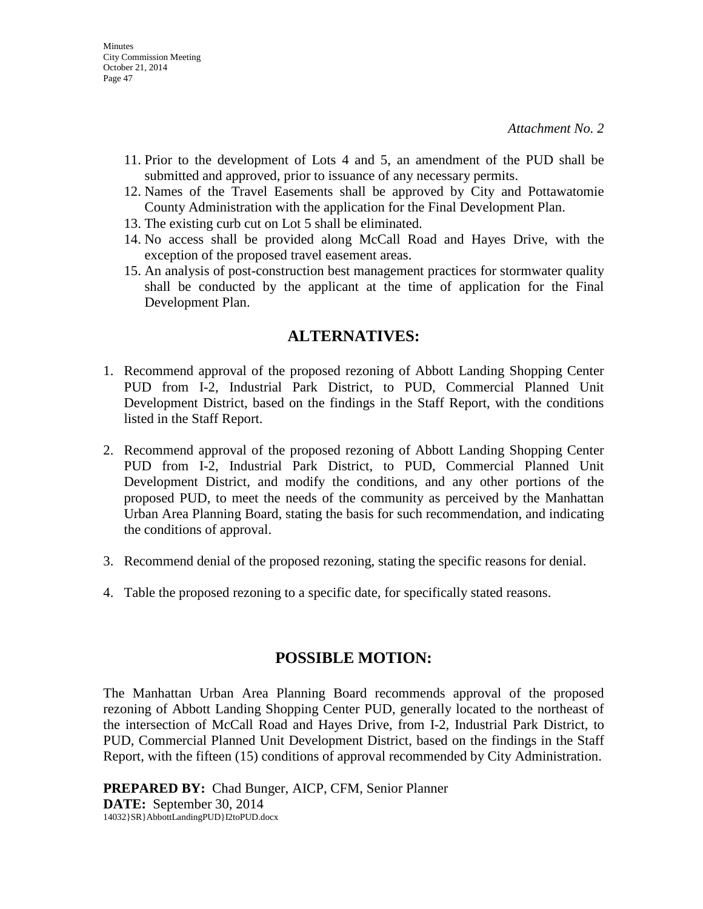- 11. Prior to the development of Lots 4 and 5, an amendment of the PUD shall be submitted and approved, prior to issuance of any necessary permits.
- 12. Names of the Travel Easements shall be approved by City and Pottawatomie County Administration with the application for the Final Development Plan.
- 13. The existing curb cut on Lot 5 shall be eliminated.
- 14. No access shall be provided along McCall Road and Hayes Drive, with the exception of the proposed travel easement areas.
- 15. An analysis of post-construction best management practices for stormwater quality shall be conducted by the applicant at the time of application for the Final Development Plan.

# **ALTERNATIVES:**

- 1. Recommend approval of the proposed rezoning of Abbott Landing Shopping Center PUD from I-2, Industrial Park District, to PUD, Commercial Planned Unit Development District, based on the findings in the Staff Report, with the conditions listed in the Staff Report.
- 2. Recommend approval of the proposed rezoning of Abbott Landing Shopping Center PUD from I-2, Industrial Park District, to PUD, Commercial Planned Unit Development District, and modify the conditions, and any other portions of the proposed PUD, to meet the needs of the community as perceived by the Manhattan Urban Area Planning Board, stating the basis for such recommendation, and indicating the conditions of approval.
- 3. Recommend denial of the proposed rezoning, stating the specific reasons for denial.
- 4. Table the proposed rezoning to a specific date, for specifically stated reasons.

# **POSSIBLE MOTION:**

The Manhattan Urban Area Planning Board recommends approval of the proposed rezoning of Abbott Landing Shopping Center PUD, generally located to the northeast of the intersection of McCall Road and Hayes Drive, from I-2, Industrial Park District, to PUD, Commercial Planned Unit Development District, based on the findings in the Staff Report, with the fifteen (15) conditions of approval recommended by City Administration.

**PREPARED BY:** Chad Bunger, AICP, CFM, Senior Planner **DATE:** September 30, 2014 14032}SR}AbbottLandingPUD}I2toPUD.docx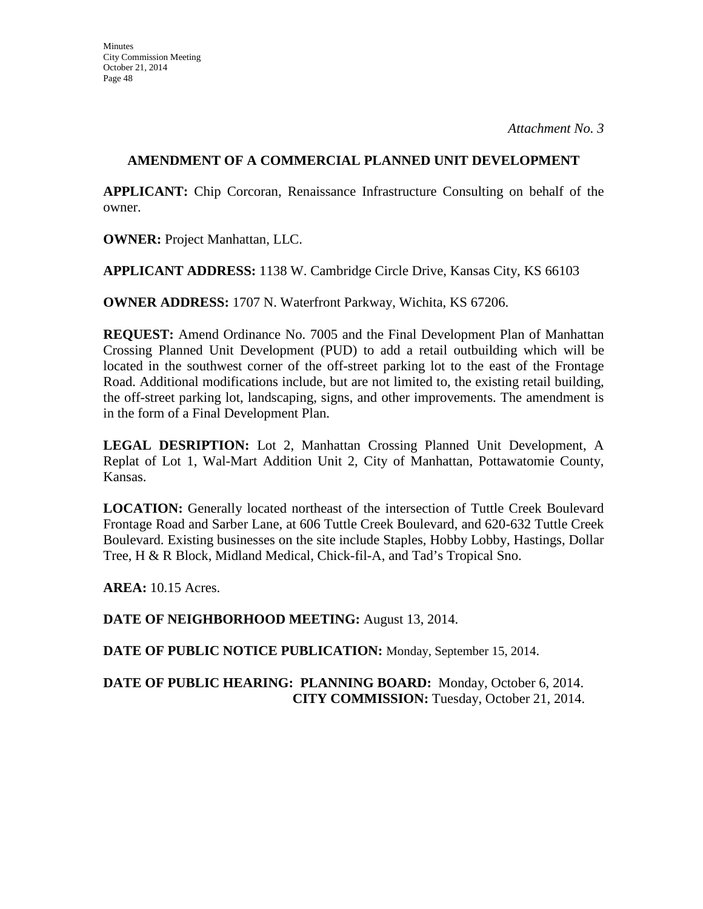# **AMENDMENT OF A COMMERCIAL PLANNED UNIT DEVELOPMENT**

**APPLICANT:** Chip Corcoran, Renaissance Infrastructure Consulting on behalf of the owner.

**OWNER:** Project Manhattan, LLC.

**APPLICANT ADDRESS:** 1138 W. Cambridge Circle Drive, Kansas City, KS 66103

**OWNER ADDRESS:** 1707 N. Waterfront Parkway, Wichita, KS 67206.

**REQUEST:** Amend Ordinance No. 7005 and the Final Development Plan of Manhattan Crossing Planned Unit Development (PUD) to add a retail outbuilding which will be located in the southwest corner of the off-street parking lot to the east of the Frontage Road. Additional modifications include, but are not limited to, the existing retail building, the off-street parking lot, landscaping, signs, and other improvements. The amendment is in the form of a Final Development Plan.

**LEGAL DESRIPTION:** Lot 2, Manhattan Crossing Planned Unit Development, A Replat of Lot 1, Wal-Mart Addition Unit 2, City of Manhattan, Pottawatomie County, Kansas.

**LOCATION:** Generally located northeast of the intersection of Tuttle Creek Boulevard Frontage Road and Sarber Lane, at 606 Tuttle Creek Boulevard, and 620-632 Tuttle Creek Boulevard. Existing businesses on the site include Staples, Hobby Lobby, Hastings, Dollar Tree, H & R Block, Midland Medical, Chick-fil-A, and Tad's Tropical Sno.

**AREA:** 10.15 Acres.

**DATE OF NEIGHBORHOOD MEETING:** August 13, 2014.

**DATE OF PUBLIC NOTICE PUBLICATION:** Monday, September 15, 2014.

# **DATE OF PUBLIC HEARING: PLANNING BOARD:** Monday, October 6, 2014. **CITY COMMISSION:** Tuesday, October 21, 2014.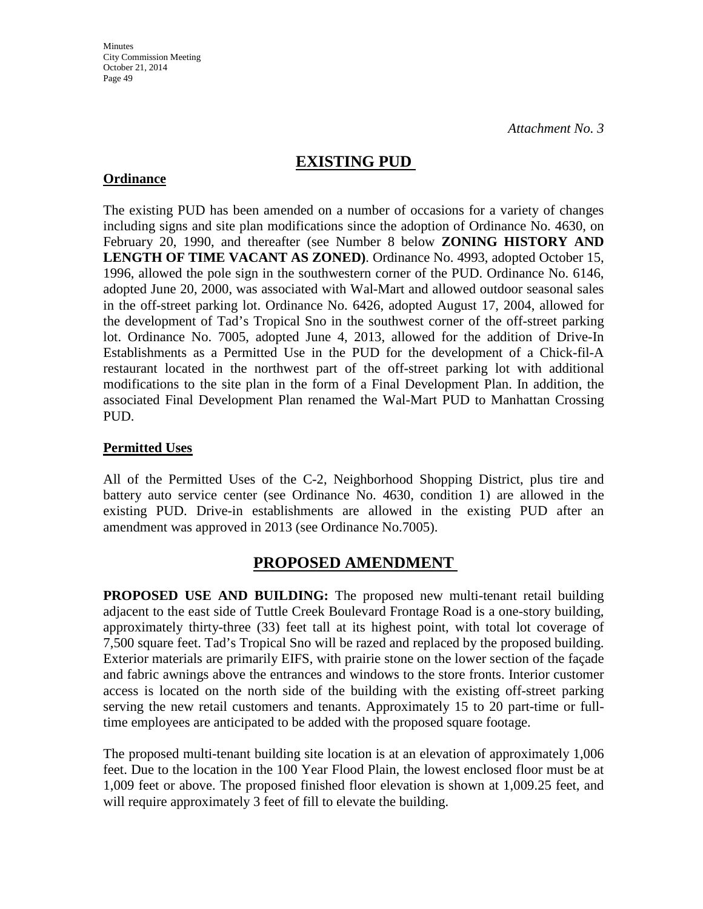# **EXISTING PUD**

# **Ordinance**

The existing PUD has been amended on a number of occasions for a variety of changes including signs and site plan modifications since the adoption of Ordinance No. 4630, on February 20, 1990, and thereafter (see Number 8 below **ZONING HISTORY AND LENGTH OF TIME VACANT AS ZONED)**. Ordinance No. 4993, adopted October 15, 1996, allowed the pole sign in the southwestern corner of the PUD. Ordinance No. 6146, adopted June 20, 2000, was associated with Wal-Mart and allowed outdoor seasonal sales in the off-street parking lot. Ordinance No. 6426, adopted August 17, 2004, allowed for the development of Tad's Tropical Sno in the southwest corner of the off-street parking lot. Ordinance No. 7005, adopted June 4, 2013, allowed for the addition of Drive-In Establishments as a Permitted Use in the PUD for the development of a Chick-fil-A restaurant located in the northwest part of the off-street parking lot with additional modifications to the site plan in the form of a Final Development Plan. In addition, the associated Final Development Plan renamed the Wal-Mart PUD to Manhattan Crossing PUD.

# **Permitted Uses**

All of the Permitted Uses of the C-2, Neighborhood Shopping District, plus tire and battery auto service center (see Ordinance No. 4630, condition 1) are allowed in the existing PUD. Drive-in establishments are allowed in the existing PUD after an amendment was approved in 2013 (see Ordinance No.7005).

# **PROPOSED AMENDMENT**

**PROPOSED USE AND BUILDING:** The proposed new multi-tenant retail building adjacent to the east side of Tuttle Creek Boulevard Frontage Road is a one-story building, approximately thirty-three (33) feet tall at its highest point, with total lot coverage of 7,500 square feet. Tad's Tropical Sno will be razed and replaced by the proposed building. Exterior materials are primarily EIFS, with prairie stone on the lower section of the façade and fabric awnings above the entrances and windows to the store fronts. Interior customer access is located on the north side of the building with the existing off-street parking serving the new retail customers and tenants. Approximately 15 to 20 part-time or fulltime employees are anticipated to be added with the proposed square footage.

The proposed multi-tenant building site location is at an elevation of approximately 1,006 feet. Due to the location in the 100 Year Flood Plain, the lowest enclosed floor must be at 1,009 feet or above. The proposed finished floor elevation is shown at 1,009.25 feet, and will require approximately 3 feet of fill to elevate the building.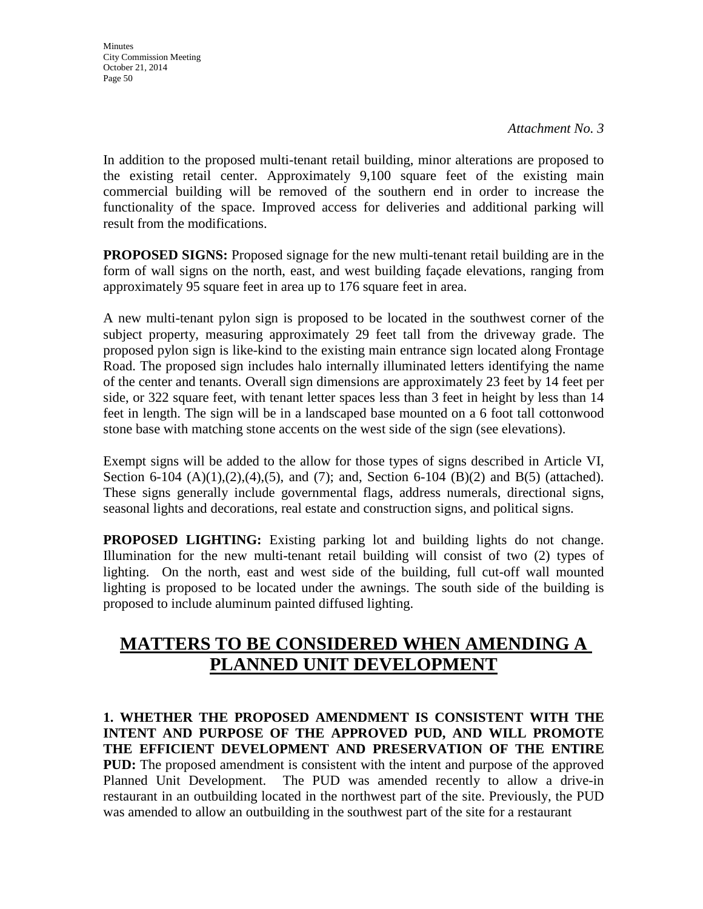**Minutes** City Commission Meeting October 21, 2014 Page 50

*Attachment No. 3* 

In addition to the proposed multi-tenant retail building, minor alterations are proposed to the existing retail center. Approximately 9,100 square feet of the existing main commercial building will be removed of the southern end in order to increase the functionality of the space. Improved access for deliveries and additional parking will result from the modifications.

**PROPOSED SIGNS:** Proposed signage for the new multi-tenant retail building are in the form of wall signs on the north, east, and west building façade elevations, ranging from approximately 95 square feet in area up to 176 square feet in area.

A new multi-tenant pylon sign is proposed to be located in the southwest corner of the subject property, measuring approximately 29 feet tall from the driveway grade. The proposed pylon sign is like-kind to the existing main entrance sign located along Frontage Road. The proposed sign includes halo internally illuminated letters identifying the name of the center and tenants. Overall sign dimensions are approximately 23 feet by 14 feet per side, or 322 square feet, with tenant letter spaces less than 3 feet in height by less than 14 feet in length. The sign will be in a landscaped base mounted on a 6 foot tall cottonwood stone base with matching stone accents on the west side of the sign (see elevations).

Exempt signs will be added to the allow for those types of signs described in Article VI, Section 6-104 (A)(1),(2),(4),(5), and (7); and, Section 6-104 (B)(2) and B(5) (attached). These signs generally include governmental flags, address numerals, directional signs, seasonal lights and decorations, real estate and construction signs, and political signs.

**PROPOSED LIGHTING:** Existing parking lot and building lights do not change. Illumination for the new multi-tenant retail building will consist of two (2) types of lighting. On the north, east and west side of the building, full cut-off wall mounted lighting is proposed to be located under the awnings. The south side of the building is proposed to include aluminum painted diffused lighting.

# **MATTERS TO BE CONSIDERED WHEN AMENDING A PLANNED UNIT DEVELOPMENT**

**1. WHETHER THE PROPOSED AMENDMENT IS CONSISTENT WITH THE INTENT AND PURPOSE OF THE APPROVED PUD, AND WILL PROMOTE THE EFFICIENT DEVELOPMENT AND PRESERVATION OF THE ENTIRE PUD:** The proposed amendment is consistent with the intent and purpose of the approved Planned Unit Development. The PUD was amended recently to allow a drive-in restaurant in an outbuilding located in the northwest part of the site. Previously, the PUD was amended to allow an outbuilding in the southwest part of the site for a restaurant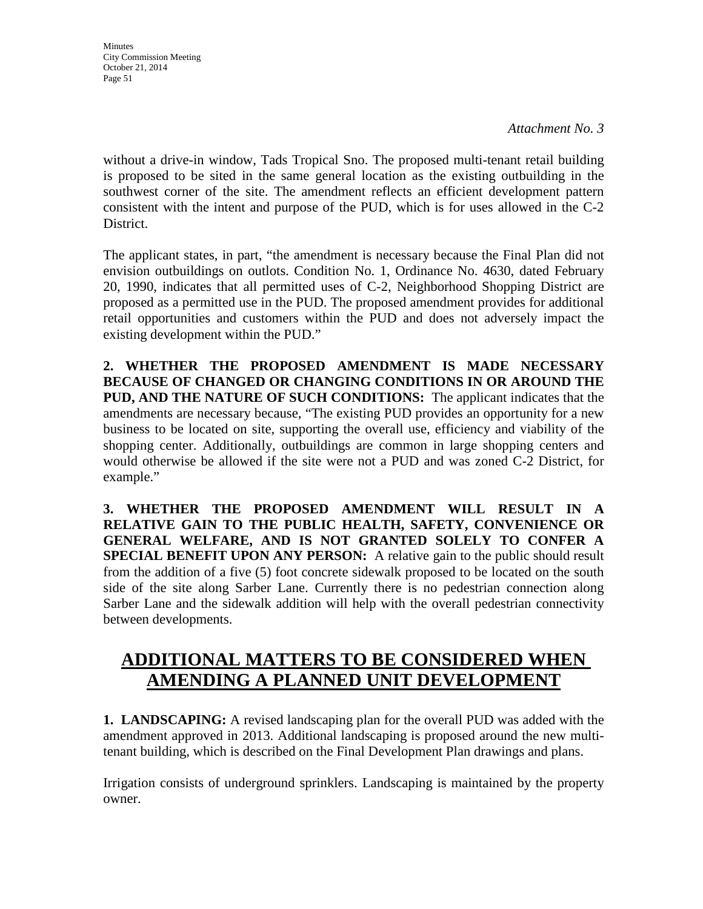**Minutes** City Commission Meeting October 21, 2014 Page 51

*Attachment No. 3* 

without a drive-in window, Tads Tropical Sno. The proposed multi-tenant retail building is proposed to be sited in the same general location as the existing outbuilding in the southwest corner of the site. The amendment reflects an efficient development pattern consistent with the intent and purpose of the PUD, which is for uses allowed in the C-2 District.

The applicant states, in part, "the amendment is necessary because the Final Plan did not envision outbuildings on outlots. Condition No. 1, Ordinance No. 4630, dated February 20, 1990, indicates that all permitted uses of C-2, Neighborhood Shopping District are proposed as a permitted use in the PUD. The proposed amendment provides for additional retail opportunities and customers within the PUD and does not adversely impact the existing development within the PUD."

**2. WHETHER THE PROPOSED AMENDMENT IS MADE NECESSARY BECAUSE OF CHANGED OR CHANGING CONDITIONS IN OR AROUND THE PUD, AND THE NATURE OF SUCH CONDITIONS:** The applicant indicates that the amendments are necessary because, "The existing PUD provides an opportunity for a new business to be located on site, supporting the overall use, efficiency and viability of the shopping center. Additionally, outbuildings are common in large shopping centers and would otherwise be allowed if the site were not a PUD and was zoned C-2 District, for example."

**3. WHETHER THE PROPOSED AMENDMENT WILL RESULT IN A RELATIVE GAIN TO THE PUBLIC HEALTH, SAFETY, CONVENIENCE OR GENERAL WELFARE, AND IS NOT GRANTED SOLELY TO CONFER A SPECIAL BENEFIT UPON ANY PERSON:** A relative gain to the public should result from the addition of a five (5) foot concrete sidewalk proposed to be located on the south side of the site along Sarber Lane. Currently there is no pedestrian connection along Sarber Lane and the sidewalk addition will help with the overall pedestrian connectivity between developments.

# **ADDITIONAL MATTERS TO BE CONSIDERED WHEN AMENDING A PLANNED UNIT DEVELOPMENT**

**1. LANDSCAPING:** A revised landscaping plan for the overall PUD was added with the amendment approved in 2013. Additional landscaping is proposed around the new multitenant building, which is described on the Final Development Plan drawings and plans.

Irrigation consists of underground sprinklers. Landscaping is maintained by the property owner.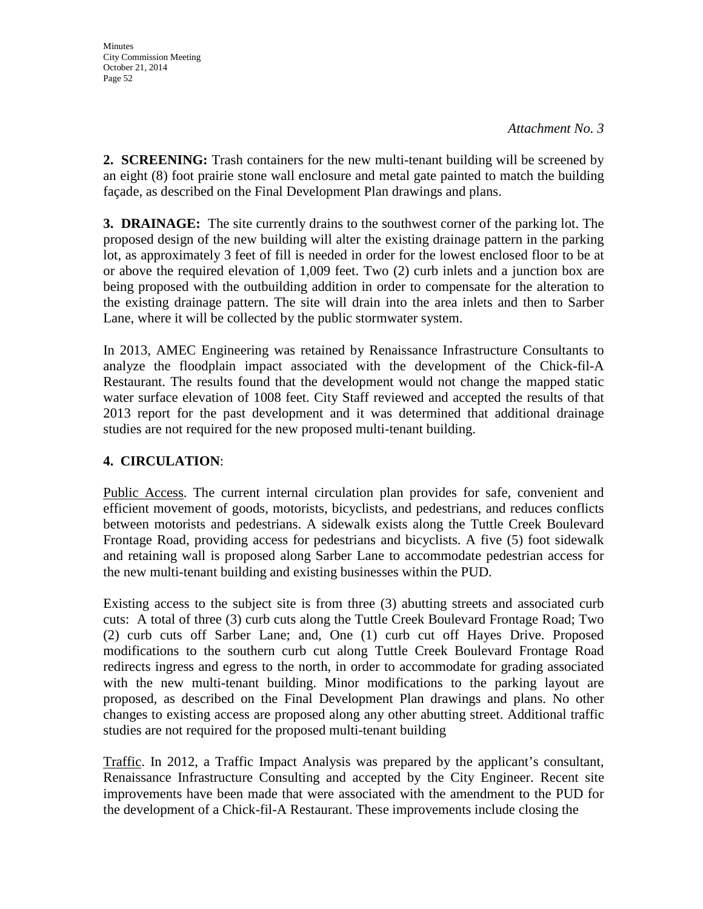**2. SCREENING:** Trash containers for the new multi-tenant building will be screened by an eight (8) foot prairie stone wall enclosure and metal gate painted to match the building façade, as described on the Final Development Plan drawings and plans.

**3. DRAINAGE:** The site currently drains to the southwest corner of the parking lot. The proposed design of the new building will alter the existing drainage pattern in the parking lot, as approximately 3 feet of fill is needed in order for the lowest enclosed floor to be at or above the required elevation of 1,009 feet. Two (2) curb inlets and a junction box are being proposed with the outbuilding addition in order to compensate for the alteration to the existing drainage pattern. The site will drain into the area inlets and then to Sarber Lane, where it will be collected by the public stormwater system.

In 2013, AMEC Engineering was retained by Renaissance Infrastructure Consultants to analyze the floodplain impact associated with the development of the Chick-fil-A Restaurant. The results found that the development would not change the mapped static water surface elevation of 1008 feet. City Staff reviewed and accepted the results of that 2013 report for the past development and it was determined that additional drainage studies are not required for the new proposed multi-tenant building.

# **4. CIRCULATION**:

Public Access. The current internal circulation plan provides for safe, convenient and efficient movement of goods, motorists, bicyclists, and pedestrians, and reduces conflicts between motorists and pedestrians. A sidewalk exists along the Tuttle Creek Boulevard Frontage Road, providing access for pedestrians and bicyclists. A five (5) foot sidewalk and retaining wall is proposed along Sarber Lane to accommodate pedestrian access for the new multi-tenant building and existing businesses within the PUD.

Existing access to the subject site is from three (3) abutting streets and associated curb cuts: A total of three (3) curb cuts along the Tuttle Creek Boulevard Frontage Road; Two (2) curb cuts off Sarber Lane; and, One (1) curb cut off Hayes Drive. Proposed modifications to the southern curb cut along Tuttle Creek Boulevard Frontage Road redirects ingress and egress to the north, in order to accommodate for grading associated with the new multi-tenant building. Minor modifications to the parking layout are proposed, as described on the Final Development Plan drawings and plans. No other changes to existing access are proposed along any other abutting street. Additional traffic studies are not required for the proposed multi-tenant building

Traffic. In 2012, a Traffic Impact Analysis was prepared by the applicant's consultant, Renaissance Infrastructure Consulting and accepted by the City Engineer. Recent site improvements have been made that were associated with the amendment to the PUD for the development of a Chick-fil-A Restaurant. These improvements include closing the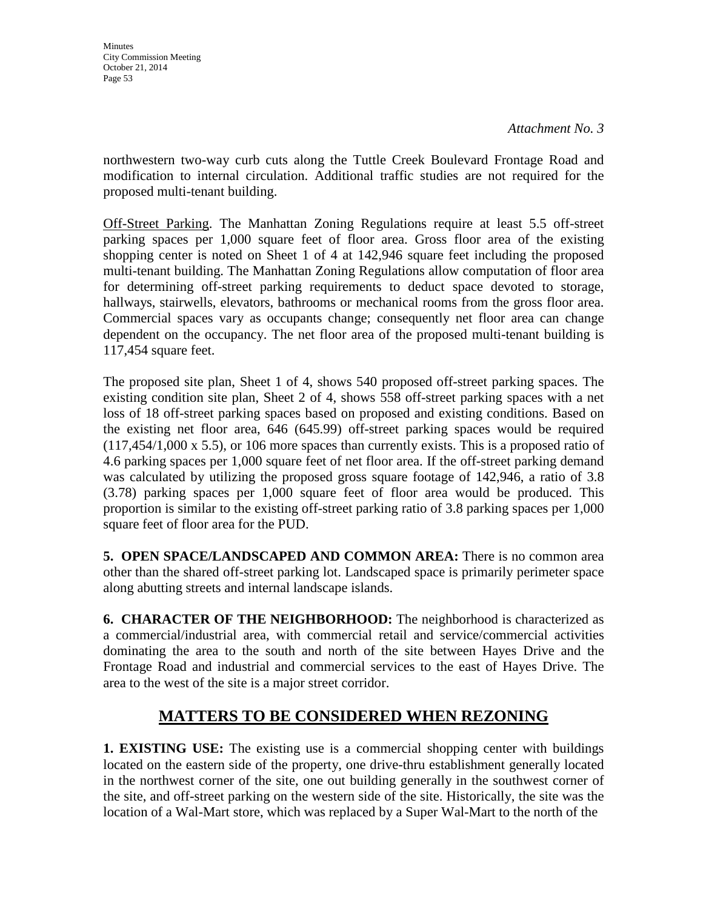**Minutes** City Commission Meeting October 21, 2014 Page 53

northwestern two-way curb cuts along the Tuttle Creek Boulevard Frontage Road and modification to internal circulation. Additional traffic studies are not required for the proposed multi-tenant building.

Off-Street Parking. The Manhattan Zoning Regulations require at least 5.5 off-street parking spaces per 1,000 square feet of floor area. Gross floor area of the existing shopping center is noted on Sheet 1 of 4 at 142,946 square feet including the proposed multi-tenant building. The Manhattan Zoning Regulations allow computation of floor area for determining off-street parking requirements to deduct space devoted to storage, hallways, stairwells, elevators, bathrooms or mechanical rooms from the gross floor area. Commercial spaces vary as occupants change; consequently net floor area can change dependent on the occupancy. The net floor area of the proposed multi-tenant building is 117,454 square feet.

The proposed site plan, Sheet 1 of 4, shows 540 proposed off-street parking spaces. The existing condition site plan, Sheet 2 of 4, shows 558 off-street parking spaces with a net loss of 18 off-street parking spaces based on proposed and existing conditions. Based on the existing net floor area, 646 (645.99) off-street parking spaces would be required (117,454/1,000 x 5.5), or 106 more spaces than currently exists. This is a proposed ratio of 4.6 parking spaces per 1,000 square feet of net floor area. If the off-street parking demand was calculated by utilizing the proposed gross square footage of 142,946, a ratio of 3.8 (3.78) parking spaces per 1,000 square feet of floor area would be produced. This proportion is similar to the existing off-street parking ratio of 3.8 parking spaces per 1,000 square feet of floor area for the PUD.

**5. OPEN SPACE/LANDSCAPED AND COMMON AREA:** There is no common area other than the shared off-street parking lot. Landscaped space is primarily perimeter space along abutting streets and internal landscape islands.

**6. CHARACTER OF THE NEIGHBORHOOD:** The neighborhood is characterized as a commercial/industrial area, with commercial retail and service/commercial activities dominating the area to the south and north of the site between Hayes Drive and the Frontage Road and industrial and commercial services to the east of Hayes Drive. The area to the west of the site is a major street corridor.

# **MATTERS TO BE CONSIDERED WHEN REZONING**

**1. EXISTING USE:** The existing use is a commercial shopping center with buildings located on the eastern side of the property, one drive-thru establishment generally located in the northwest corner of the site, one out building generally in the southwest corner of the site, and off-street parking on the western side of the site. Historically, the site was the location of a Wal-Mart store, which was replaced by a Super Wal-Mart to the north of the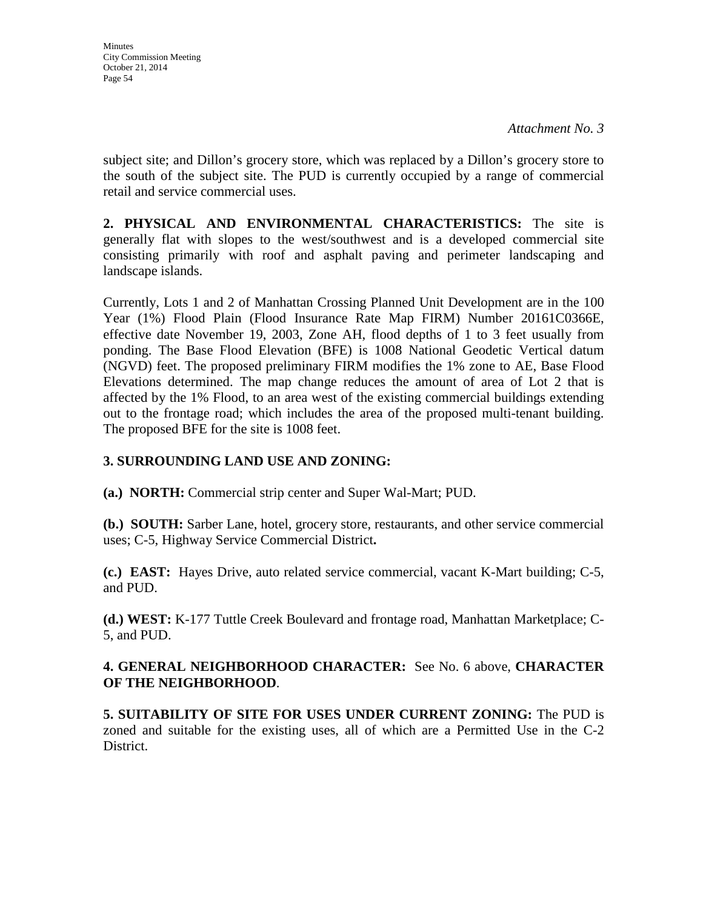subject site; and Dillon's grocery store, which was replaced by a Dillon's grocery store to the south of the subject site. The PUD is currently occupied by a range of commercial retail and service commercial uses.

**2. PHYSICAL AND ENVIRONMENTAL CHARACTERISTICS:** The site is generally flat with slopes to the west/southwest and is a developed commercial site consisting primarily with roof and asphalt paving and perimeter landscaping and landscape islands.

Currently, Lots 1 and 2 of Manhattan Crossing Planned Unit Development are in the 100 Year (1%) Flood Plain (Flood Insurance Rate Map FIRM) Number 20161C0366E, effective date November 19, 2003, Zone AH, flood depths of 1 to 3 feet usually from ponding. The Base Flood Elevation (BFE) is 1008 National Geodetic Vertical datum (NGVD) feet. The proposed preliminary FIRM modifies the 1% zone to AE, Base Flood Elevations determined. The map change reduces the amount of area of Lot 2 that is affected by the 1% Flood, to an area west of the existing commercial buildings extending out to the frontage road; which includes the area of the proposed multi-tenant building. The proposed BFE for the site is 1008 feet.

# **3. SURROUNDING LAND USE AND ZONING:**

**(a.) NORTH:** Commercial strip center and Super Wal-Mart; PUD.

**(b.) SOUTH:** Sarber Lane, hotel, grocery store, restaurants, and other service commercial uses; C-5, Highway Service Commercial District**.** 

**(c.) EAST:** Hayes Drive, auto related service commercial, vacant K-Mart building; C-5, and PUD.

**(d.) WEST:** K-177 Tuttle Creek Boulevard and frontage road, Manhattan Marketplace; C-5, and PUD.

# **4. GENERAL NEIGHBORHOOD CHARACTER:** See No. 6 above, **CHARACTER OF THE NEIGHBORHOOD**.

**5. SUITABILITY OF SITE FOR USES UNDER CURRENT ZONING:** The PUD is zoned and suitable for the existing uses, all of which are a Permitted Use in the C-2 District.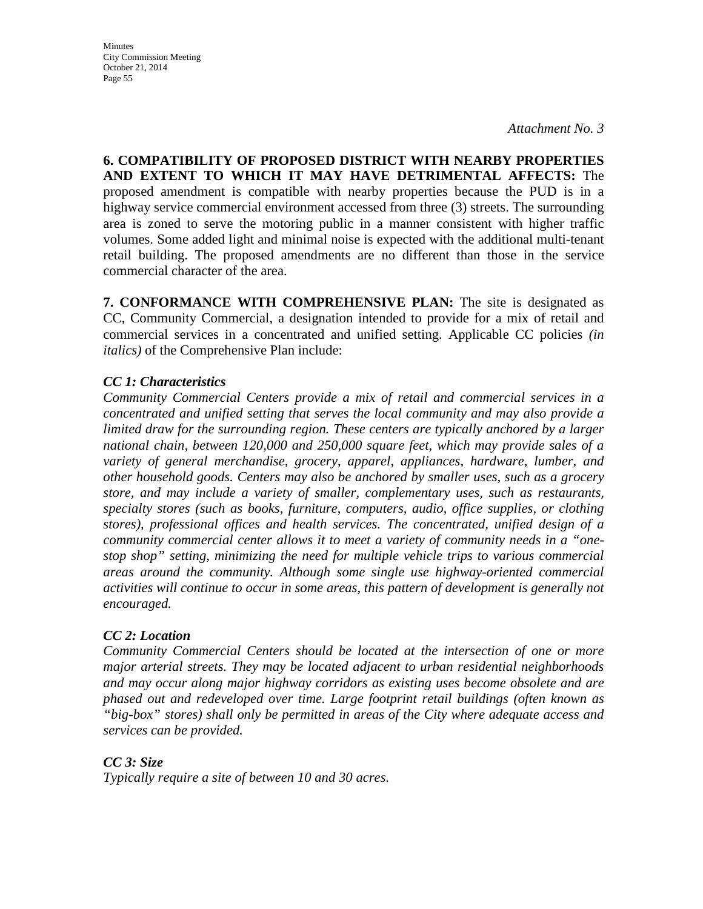**Minutes** City Commission Meeting October 21, 2014 Page 55

**6. COMPATIBILITY OF PROPOSED DISTRICT WITH NEARBY PROPERTIES AND EXTENT TO WHICH IT MAY HAVE DETRIMENTAL AFFECTS:** The proposed amendment is compatible with nearby properties because the PUD is in a highway service commercial environment accessed from three (3) streets. The surrounding area is zoned to serve the motoring public in a manner consistent with higher traffic volumes. Some added light and minimal noise is expected with the additional multi-tenant retail building. The proposed amendments are no different than those in the service commercial character of the area.

**7. CONFORMANCE WITH COMPREHENSIVE PLAN:** The site is designated as CC, Community Commercial, a designation intended to provide for a mix of retail and commercial services in a concentrated and unified setting. Applicable CC policies *(in italics)* of the Comprehensive Plan include:

### *CC 1: Characteristics*

*Community Commercial Centers provide a mix of retail and commercial services in a concentrated and unified setting that serves the local community and may also provide a limited draw for the surrounding region. These centers are typically anchored by a larger national chain, between 120,000 and 250,000 square feet, which may provide sales of a variety of general merchandise, grocery, apparel, appliances, hardware, lumber, and other household goods. Centers may also be anchored by smaller uses, such as a grocery store, and may include a variety of smaller, complementary uses, such as restaurants, specialty stores (such as books, furniture, computers, audio, office supplies, or clothing stores), professional offices and health services. The concentrated, unified design of a community commercial center allows it to meet a variety of community needs in a "onestop shop" setting, minimizing the need for multiple vehicle trips to various commercial areas around the community. Although some single use highway-oriented commercial activities will continue to occur in some areas, this pattern of development is generally not encouraged.* 

### *CC 2: Location*

*Community Commercial Centers should be located at the intersection of one or more major arterial streets. They may be located adjacent to urban residential neighborhoods and may occur along major highway corridors as existing uses become obsolete and are phased out and redeveloped over time. Large footprint retail buildings (often known as "big-box" stores) shall only be permitted in areas of the City where adequate access and services can be provided.* 

*CC 3: Size Typically require a site of between 10 and 30 acres.*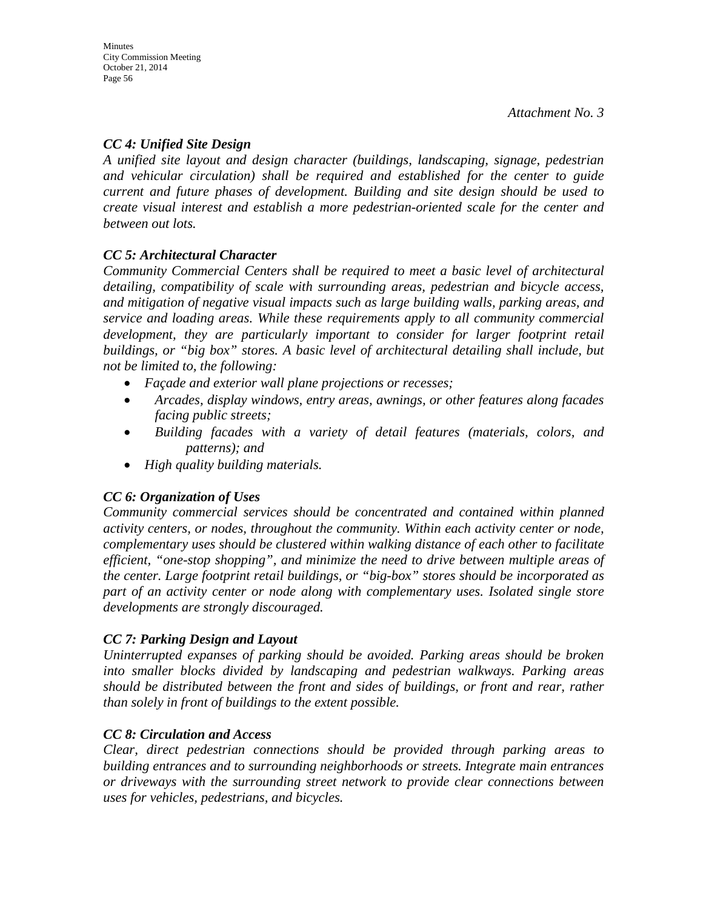# *CC 4: Unified Site Design*

*A unified site layout and design character (buildings, landscaping, signage, pedestrian and vehicular circulation) shall be required and established for the center to guide current and future phases of development. Building and site design should be used to create visual interest and establish a more pedestrian-oriented scale for the center and between out lots.* 

# *CC 5: Architectural Character*

*Community Commercial Centers shall be required to meet a basic level of architectural detailing, compatibility of scale with surrounding areas, pedestrian and bicycle access, and mitigation of negative visual impacts such as large building walls, parking areas, and service and loading areas. While these requirements apply to all community commercial*  development, they are particularly important to consider for larger footprint retail *buildings, or "big box" stores. A basic level of architectural detailing shall include, but not be limited to, the following:* 

- *Façade and exterior wall plane projections or recesses;*
- *Arcades, display windows, entry areas, awnings, or other features along facades facing public streets;*
- *Building facades with a variety of detail features (materials, colors, and patterns); and*
- *High quality building materials.*

# *CC 6: Organization of Uses*

*Community commercial services should be concentrated and contained within planned activity centers, or nodes, throughout the community. Within each activity center or node, complementary uses should be clustered within walking distance of each other to facilitate efficient, "one-stop shopping", and minimize the need to drive between multiple areas of the center. Large footprint retail buildings, or "big-box" stores should be incorporated as part of an activity center or node along with complementary uses. Isolated single store developments are strongly discouraged.* 

# *CC 7: Parking Design and Layout*

*Uninterrupted expanses of parking should be avoided. Parking areas should be broken into smaller blocks divided by landscaping and pedestrian walkways. Parking areas should be distributed between the front and sides of buildings, or front and rear, rather than solely in front of buildings to the extent possible.* 

# *CC 8: Circulation and Access*

*Clear, direct pedestrian connections should be provided through parking areas to building entrances and to surrounding neighborhoods or streets. Integrate main entrances or driveways with the surrounding street network to provide clear connections between uses for vehicles, pedestrians, and bicycles.*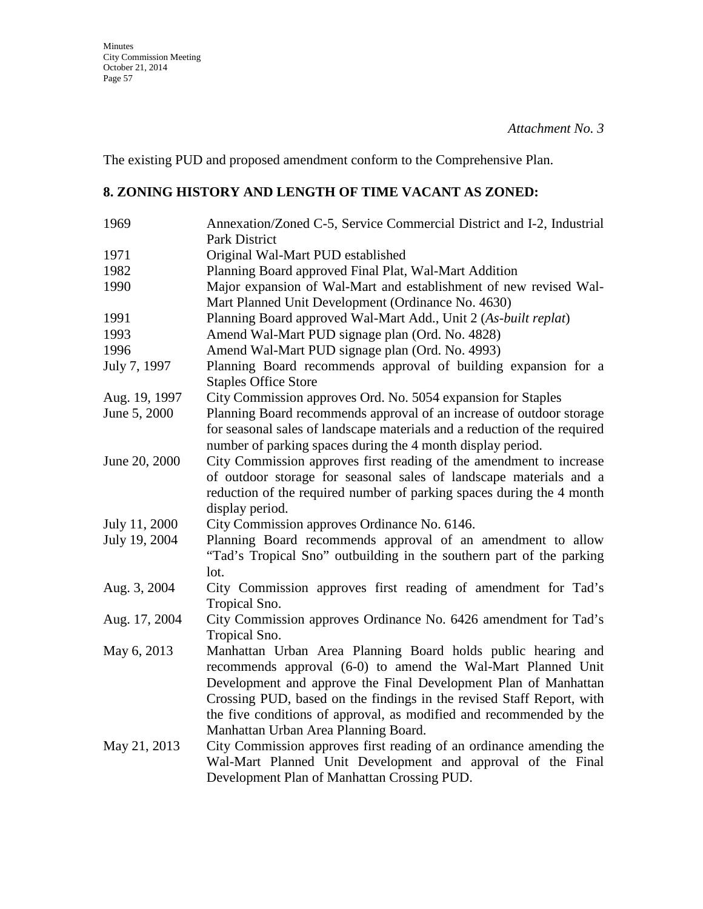The existing PUD and proposed amendment conform to the Comprehensive Plan.

# **8. ZONING HISTORY AND LENGTH OF TIME VACANT AS ZONED:**

| 1969          | Annexation/Zoned C-5, Service Commercial District and I-2, Industrial<br>Park District                                                                                                                                                                                                                                                                                                  |
|---------------|-----------------------------------------------------------------------------------------------------------------------------------------------------------------------------------------------------------------------------------------------------------------------------------------------------------------------------------------------------------------------------------------|
| 1971          | Original Wal-Mart PUD established                                                                                                                                                                                                                                                                                                                                                       |
| 1982          | Planning Board approved Final Plat, Wal-Mart Addition                                                                                                                                                                                                                                                                                                                                   |
| 1990          | Major expansion of Wal-Mart and establishment of new revised Wal-<br>Mart Planned Unit Development (Ordinance No. 4630)                                                                                                                                                                                                                                                                 |
| 1991          | Planning Board approved Wal-Mart Add., Unit 2 (As-built replat)                                                                                                                                                                                                                                                                                                                         |
| 1993          | Amend Wal-Mart PUD signage plan (Ord. No. 4828)                                                                                                                                                                                                                                                                                                                                         |
| 1996          | Amend Wal-Mart PUD signage plan (Ord. No. 4993)                                                                                                                                                                                                                                                                                                                                         |
| July 7, 1997  | Planning Board recommends approval of building expansion for a<br><b>Staples Office Store</b>                                                                                                                                                                                                                                                                                           |
| Aug. 19, 1997 | City Commission approves Ord. No. 5054 expansion for Staples                                                                                                                                                                                                                                                                                                                            |
| June 5, 2000  | Planning Board recommends approval of an increase of outdoor storage<br>for seasonal sales of landscape materials and a reduction of the required<br>number of parking spaces during the 4 month display period.                                                                                                                                                                        |
| June 20, 2000 | City Commission approves first reading of the amendment to increase<br>of outdoor storage for seasonal sales of landscape materials and a<br>reduction of the required number of parking spaces during the 4 month<br>display period.                                                                                                                                                   |
| July 11, 2000 | City Commission approves Ordinance No. 6146.                                                                                                                                                                                                                                                                                                                                            |
| July 19, 2004 | Planning Board recommends approval of an amendment to allow<br>"Tad's Tropical Sno" outbuilding in the southern part of the parking<br>lot.                                                                                                                                                                                                                                             |
| Aug. 3, 2004  | City Commission approves first reading of amendment for Tad's<br>Tropical Sno.                                                                                                                                                                                                                                                                                                          |
| Aug. 17, 2004 | City Commission approves Ordinance No. 6426 amendment for Tad's<br>Tropical Sno.                                                                                                                                                                                                                                                                                                        |
| May 6, 2013   | Manhattan Urban Area Planning Board holds public hearing and<br>recommends approval (6-0) to amend the Wal-Mart Planned Unit<br>Development and approve the Final Development Plan of Manhattan<br>Crossing PUD, based on the findings in the revised Staff Report, with<br>the five conditions of approval, as modified and recommended by the<br>Manhattan Urban Area Planning Board. |
| May 21, 2013  | City Commission approves first reading of an ordinance amending the<br>Wal-Mart Planned Unit Development and approval of the Final<br>Development Plan of Manhattan Crossing PUD.                                                                                                                                                                                                       |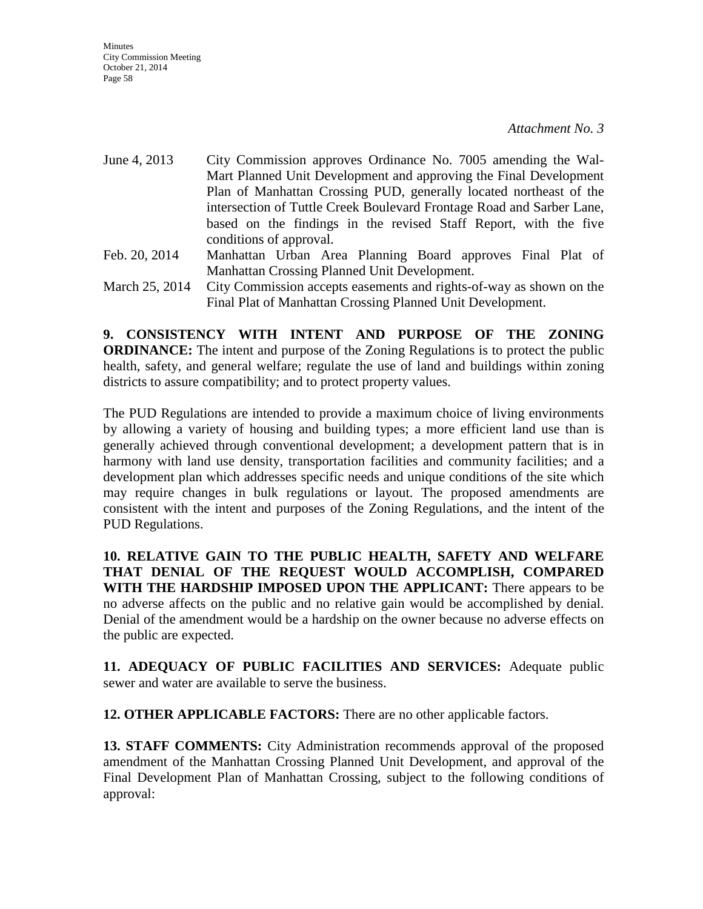- June 4, 2013 City Commission approves Ordinance No. 7005 amending the Wal-Mart Planned Unit Development and approving the Final Development Plan of Manhattan Crossing PUD, generally located northeast of the intersection of Tuttle Creek Boulevard Frontage Road and Sarber Lane, based on the findings in the revised Staff Report, with the five conditions of approval. Feb. 20, 2014 Manhattan Urban Area Planning Board approves Final Plat of Manhattan Crossing Planned Unit Development.
- March 25, 2014 City Commission accepts easements and rights-of-way as shown on the Final Plat of Manhattan Crossing Planned Unit Development.

**9. CONSISTENCY WITH INTENT AND PURPOSE OF THE ZONING ORDINANCE:** The intent and purpose of the Zoning Regulations is to protect the public health, safety, and general welfare; regulate the use of land and buildings within zoning districts to assure compatibility; and to protect property values.

The PUD Regulations are intended to provide a maximum choice of living environments by allowing a variety of housing and building types; a more efficient land use than is generally achieved through conventional development; a development pattern that is in harmony with land use density, transportation facilities and community facilities; and a development plan which addresses specific needs and unique conditions of the site which may require changes in bulk regulations or layout. The proposed amendments are consistent with the intent and purposes of the Zoning Regulations, and the intent of the PUD Regulations.

**10. RELATIVE GAIN TO THE PUBLIC HEALTH, SAFETY AND WELFARE THAT DENIAL OF THE REQUEST WOULD ACCOMPLISH, COMPARED WITH THE HARDSHIP IMPOSED UPON THE APPLICANT:** There appears to be no adverse affects on the public and no relative gain would be accomplished by denial. Denial of the amendment would be a hardship on the owner because no adverse effects on the public are expected.

**11. ADEQUACY OF PUBLIC FACILITIES AND SERVICES:** Adequate public sewer and water are available to serve the business.

**12. OTHER APPLICABLE FACTORS:** There are no other applicable factors.

**13. STAFF COMMENTS:** City Administration recommends approval of the proposed amendment of the Manhattan Crossing Planned Unit Development, and approval of the Final Development Plan of Manhattan Crossing, subject to the following conditions of approval: